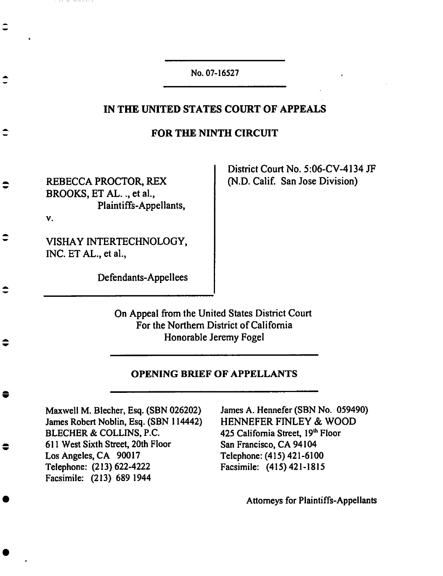No.**07-I**6527

### **IN THE UNITED STATES COURT OF APPEALS**

#### **FOR THE NINTH CIRCUIT**

REBECCA PROCTOR, REX BROOKS, ET AL.., et al., Plaintiffs-Appellants,

--------

District Court No. 5:06-CV-4134 JF (N.D. Calif. **San** Jose Division)

**V.**

VISHAY INTERTECHNOLOGY, INC. ET AL., et **al.,**

Defendants-Appellees

On Appeal **from** the **United** States District Court **For the Northern** District **of** California **Honorable Jeremy Fogei**

#### **OPENING BRIEF** OF **APPELLANTS**

Maxwell M. Biecher, **Esq.** (SBN 026202) James Robert Noblin, **Esq.** (SBN 114442) BLECHER & COLLINS, **P.C.** 611 **West** Sixth **Street, 20th Floor Los** Angeles, CA 90017 **Telephone:** (213) 622-4222 **Facsimile:** (213) 689 **1944**

James A. **Hennefer** (SBN No. 059490) HENNEFER FINLEY & **WOOD** 425 California Street, 19<sup>th</sup> Floor San Francisco, CA 94104 Telephone: (415) 421-6100 Facsimile: (415) 421-1815

Attorneys **for Plaintiffs-Appellants**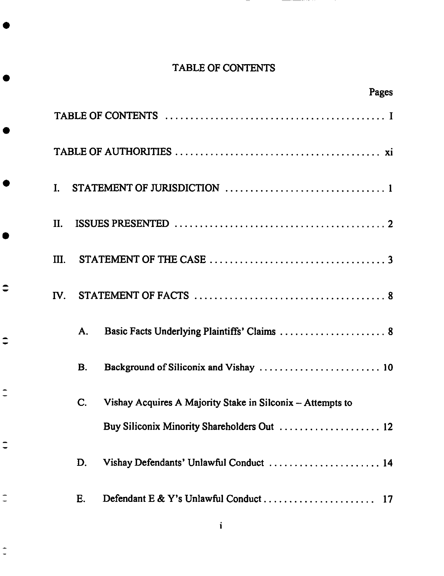# TABLE OF CONTENTS

 $\overline{\phantom{0}}$ 

| Pages                                                                       |
|-----------------------------------------------------------------------------|
|                                                                             |
|                                                                             |
| I.                                                                          |
| II.                                                                         |
| III.                                                                        |
| $\mathbf{IV}_{-}$                                                           |
| Basic Facts Underlying Plaintiffs' Claims  8<br>Α.                          |
| <b>B.</b>                                                                   |
| $\mathbf C$ .<br>Vishay Acquires A Majority Stake in Silconix - Attempts to |
|                                                                             |
| Vishay Defendants' Unlawful Conduct  14<br>D.                               |
| Е.                                                                          |

 $\ddot{\bullet}$ 

 $\div$ 

 $\ddot{\phantom{1}}$ 

 $\overline{\phantom{a}}$ 

 $\frac{1}{2}$ 

 $\frac{1}{1}$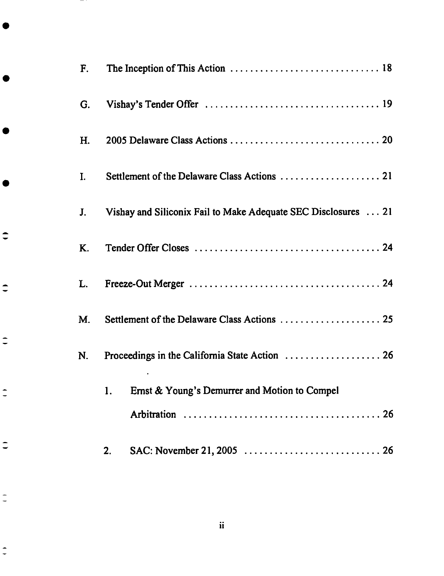| F. |                                                                |
|----|----------------------------------------------------------------|
| G. |                                                                |
| H. |                                                                |
| I. |                                                                |
| J. | Vishay and Siliconix Fail to Make Adequate SEC Disclosures  21 |
| K. |                                                                |
| L. |                                                                |
| М. |                                                                |
| N. |                                                                |
|    | 1.<br>Ernst & Young's Demurrer and Motion to Compel            |
|    |                                                                |
|    | 2.                                                             |

 $-$  :

 $\ddot{\phantom{a}}$ 

 $\Rightarrow$ 

 $\Rightarrow$ 

 $\frac{1}{1}$ 

 $\overline{\phantom{a}}$ 

 $\frac{1}{2}$ 

 $\frac{1}{2}$ 

 $\ddot{\mathbf{u}}$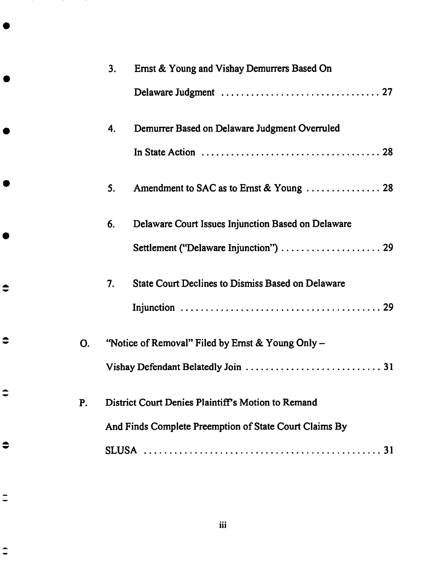|           | 3. | Ernst & Young and Vishay Demurrers Based On                                                  |
|-----------|----|----------------------------------------------------------------------------------------------|
|           |    |                                                                                              |
|           | 4. | Demurrer Based on Delaware Judgment Overruled                                                |
|           |    | In State Action $\ldots \ldots \ldots \ldots \ldots \ldots \ldots \ldots \ldots \ldots$ . 28 |
|           | 5. | Amendment to SAC as to Ernst & Young  28                                                     |
|           | 6. | Delaware Court Issues Injunction Based on Delaware                                           |
|           |    | Settlement ("Delaware Injunction")  29                                                       |
|           | 7. | <b>State Court Declines to Dismiss Based on Delaware</b>                                     |
|           |    |                                                                                              |
| O.        |    | "Notice of Removal" Filed by Ernst & Young Only -                                            |
|           |    |                                                                                              |
| <b>P.</b> |    | District Court Denies Plaintiff's Motion to Remand                                           |
|           |    | And Finds Complete Preemption of State Court Claims By                                       |
|           |    |                                                                                              |

 $\Rightarrow$ 

 $\bullet$ 

 $\ddot{•}$ 

 $\bullet$ 

 $\ddot{=}$ 

 $\ddot{\phantom{1}}$ 

**iii**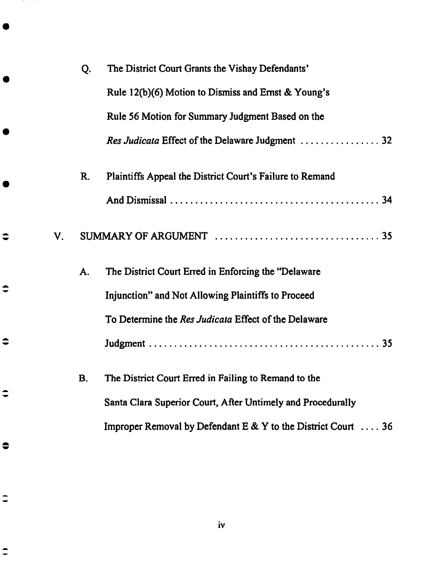| Q.          | The District Court Grants the Vishay Defendants'                     |
|-------------|----------------------------------------------------------------------|
|             | Rule 12(b)(6) Motion to Dismiss and Ernst & Young's                  |
|             | Rule 56 Motion for Summary Judgment Based on the                     |
|             |                                                                      |
| $R_{\cdot}$ | Plaintiffs Appeal the District Court's Failure to Remand             |
|             |                                                                      |
|             |                                                                      |
| A.          | The District Court Erred in Enforcing the "Delaware"                 |
|             | Injunction" and Not Allowing Plaintiffs to Proceed                   |
|             | To Determine the Res Judicata Effect of the Delaware                 |
|             |                                                                      |
| <b>B.</b>   | The District Court Erred in Failing to Remand to the                 |
|             | Santa Clara Superior Court, After Untimely and Procedurally          |
|             | Improper Removal by Defendant E & Y to the District Court $\dots$ 36 |
|             |                                                                      |

iv

 $\Rightarrow$ 

 $\div$ 

 $\Rightarrow$ 

 $\hat{\phantom{a}}$ 

 $\bullet$ 

 $\ddot{=}$ 

**SECTION**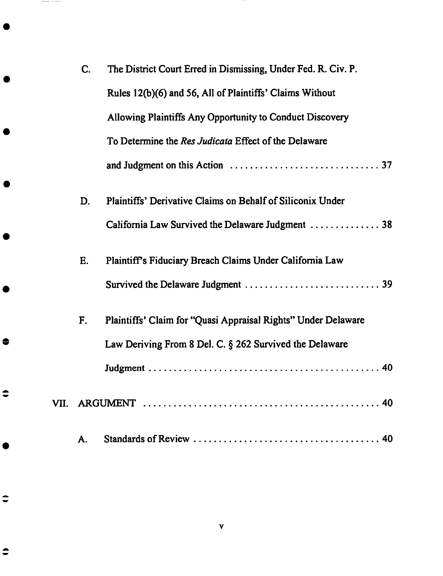| C. | The District Court Erred in Dismissing, Under Fed. R. Civ. P. |
|----|---------------------------------------------------------------|
|    | Rules 12(b)(6) and 56, All of Plaintiffs' Claims Without      |
|    | Allowing Plaintiffs Any Opportunity to Conduct Discovery      |
|    | To Determine the Res Judicata Effect of the Delaware          |
|    |                                                               |
| D. | Plaintiffs' Derivative Claims on Behalf of Siliconix Under    |
|    | California Law Survived the Delaware Judgment  38             |
| E. | Plaintiff's Fiduciary Breach Claims Under California Law      |
|    |                                                               |
| F. | Plaintiffs' Claim for "Quasi Appraisal Rights" Under Delaware |
|    | Law Deriving From 8 Del. C. § 262 Survived the Delaware       |
|    |                                                               |
|    |                                                               |
| А. |                                                               |

 $\mathbf{v}$ 

 $\Rightarrow$ 

 $\ddot{•}$ 

 $\bullet$ 

 $\frac{1}{1-\frac{1}{2}}\left( \frac{1}{1-\frac{1}{2}}\right) ^{2}+\frac{1}{2-\frac{1}{2}}\left( \frac{1}{1-\frac{1}{2}}\right) ^{2}+\frac{1}{2-\frac{1}{2}}\left( \frac{1}{1-\frac{1}{2}}\right) ^{2}+\frac{1}{2-\frac{1}{2}}\left( \frac{1}{1-\frac{1}{2}}\right) ^{2}+\frac{1}{2-\frac{1}{2}}\left( \frac{1}{1-\frac{1}{2}}\right) ^{2}+\frac{1}{2-\frac{1}{2}}\left( \frac{1}{1-\frac{1}{2}}\right) ^{2}+\frac{1$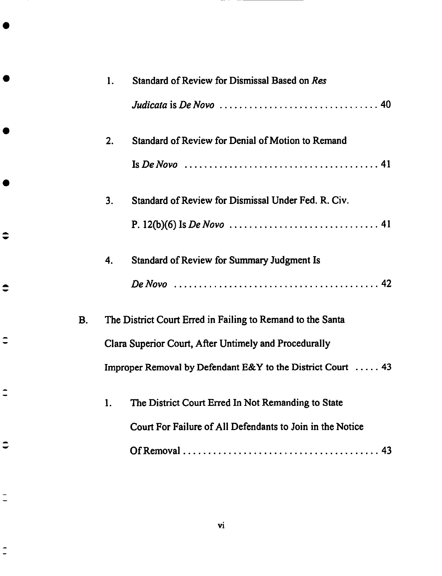|           | 1. | Standard of Review for Dismissal Based on Res                                                        |
|-----------|----|------------------------------------------------------------------------------------------------------|
|           |    | Judicata is De Novo $\ldots \ldots \ldots \ldots \ldots \ldots \ldots \ldots \ldots$ . 40            |
|           | 2. | Standard of Review for Denial of Motion to Remand                                                    |
|           |    |                                                                                                      |
|           | 3. | Standard of Review for Dismissal Under Fed. R. Civ.                                                  |
|           |    |                                                                                                      |
|           | 4. | <b>Standard of Review for Summary Judgment Is</b>                                                    |
|           |    | De Novo $\ldots \ldots \ldots \ldots \ldots \ldots \ldots \ldots \ldots \ldots \ldots \ldots \ldots$ |
| <b>B.</b> |    | The District Court Erred in Failing to Remand to the Santa                                           |
|           |    | Clara Superior Court, After Untimely and Procedurally                                                |
|           |    | Improper Removal by Defendant E&Y to the District Court  43                                          |
|           |    | The District Court Erred In Not Remanding to State                                                   |
|           |    | Court For Failure of All Defendants to Join in the Notice                                            |
|           |    |                                                                                                      |

 $\Rightarrow$ 

 $\bullet$ 

 $\ddot{=}$ 

 $\ddot{\phantom{1}}$ 

 $\ddot{\phantom{a}}$ 

 $\frac{1}{2}$ 

 $\overline{\phantom{a}}$ 

**vi**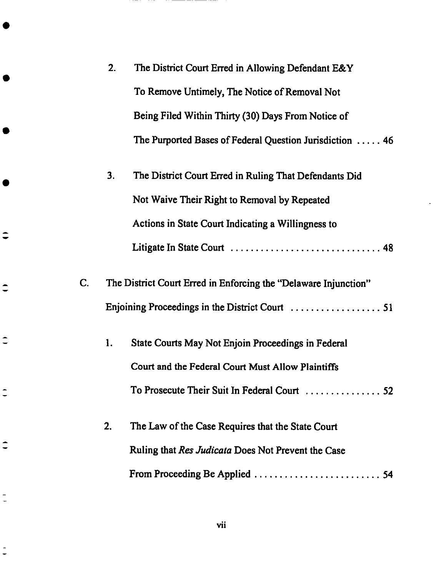|    | 2. | The District Court Erred in Allowing Defendant E&Y              |
|----|----|-----------------------------------------------------------------|
|    |    | To Remove Untimely, The Notice of Removal Not                   |
|    |    | Being Filed Within Thirty (30) Days From Notice of              |
|    |    | The Purported Bases of Federal Question Jurisdiction  46        |
|    | 3. | The District Court Erred in Ruling That Defendants Did          |
|    |    | Not Waive Their Right to Removal by Repeated                    |
|    |    | Actions in State Court Indicating a Willingness to              |
|    |    |                                                                 |
| C. |    | The District Court Erred in Enforcing the "Delaware Injunction" |
|    |    |                                                                 |
|    | 1. | State Courts May Not Enjoin Proceedings in Federal              |
|    |    | Court and the Federal Court Must Allow Plaintiffs               |
|    |    |                                                                 |
|    | 2. | The Law of the Case Requires that the State Court               |
|    |    | Ruling that <i>Res Judicata</i> Does Not Prevent the Case       |
|    |    |                                                                 |

 $\hat{=}$ 

 $\hat{=}$ 

 $\overline{\phantom{a}}$ 

 $\frac{1}{2}$ 

 $\Rightarrow$ 

 $\frac{1}{2}$ 

 $\frac{1}{2}$ 

**vii**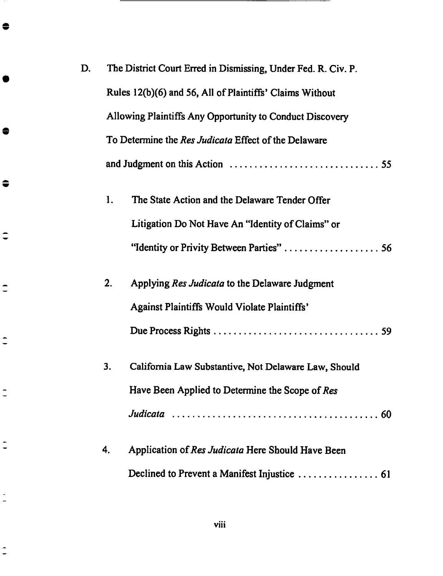| D. |    | The District Court Erred in Dismissing, Under Fed. R. Civ. P. |
|----|----|---------------------------------------------------------------|
|    |    | Rules 12(b)(6) and 56, All of Plaintiffs' Claims Without      |
|    |    | Allowing Plaintiffs Any Opportunity to Conduct Discovery      |
|    |    | To Determine the Res Judicata Effect of the Delaware          |
|    |    |                                                               |
|    | 1. | The State Action and the Delaware Tender Offer                |
|    |    | Litigation Do Not Have An "Identity of Claims" or             |
|    |    |                                                               |
|    | 2. | Applying Res Judicata to the Delaware Judgment                |
|    |    | <b>Against Plaintiffs Would Violate Plaintiffs'</b>           |
|    |    |                                                               |
|    | 3. | California Law Substantive, Not Delaware Law, Should          |
|    |    | Have Been Applied to Determine the Scope of Res               |
|    |    |                                                               |
|    | 4. | Application of Res Judicata Here Should Have Been             |
|    |    |                                                               |

 $\bullet$ 

 $\bullet$ 

 $\bullet$ 

 $\ddot{=}$ 

 $\hat{=}$ 

 $\hat{=}$ 

 $\frac{1}{2}$ 

 $\overline{\phantom{a}}$ 

 $\frac{1}{2}$ 

 $\frac{1}{2}$ 

**viii**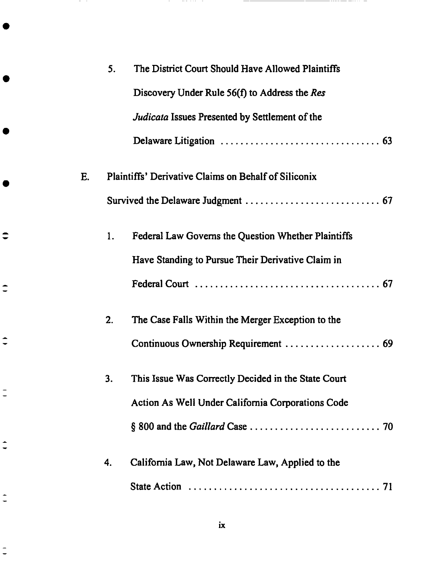|    | 5. | The District Court Should Have Allowed Plaintiffs    |
|----|----|------------------------------------------------------|
|    |    | Discovery Under Rule $56(f)$ to Address the Res      |
|    |    | Judicata Issues Presented by Settlement of the       |
|    |    |                                                      |
| Ε. |    | Plaintiffs' Derivative Claims on Behalf of Siliconix |
|    |    |                                                      |
|    | 1. | Federal Law Governs the Question Whether Plaintiffs  |
|    |    | Have Standing to Pursue Their Derivative Claim in    |
|    |    |                                                      |
|    | 2. | The Case Falls Within the Merger Exception to the    |
|    |    |                                                      |
|    | 3. | This Issue Was Correctly Decided in the State Court  |
|    |    | Action As Well Under California Corporations Code    |
|    |    |                                                      |
|    | 4. | California Law, Not Delaware Law, Applied to the     |
|    |    |                                                      |

and the co

 $\overline{\phantom{0}}$ 

**COMPA** 

 $\bullet$ 

 $\hat{=}$ 

 $\hat{=}$ 

 $\frac{1}{2}$ 

 $\hat{=}$ 

 $\frac{1}{\epsilon}$ 

 $\frac{1}{2}$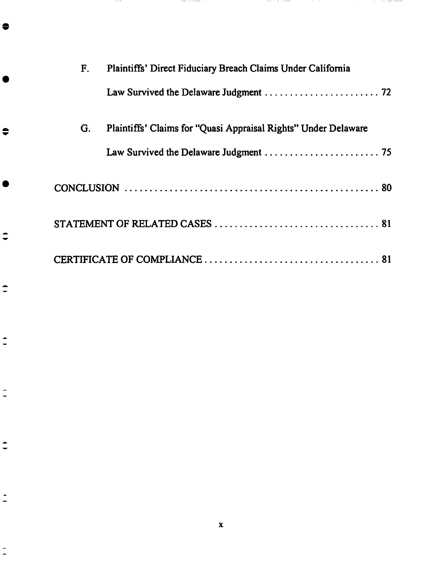| F. | Plaintiffs' Direct Fiduciary Breach Claims Under California    |
|----|----------------------------------------------------------------|
|    |                                                                |
| G. | Plaintiffs' Claims for "Quasi Appraisal Rights" Under Delaware |
|    |                                                                |
|    |                                                                |
|    |                                                                |
|    |                                                                |

a se premier

a mata sampun

1990 F.

 $\mathcal{L}^{\text{max}}_{\text{max}}$  , and the set of  $\mathcal{L}^{\text{max}}_{\text{max}}$ 

a mata

 $\bullet$ 

 $\Rightarrow$ 

 $\ddot{•}$ 

 $\ddot{=}$ 

 $\overline{\phantom{a}}$ 

 $\frac{1}{2}$ 

 $\div$ 

 $\hat{=}$ 

 $\frac{1}{2}$ 

 $\mathbf{x}$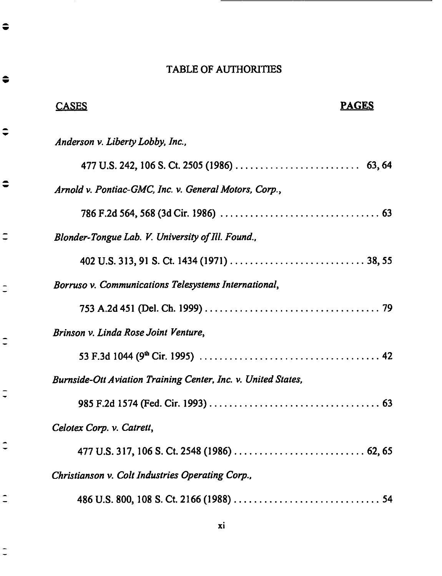| <b>TABLE OF AUTHORITIES</b>                                   |  |
|---------------------------------------------------------------|--|
| <b>PAGES</b><br><b>CASES</b>                                  |  |
| Anderson v. Liberty Lobby, Inc.,                              |  |
|                                                               |  |
| Arnold v. Pontiac-GMC, Inc. v. General Motors, Corp.,         |  |
|                                                               |  |
| Blonder-Tongue Lab. V. University of Ill. Found.,             |  |
|                                                               |  |
| Borruso v. Communications Telesystems International,          |  |
|                                                               |  |
| Brinson v. Linda Rose Joint Venture,                          |  |
|                                                               |  |
| Burnside-Ott Aviation Training Center, Inc. v. United States, |  |
|                                                               |  |
| Celotex Corp. v. Catrett,                                     |  |
|                                                               |  |
| Christianson v. Colt Industries Operating Corp.,              |  |
|                                                               |  |

 $\bullet$ 

 $\bullet$ 

 $\ddot{•}$ 

 $\bullet$ 

 $\ddot{=}$ 

 $\frac{1}{2}$ 

 $\ddot{=}$ 

 $\frac{1}{2}$ 

 $\hat{\cdot}$ 

 $\overline{\phantom{a}}$ 

 $\frac{1}{2}$ 

**xi**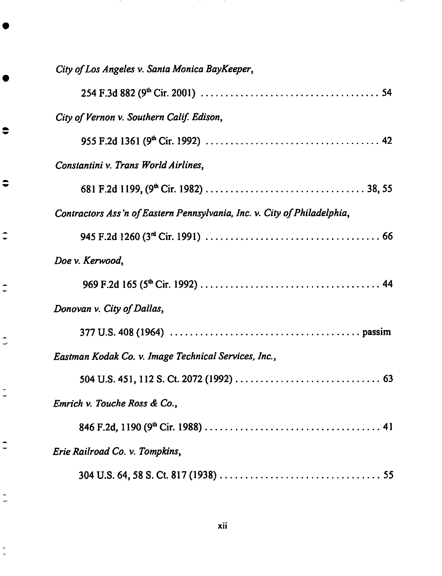| City of Los Angeles v. Santa Monica BayKeeper,                           |
|--------------------------------------------------------------------------|
|                                                                          |
| City of Vernon v. Southern Calif. Edison,                                |
|                                                                          |
| Constantini v. Trans World Airlines,                                     |
|                                                                          |
| Contractors Ass'n of Eastern Pennsylvania, Inc. v. City of Philadelphia, |
|                                                                          |
| Doe v. Kerwood,                                                          |
|                                                                          |
| Donovan v. City of Dallas,                                               |
|                                                                          |
| Eastman Kodak Co. v. Image Technical Services, Inc.,                     |
|                                                                          |
| Emrich v. Touche Ross & Co.,                                             |
|                                                                          |
| Erie Railroad Co. v. Tompkins,                                           |
|                                                                          |

 $\bullet$ 

 $\bullet$ 

 $\div$ 

 $\overline{\phantom{a}}$ 

 $\overline{\phantom{a}}$ 

 $\frac{1}{2}$ 

 $\overline{\phantom{a}}$ 

 $\frac{1}{2}$ 

 $\frac{1}{2}$ 

 $\overline{\phantom{0}}$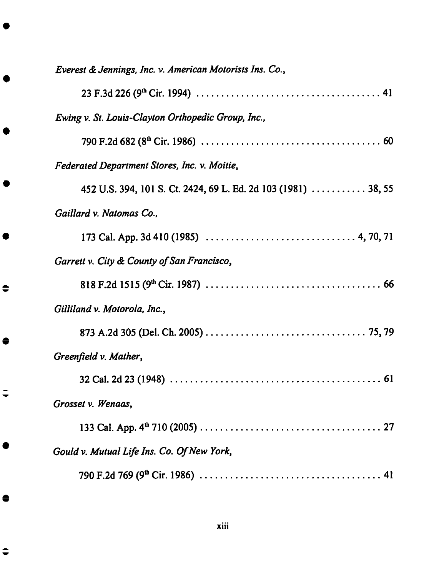| Everest & Jennings, Inc. v. American Motorists Ins. Co.,       |
|----------------------------------------------------------------|
|                                                                |
| Ewing v. St. Louis-Clayton Orthopedic Group, Inc.,             |
|                                                                |
| Federated Department Stores, Inc. v. Moitie,                   |
| 452 U.S. 394, 101 S. Ct. 2424, 69 L. Ed. 2d 103 (1981)  38, 55 |
| Gaillard v. Natomas Co.,                                       |
|                                                                |
| Garrett v. City & County of San Francisco,                     |
|                                                                |
| Gilliland v. Motorola, Inc.,                                   |
|                                                                |
| Greenfield v. Mather,                                          |
|                                                                |
| Grosset v. Wenaas,                                             |
|                                                                |
| Gould v. Mutual Life Ins. Co. Of New York,                     |
|                                                                |

 $\begin{array}{c}\n\bullet \\
\bullet\n\end{array}$ 

●

 $\Rightarrow$ 

 $\bullet$ 

 $\ddot{•}$ 

. <u>. . . . . . .</u>

 $- - -$ 

 $\overline{\phantom{a}}$ 

 $\overline{\phantom{a}}$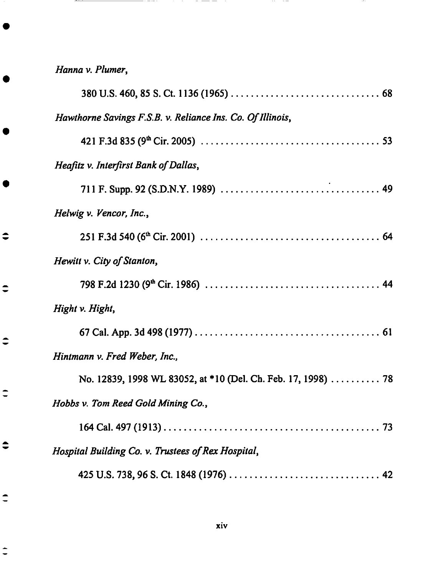*Hanna v. Plumer,*

 $\hat{\bullet}$ 

 $\ddot{\phantom{a}}$ 

 $\div$ 

 $\ddot{\phantom{a}}$ 

 $\bullet$ 

 $\hat{=}$ 

 $\ddot{=}$ 

 $-$ 

and the state of

...

| Hawthorne Savings F.S.B. v. Reliance Ins. Co. Of Illinois,    |
|---------------------------------------------------------------|
|                                                               |
| Heafitz v. Interfirst Bank of Dallas,                         |
|                                                               |
| Helwig v. Vencor, Inc.,                                       |
|                                                               |
| Hewitt v. City of Stanton,                                    |
|                                                               |
| Hight v. Hight,                                               |
|                                                               |
| Hintmann v. Fred Weber, Inc.,                                 |
| No. 12839, 1998 WL 83052, at *10 (Del. Ch. Feb. 17, 1998)  78 |
| Hobbs v. Tom Reed Gold Mining Co.,                            |
|                                                               |
| Hospital Building Co. v. Trustees of Rex Hospital,            |
|                                                               |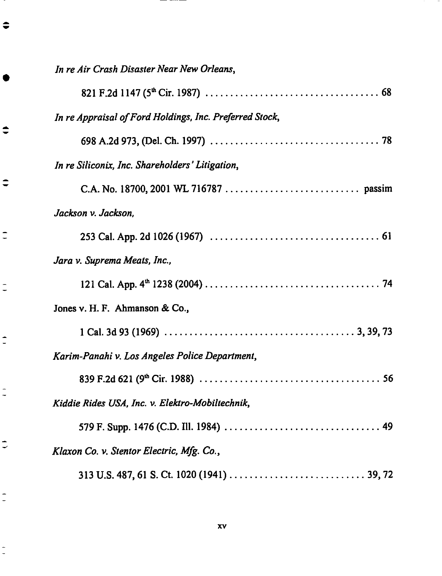| In re Air Crash Disaster Near New Orleans,              |
|---------------------------------------------------------|
|                                                         |
| In re Appraisal of Ford Holdings, Inc. Preferred Stock, |
|                                                         |
| In re Siliconix, Inc. Shareholders' Litigation,         |
|                                                         |
| Jackson v. Jackson,                                     |
|                                                         |
| Jara v. Suprema Meats, Inc.,                            |
|                                                         |
| Jones v. H. F. Ahmanson & Co.,                          |
|                                                         |
| Karim-Panahi v. Los Angeles Police Department,          |
|                                                         |
| Kiddie Rides USA, Inc. v. Elektro-Mobiltechnik,         |
|                                                         |
| Klaxon Co. v. Stentor Electric, Mfg. Co.,               |
|                                                         |

≡

 $\Rightarrow$ 

 $\Rightarrow$ 

 $\overline{\phantom{a}}$ 

 $\frac{1}{2}$ 

 $\tilde{z}$ 

 $\frac{1}{2}$ 

 $\overline{\phantom{a}}$ 

 $\overline{\phantom{a}}$ 

 $\overline{\phantom{a}}$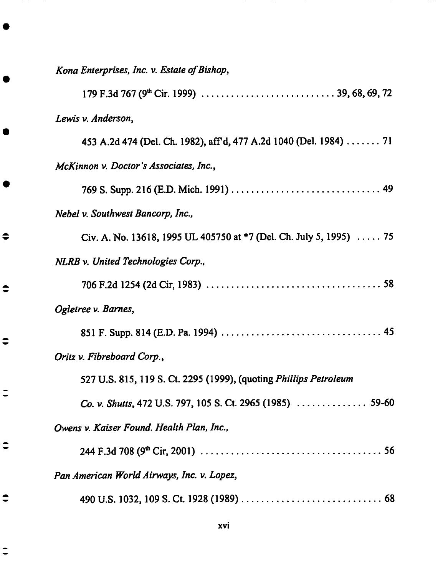*Kona Enterprises, Inc. v. Estate of Bishop,* **179** F.3d 767 **(9** th**Cir.** 1999) ........................... 39, **68,** 69, **72** *Lewis v.* Anderson, 453 A.2d 474 (Del. Ch. 1982), aft'd, 477 A.2d 1040 (Del. 1984) ....... 71 *McKinnon v. Doctor's* Associates, *Inc.,* 769 S. Supp. 216 (E.D. Mich. 1991) .............................. 49 *Nebel v. Southwest Bancorp, Inc.,* Cir. A. **No.** 13618, 1995 **UL** 405750 at \*7 (Del. Ch. July 5, 1995) ..... 75 *NLRB v. United Technologies Corp.,* 706 F.2d **1254 (2d Cir, 1983)** ................................... 58 *Ogletree v. Barnes,* 851 **F. Supp. 814 (E.D. Pa. 1994)** ................................ **45** *Oritz v. Fibreboard Corp.,* 527 **U.S. 815, 119 S. Ct. 2295 (1999), (quoting** *Phillips Petroleum Co. v. Shutts,* **472 U.S. 797, 105** S. **Ct. 2965 (1985)** .............. **59-60** *Owens v. Kaiser Found. Health Plan, Inc.,* **244 F.3d 708** (9 \_ **Cir,** 2001) .................................... **56** *Pan American World* Airways, *Inc. v. Lopez,* **490 U.S. 1032, 109 S. Ct. 1928 (1989)** ............................ 68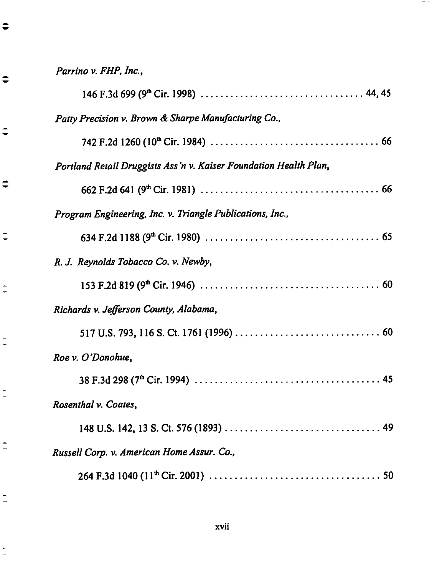Parrino *v. FLIP, Inc.,*

o m

 $\sim$  -  $\sim$  -  $\sim$ 

 $\bullet$ 

 $\bullet$ 

 $\ddot{\phantom{1}}$ 

 $\ddot{•}$ 

 $\ddot{=}$ 

 $\frac{1}{2}$ 

 $\frac{1}{2}$ 

 $\frac{1}{2}$ 

 $\frac{1}{2}$ 

 $\frac{1}{2}$ 

 $\frac{1}{2}$ 

a shekara

| Patty Precision v. Brown & Sharpe Manufacturing Co.,              |
|-------------------------------------------------------------------|
|                                                                   |
| Portland Retail Druggists Ass'n v. Kaiser Foundation Health Plan, |
|                                                                   |
| Program Engineering, Inc. v. Triangle Publications, Inc.,         |
|                                                                   |
| R. J. Reynolds Tobacco Co. v. Newby,                              |
|                                                                   |
| Richards v. Jefferson County, Alabama,                            |
|                                                                   |
| Roe v. O'Donohue,                                                 |
|                                                                   |
| Rosenthal v. Coates,                                              |
|                                                                   |
| Russell Corp. v. American Home Assur. Co.,                        |
|                                                                   |

. <del>. . .</del> . . . . . . . . . .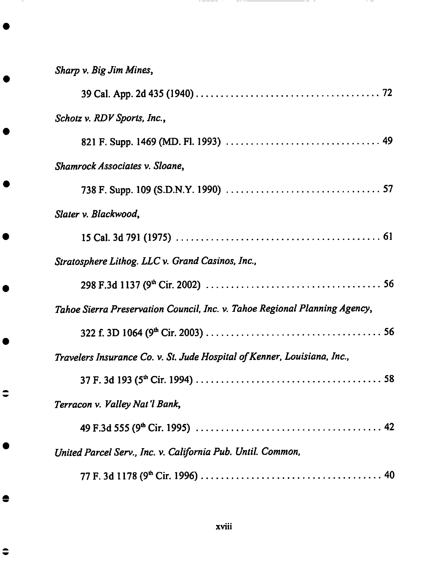*Sharp* v. *Big Jim Mines,* 39 **Cal.** App. 2d 435 **(1940)** ..................................... 72 Schotz *v. RDV* Sports, Inc., **821 F. Supp. 1469 (MD. FI. 1993)** ............................... 49 *Shamrock dssociates v.* Sloane, **738 F. Supp. 109 (S.D.N.Y. 1990)** ............................... **57** *Slater v. Blackwood,* **15 Cal.** 3d **791 (1975)** ......................................... **61** *Stratosphere Lithog. LLC v. Grand Casinos, Inc.,* **298 F.3d 1137 (9** \_ **Cir. 2002)** ................................... **56** *Tahoe Sierra Preservation Council, Inc. v. Tahoe Regional Planning Agency,* **322 f. 3D 1064 (9** \_ **Cir. 2003)** ................................... **56** *Travelers Insurance Co. v.* St. *Jude Hospital of Kenner, Louisiana, Inc.,* **37 F. 3d 193 (5** \_ **Cir. 1994)** ..................................... 58 *Terracon v. Valley Nat "1Bank,* **49 F.3d 555 (9** \_ **Cir. 1995)** ..................................... 42 *United Parcel* Serv., Inc. *v. California Pub. Until. Common,* **77 F. 3d 1178 (9** \_ **Cir. 1996)** .................................... 40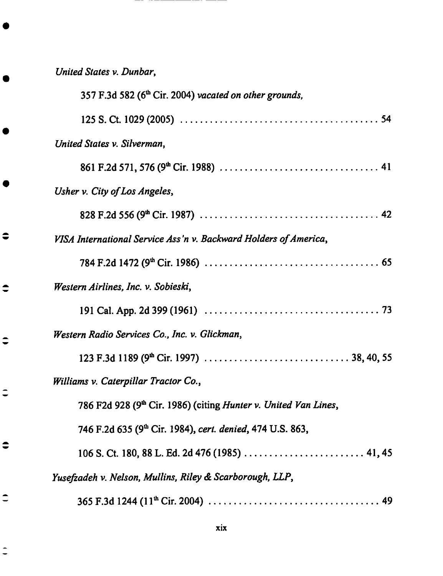| United States v. Dunbar,                                                            |
|-------------------------------------------------------------------------------------|
| 357 F.3d 582 (6 <sup>th</sup> Cir. 2004) vacated on other grounds,                  |
|                                                                                     |
| United States v. Silverman,                                                         |
|                                                                                     |
| Usher v. City of Los Angeles,                                                       |
|                                                                                     |
| VISA International Service Ass'n v. Backward Holders of America,                    |
|                                                                                     |
| Western Airlines, Inc. v. Sobieski,                                                 |
|                                                                                     |
| Western Radio Services Co., Inc. v. Glickman,                                       |
|                                                                                     |
| Williams v. Caterpillar Tractor Co.,                                                |
| 786 F2d 928 (9 <sup>th</sup> Cir. 1986) (citing <i>Hunter v. United Van Lines</i> , |
| 746 F.2d 635 (9 <sup>th</sup> Cir. 1984), cert. denied, 474 U.S. 863,               |
|                                                                                     |
| Yusefzadeh v. Nelson, Mullins, Riley & Scarborough, LLP,                            |
|                                                                                     |

-- $-$ 

 $\bullet$ 

 $\Rightarrow$ 

 $\ddot{•}$ 

 $\ddot{=}$ 

 $\bullet$ 

 $\ddot{\phantom{a}}$ 

 $\frac{1}{2}$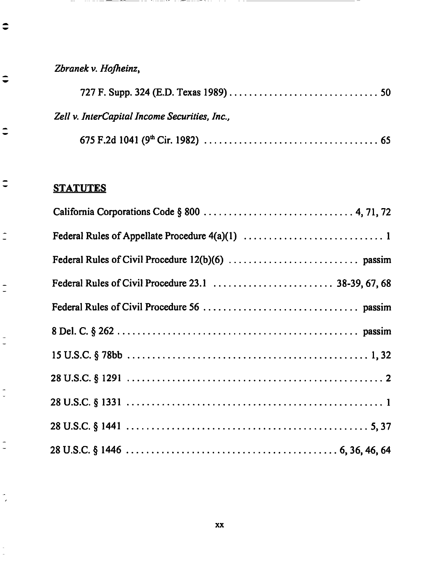*Zbranek v. Hofheinz,*

 $\qquad \qquad -$ 

 $\hat{\bullet}$ 

 $\bullet$ 

 $\ddot{\phantom{1}}$ 

 $\ddot{\phantom{a}}$ 

 $\tilde{\mathbb{I}}$ 

 $\overline{\phantom{a}}$ 

 $\frac{1}{2}$ 

÷  $\overline{a}$ 

 $\frac{1}{2}$ 

 $\tilde{\phantom{a}}$ 

| Zell v. InterCapital Income Securities, Inc., |  |
|-----------------------------------------------|--|
|                                               |  |

# **STATUTES**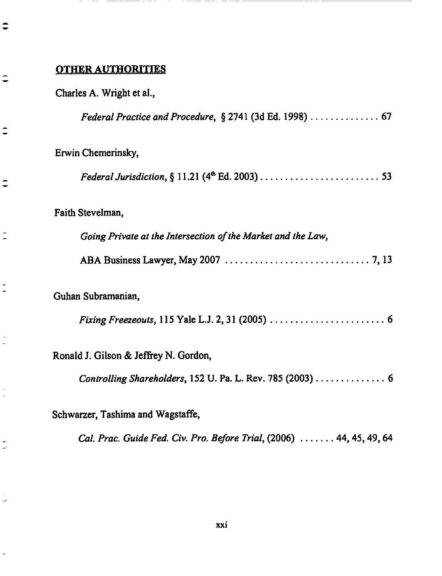#### OTHER **AUTHORITIES**

€

こ

 $\overline{\phantom{a}}$ 

 $\overline{a}$ 

 $\overline{\phantom{a}}$ 

*Federal Practice and Procedure,* § 2741 (3d Ed. 1998) .............. 67

**Erwin Chemerinsky,**

*Federal Jurisdiction, §* **11.21 (4 thEd.** 2003) ........................ 53

Faith **Stevelman,**

*Going Private at the Intersection of the Market and the Law,*

**ABA Business Lawyer, May** 2007 ............................. **7, 13**

**Guhan** Subramanian,

*Fixing Freezeouts,* **115** Yale L.J. 2, **31** (2005) ....................... **6**

Ronald **J.** Gilson & **Jeffrey N.** Gordon,

*Controlling Shareholders,* 152 U. Pa. L. Rev. 785 (2003) .............. 6

Schwarzer, Tashima and **Wagstaffe,**

*Cal. Prac. Guide Fed. Cir. Pro. Before Trial,* (2006) ....... 44, 45, 49, 64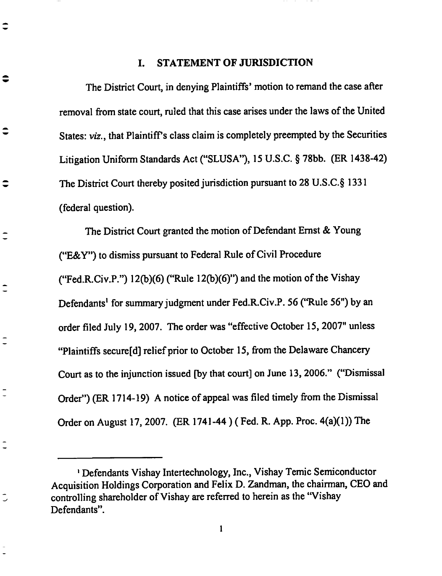#### I. STATEMENT OF JURISDICTION

≎

 $\hat{\phantom{a}}$ 

 $\hat{\mathbf{v}}$ 

 $\overline{\phantom{a}}$ 

 $\overline{\phantom{a}}$ 

The District Court, in **denying Plaintiffs'** motion to **remand the case after removal from state** court, **ruled that this case arises under the laws of the United States:** *v/z.,* **that Plaintiff's class claim is** completely **preempted** by **the Securities Litigation Uniform Standards Act ("SLUSA"), 15 U.S.C.** § **78bb. (ER 1438-42) The District Court** thereby **posited jurisdiction pursuant to 28 U.S.C.§ 1331 (federal question).**

The **District Court granted the motion of Defendant Ernst & Young ("E&Y") to dismiss pursuant to Federal Rule of Civil Procedure ("Fed.R.Civ.P.") 12('o)(6) ("Rule 12(b)(6)") and the motion of** the Vishay **Defendants** \_ **for summary judgment under Fed.R.Civ.P.** 56 **("Rule 56") by** an **order filed** July **19, 2007.** The **order was** "effective **October 15, 2007" unless** "Plaintiffs **secure[d] relief prior to October 15,** from **the Delaware Chancery Court as to the injunction issued [by that** court] **on June 13, 2006." ("Dismissal Order") (ER 1714-19) A notice of appeal was filed timely** from **the Dismissal Order on August 17,** *2007.* **(ER 1741-44** ) **( Fed.** R. **App.** Proc. **4(a)(1))** The

 $\mathbf{1}$ 

**Defendants Vishay Intertechnology, Inc.,** Vishay **Temic Semiconductor Acquisition Holdings Corporation** and **Felix D. Zandman,** the **chairman, CEO** and **controlling shareholder of Vishay** are **referred to** herein **as the** "Vishay **Defendants".**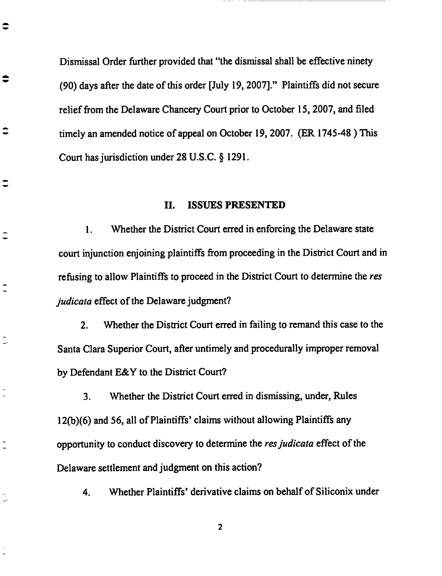Dismissal Order **further provided** that "the dismissal **shall be effective ninety (90) days after** the **date of this order** [July **19, 2007]?' Plaintiffs did not secure** relief **from the Delaware Chancery Court prior** to **October 15, 2007, and filed** timely an **amended notice of appeal on October 19, 2007. (ER 1745-48 ) This Court has jurisdiction under 28 U.S.C.** § **1291.**

 $\bullet$ 

≑

€

 $\tilde{\phantom{a}}$ 

 $\overline{\phantom{a}}$ 

 $\overline{\phantom{a}}$ 

#### **II. ISSUES PRESENTED**

1. **Whether** the **District** Court **erred in enforcing** the Delaware **state** court injunction enjoining **plaintiffs** from **proceeding** in the **District Court** and in refusing to allow Plaintiffs to proceed in the District Court to determine the *res judicata* effect of the *Delaware* judgment?

2. Whether the District Court erred in failing to remand this case to the Santa Clara Superior Court, after untimely and **procedurally** improper removal by Defendant E&Y to the District Court?

3. Whether the District Court erred in dismissing, under, Rules 12(b)(6) and 56, all of Plaintiffs' claims **without** allowing Plaintiffs any opportunity to **conduct** discovery to determine the *resjudicata* effect of the Delaware settlement and judgment on this action?

4. Whether Plaintiffs' derivative claims on behalf of Siliconix under

 $\overline{\mathbf{2}}$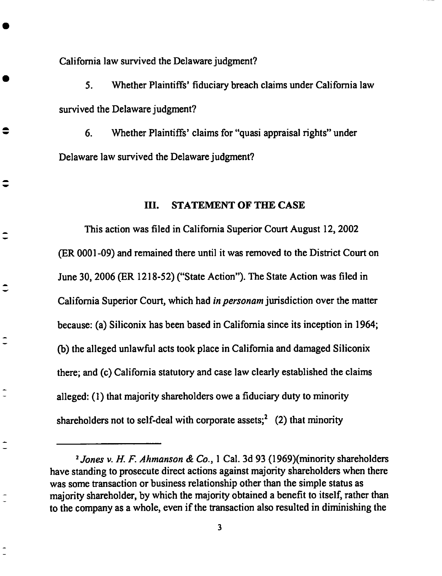California law survived the Delaware judgment?

5. Whether Plaintiffs' fiduciary breach claims under California law survived the Delaware judgment?

6. Whether Plaintiffs' claims for "quasi appraisal rights" under Delaware law survived the Delaware judgment?

#### **IIl. STATEMENT OF TIlE CASE**

This **action** was **filed in California Superior Court August** 12, **2002** (ER 0001-09) and remained there until it was removed to the District Court on June 30, 2006 (ER 1218-52) ("State Action"). *The* State *Action* was filed in California Superior Court, which had *in personam* jurisdiction over the matter because: (a) Siliconix has been based in California since its inception in 1964; (b) the alleged unlawful acts took place in California and damaged Siliconix there; and (c) California **statutory** and ease law clearly established the claims **alleged:** (1) that majority **shareholders** owe **a fiduciary duty to** minority shareholders not to self-deal with corporate assets;<sup>2</sup> (2) that minority

<sup>2</sup>Jones *v. H. F. Ahmanson & Co.,* 1 **Cal.** 3d **93** (1969)(minority shareholders have standing to prosecute direct actions against majority **shareholders** when there was some transaction or business relationship other than the simple status as majority shareholder, by which the majority obtained a benefit to itself, rather than to the company as a whole, even if the transaction also resulted in diminishing the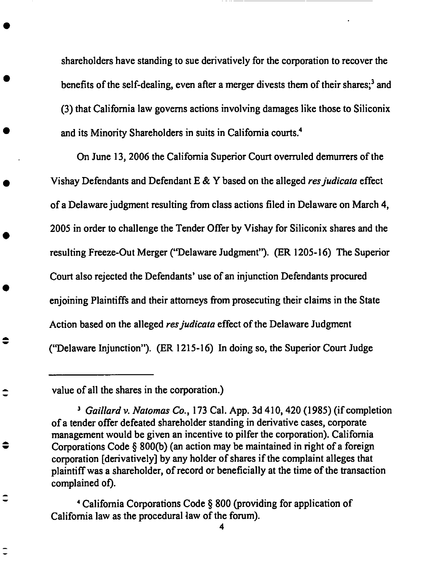**shareholders** have standing to **sue derivatively** for the **corporation** to recover the benefits of the self-dealing, **even** after a merger divests them of their **shares;** 3 and (3) that California law governs actions involving damages like those to Silieonix and its Minority Shareholders in suits in California courts. 4

On June 13, 2006 the California Superior Court overruled demurrers of the Vishay Defendants and Defendant E & Y based on the alleged *resjudicata* **effect** of a Delaware judgment resulting from **class** actions filed in Delaware on March 4, 2005 in order to **challenge** the Tender Offer by Vishay for Silieonix shares and the resulting Freeze-Out Merger ("Delaware Judgment"). (ER 1205-16) The Superior Court also rejected the Defendants' use of an injunction Defendants procured **enjoining** Plaintiffs and their attorneys from prosecuting their **claims** in the State Action based on the alleged *resjudicata* **effect** of the Delaware Judgment ("Delaware Injunction"). (ER 1215-16) In doing so, the Superior Court Judge

value of all the **shares** in the **corporation.)**

 $\bullet$ 

4 California Corporations Code § 800 (providing for **application of** California law as the procedural law of the forum).

4

<sup>3</sup> *Galliard v. Natomas Co.,* 173 **Cal.** App. **3d** 410, 420 **(1985) (if completion of** a tender **offer** defeated **shareholder standing** in derivative **cases, corporate** management would be given an incentive to pilfer the corporation). California Corporations Code § 800(b) (an action may be maintained in right of a foreign corporation [derivatively] by **any** holder **of shares** if the **complaint** alleges that plaintiff was a **shareholder, of** record or beneficially **at** the time of the transaction complained **of).**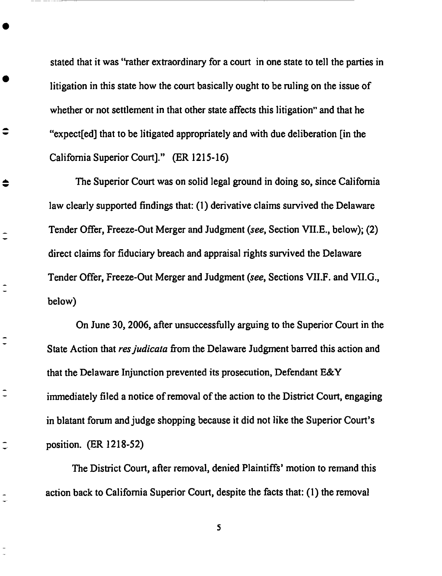stated that it was "rather **extraordinary** for **a** court in one **state** to tell the parties in litigation in this state how the court basically ought to be ruling on the issue of whether or not settlement in that other state affects this litigation" and that he "expect[ed] that to be litigated appropriately and with due deliberation [in the California Superior Court]." (ER 1215-16)

 $\bullet$ 

♦

 $\overline{\phantom{a}}$ 

 $\overline{\phantom{a}}$ 

*The* Superior Court was on solid legal ground in doing so, since California law clearly supported findings that: (1) derivative claims survived the Delaware *Tender* Offer, Freeze-Out Merger and Judgment (see, Section VILE., below); (2) direct claims for fiduciary breach and appraisal rights survived the Delaware Tender Offer, Freeze-Out Merger and Judgment (see, Sections VII.F. and VII.G., below)

On June 30, *2006,* after unsuccessfully arguing to the Superior Court in the State Action that *res judicata* from the Delaware Judgment barred this action and that the Delaware Injunction **prevented** its **prosecution,** Defendant E&Y immediately filed a notice of removal of the action to the District Court, engaging in blatant forum and judge shopping because it did not like the Superior Court's position. (ER 1218-52)

The District Court, after removal, denied Plaintiffs' motion to remand this action back to California Superior **Court,** despite the facts that: (1) the removal

5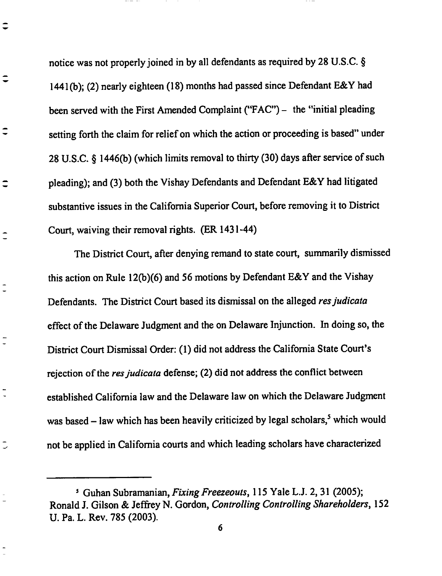notice was not properly joined in by **all** defendants as required **by** 28 **U.S.C.** § 1441 (b); (2) nearly eighteen (18) months had passed since Defendant E&Y had been served with the First *Amended* Complaint ("FAC") - the "initial pleading setting forth the claim for relief on which the action or proceeding is based" under 28 U.S.C. § 1446(b) (which limits removal to thirty (30) days after service of such pleading); and (3) both the Vishay Defendants and Defendant E&Y had litigated substantive issues in the California Superior Court, before removing it to District Court, waiving their removal rights. (ER 1431-44)

€

⊋

⊋

 $\overline{\phantom{a}}$ 

 $\frac{1}{2}$ 

The District Court, after denying remand to state court, summarily dismissed this action on Rule 12(b)(6) and 56 motions by Defendant E&Y and the Vishay Defendants. The District Court based its dismissal on the alleged *resjudicata* effect of the Delaware Judgment and the on Delaware Injunction. In doing so, the District Court Dismissal Order: (1) did not address the California State Court's rejection of the *res judicata* defense; (2) did not address the conflict between established California law and the Delaware law on which the Delaware Judgment was based  $-$  law which has been heavily criticized by legal scholars,<sup>5</sup> which would not be applied in **California** courts and which leading scholars have characterized

<sup>5</sup> Guhan Subramanian, *FixingFreezeouts,* 115 **Yale L.J.** 2, **31** (2005); Ronald J. Gilson & Jeffrey N. Gordon, *Controlling Controlling Shareholders*, 152 U. Pa. L. Rev. 785 (2003).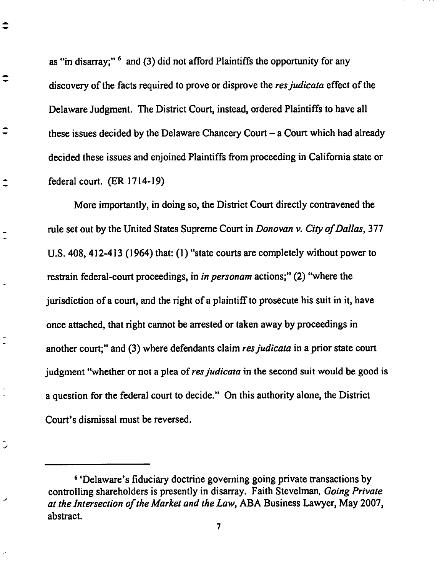as "in disarray;"  $\delta$  and (3) did not afford Plaintiffs the opportunity for any **discovery of the** facts **required to** prove **or disprove the** *resjudicata* effect **of** the Delaware **Judgment.** The District Court, **instead, ordered** Plaintiffs to have all these issues decided by the Delaware Chancery Court - a Court which had already **decided** these issues and enjoined Plaintiffs from proceeding in California state **or** federal **court.** (ER 1714-19)

 $\hat{\mathbf{v}}$ 

ر

More importantly, in **doing so,** the District Court **directly contravened** the **rule** set **out** by **the** United States Supreme Court **in** *Donovan* **v.** *City of Dallas,* 377 U.S. 408, 412-413 **(1964)** that: **(1)** "state courts are **completely** without **power** to restrain federal-court proceedings, **in** *in personam* actions;" (2) "where the jurisdiction **of** a **court,** and the **right of** a plaintiff to prosecute his suit **in it,** have **once** attached, that right **cannot** be arrested **or taken** away by proceedings **in** another **court;"** and (3) where **defendants claim** *resjudicata* in a prior **state court** judgment "whether or not a plea of res judicata in the second suit would be good is a question for **the** federal **court** to **decide."** On **this authority** alone, the District Court's dismissal must be reversed.

<sup>6</sup> 'Delaware's fiduciary **doctrine** governing going private transactions by controlling shareholders is presently in disarray. Faith Stevelman, *Going Private at the Intersection of the Market and the Law, ABA* Business Lawyer, May 2007, abstract.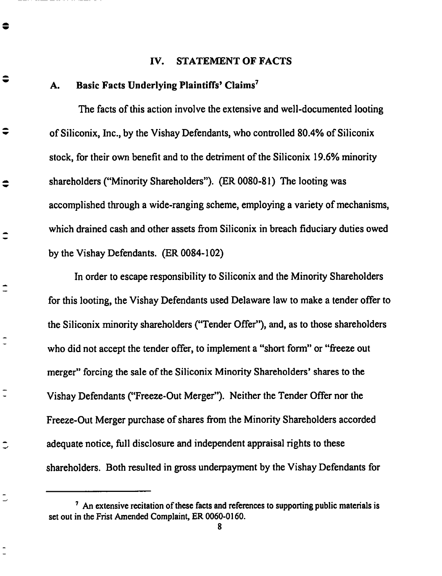#### **IV. STATEMENT OF FACTS**

#### **A. Basic Facts Underlying Plaintiffs' Claims** \_

●

≑

≑

 $\bullet$ 

 $\hat{\mathbf{-}}$ 

 $\tilde{\mathcal{L}}$ 

**The facts of this action involve the** extensive **and** well-documented **looting of Siliconix, Inc., by the Vishay Defendants,** who **conlyolled 80.4% of Siliconix stock, for their own** benefit **and to the detriment of the Siliconix 19.6%** minority **shareholders ("Minority Shareholders"). (ER 0080-81)** The **looting** was **accomplished through a** wide-ranging **scheme,** employing **a variety of mechanisms,** which **drained cash and other assets from Siliconix in** breach **fiduciary duties owed** by **the** Vishay **Defendants. (ER 0084-102)**

**In order to escape responsibility to Siliconix and the Minority Shareholders for this looting, the Vishay Defendants used Delaware law to make a tender offer to the Siliconix minority shareholders ("Tender Offer"),** and, **as to those shareholders who did not accept the tender offer, to implement a** "short **form" or** "freeze **out merger" forcing the sale of the Siliconix Minority Shareholders' shares to the** Vishay **Defendants ("Freeze-Out Merger"). Neither the Tender Offer nor the Freeze-Out Merger purchase of shares** from **the Minority Shareholders accorded adequate notice, full disclosure and independent appraisal rights to these shareholders. Both resulted in gross underpayment by the** Vishay **Defendants for**

**8**

**An** extensive **recitation of these facts and references to supporting public materials is set out in the Frist Amended Complaint, ER 0060-0160.**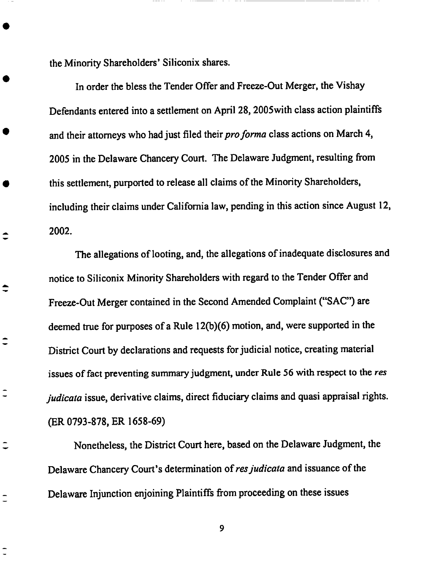the Minority Shareholders' **Siliconix shares.**

 $\div$ 

 $\hat{\mathbf{-}}$ 

 $\overline{\phantom{a}}$ 

**In order** the bless the **Tender** Offer **and** Freeze-Out Merger, the **Vishay** Defendants entered into a settlement on *April* 28, 2005with class action plaintiffs and their attorneys who had just filed their *proforma* class actions on March 4, 2005 in the Delaware Chancery Court. The Delaware Judgment, resulting from this settlement, purported to release all claims of the Minority Shareholders, including their claims under California law, pending in this action since August 12, 2002.

The allegations of looting, and, the allegations of inadequate disclosures and notice to Siliconix Minority Shareholders with regard to the Tender Offer and Freeze-Out Merger contained in the Second Amended Complaint ("SAC") are deemed true for purposes of a Rule 12(b)(6) motion, and, were supported in the District Court by declarations and requests for judicial notice, creating material issues **of** fact **preventing summary** judgment, under Rule 56 with respect to the *res judicata* issue, derivative claims, direct fiduciary claims and quasi appraisal **rights.** (ER 0793-878, ER 1658-69)

Nonetheless, the District Court here, based on the Delaware Judgment, the Delaware Chancery Court's determination of *resjudicata* and issuance of the Delaware Injunction enjoining Plaintiffs from proceeding on these issues

9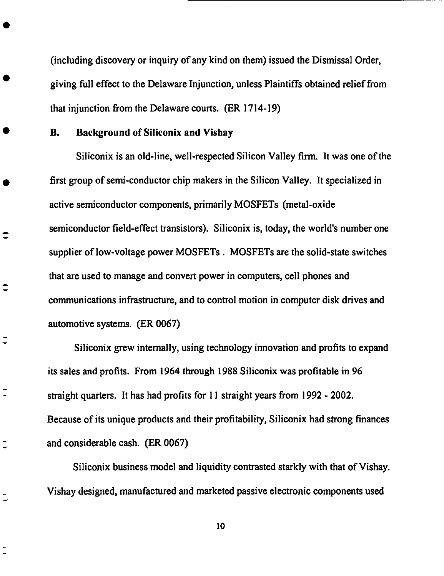(including discovery or inquiry of any kind on them) issued the Dismissal **Order,** giving full effect to the Delaware Injunction, unless Plaintiffs obtained relief from that injunction from the Delaware courts. (ER 1714-19)

### **B. Background of Silieonix and Vishay**

 $\hat{\mathbf{-}}$ 

╤

ς

**Siliconix is an old-line, well-respected Silicon Valley firm. It** was **one of** the **first group of semi-conductor chip makers in the Silicon Valley. It specialized in active semiconductor components, primarily MOSFETs (metal-oxide semiconductor field-effect** transistors). Siliconix is, today, the world's number one supplier of low-voltage power MOSFETs. MOSFETs are the solid-state switches that are used to manage and convert power in computers, cell phones and communications infrastructure, and to control motion in computer disk drives and automotive systems. (ER 0067)

Siliconix grew internally, using technology innovation and profits to expand its sales and profits. From 1964 through 1988 Siliconix was profitable in 96 straight quarters. It has had profits for 11 **straight** years from 1992 - 2002. Because of its unique products and their profitability, Siliconix had strong finances and considerable cash. (ER 0067)

Siliconix business model and liquidity contrasted starkly with that of Vishay. Vishay designed, manufactured and marketed passive electronic components used

lO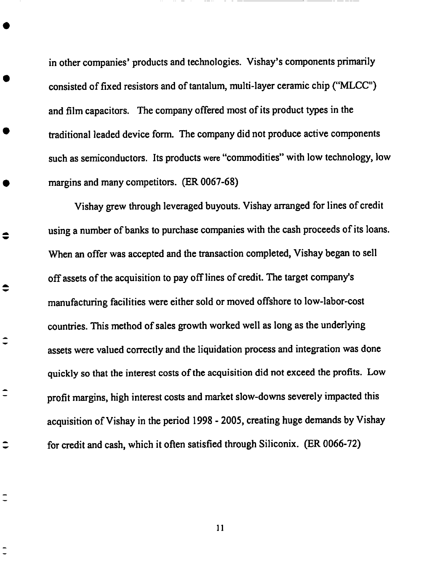**in other** companies' **products and technologies. Vishay's** components **primarily** consisted **of fixed resistors and of tantalum, multi-layer** ceramic chip **("MLCC") and film** capacitors. **The** company **offered most of its product types in the traditional leaded device form.** The company **did not produce active** components **such as semiconductors. Its products were** "commodities" **with low technology, low** margins **and many** competitors. (ER **0067-68)**

**Vishay grew through leveraged buyouts. Vishay arranged for lines of** credit **using a** number **of banks to purchase** companies **with the** cash **proceeds of its loans.** When an **offer was accepted** and **the transaction** completed, **Vishay began to sell off assets of the acquisition to pay off lines of** credit. The **target** company's manufacturing **facilities were** either **sold or moved offshore to low-labor-cost** countries. **This method of sales** growth **worked well as long as the underlying assets were valued** correctly **and the liquidation process** and **integration was done quickly so that the interest** costs **of the acquisition did not** exceed **the profits. Low profit** margins, **high interest** costs **and** market **slow-downs severely impacted this acquisition of Vishay in the period 1998 - 2005,** creating **huge demands by Vishay for** credit and cash, **which it often satisfied through Siliconix. (ER 0066-72)**

 $\bullet$ 

≎

Ξ

 $\hat{\mathbf{-}}$ 

**II**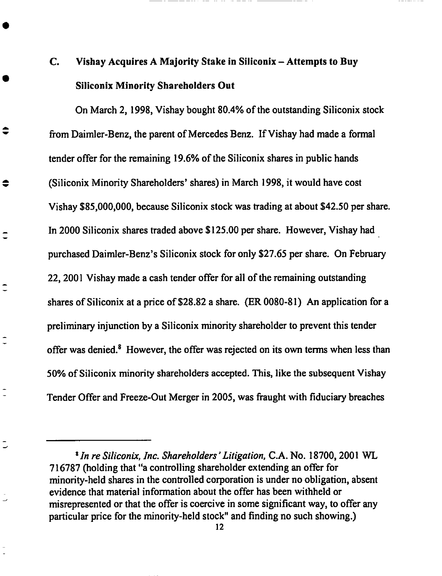# C. Vishay Acquires A Majority Stake in Siliconix - Attempts to Buy Siliconix Minority Shareholders Out

On March 2, 1998, Vishay bought 80.4% of the outstanding Silieonix stock from Daimler-Benz, the parent of Mercedes Benz. If Vishay had made a formal tender offer for the remaining 19.6% of the Siliconix shares in public hands (Siliconix Minority Shareholders' shares) in March 1998, it would have cost Vishay \$85,000,000, because Siliconix stock was trading at about \$42.50 per share. In 2000 Siliconix shares traded above \$125.00 per share. However, Vishay had purchased Daimler-Benz's Siliconix stock for only \$27.65 per share. On February 22, 2001 Vishay made a cash tender offer for all of the remaining outstanding shares of Silieonix at a price of \$28.82 a share. (ER 0080-81) An application for a preliminary injunction by a Siliconix minority **shareholder to prevent this tender offer was denied) However, the offer was rejected on its own terms when less than** 50% **of Siliconix minority shareholders accepted. This, like the subsequent Vishay Tender Offer** and **Freeze-Out Merger in 2005, was** fraught **with fiduciary breaches**

€

 $\overline{\phantom{a}}$ 

<sup>8</sup>*In re Siliconix, Inc. Shareholders" Litigation,* **C.A. No.** 18700, 2001 **WL 716787** ('holding **that** "a **controlling shareholder extending** an **offer for minority-held shares in the** controlled **corporation is under no obligation, absent** evidence **that material information about the offer** has **been withheld or** misrepresented **or** that **the** offer is coercive **in some significant** way, to **offer** any particular price for the minority-held **stock"** and finding no such showing.)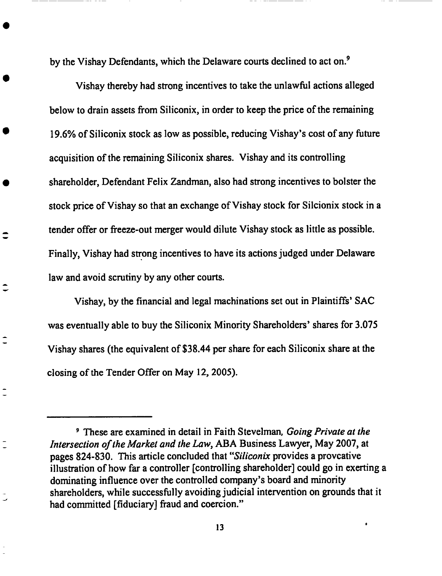**by** the Vishay Defendants, which the **Delaware** courts declined to **act on.** 9

Vishay thereby had strong incentives to take the unlawful actions alleged below to drain assets from Siliconix, in order to keep the price of the remaining 19.6% of Siliconix stock as low as possible, reducing Vishay's cost of any future acquisition of the remaining Siliconix shares. Vishay and its controlling shareholder, Defendant Felix *Zandman,* also had strong incentives to bolster the stock price of Vishay so that an exchange of Vishay stock for Sileionix **stock** in a tender offer or freeze-out merger would dilute Vishay stock as little as possible. Finally, Vishay had strong incentives to have its actions judged under Delaware law **and** avoid **scrutiny** by any other **courts.**

Vishay, by the financial and legal machinations set out in Plaintiffs' SAC was eventually able to buy the Siliconix Minority Shareholders' shares for 3.075 Vishay shares (the equivalent of \$38.44 per share for each Siliconix share at the closing of the Tender Offer on May 12, 2005).

Ξ

<sup>9</sup> These **are** examined in detail in Faith **Stevelman,** *Going Private at the Intersection of the Market and the Law, ABA* Business Lawyer, May 2007, at **pages** 824-830. This article concluded that "Siliconix provides a proveative illustration of how far a controller [controlling **shareholder]** could go in exerting a dominating influence over the controlled company's board and minority shareholders, while successfully avoiding judicial intervention on grounds that it had committed [fiduciary] fraud and coercion."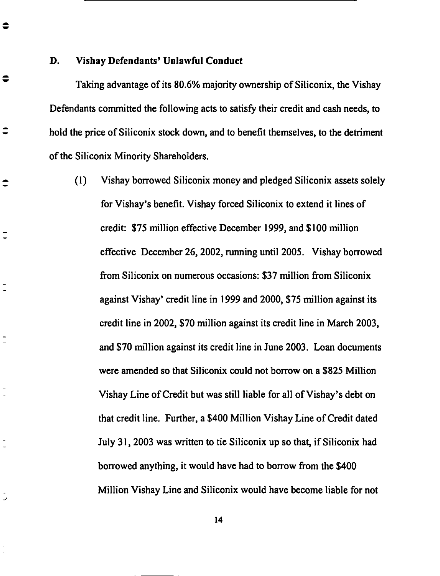**D. Vishay Defendants' Unlawful Conduct**

 $\bullet$ 

 $\bullet$ 

≂

**Taking advantage of its 80.6%** majority **ownership of Siliconix, the Vishay** Defendants **committed** the following **acts to satisfy their credit and cash** needs, to hold **the** price **of Siliconix stock** down, **and to benefit themselves, to** the **detriment of** the **Siliconix** Minority **Shareholders.**

**(1)** Vishay **borrowed Siliconix** money **and pledged Siliconix assets solely for Vishay's benefit. Vishay forced Siliconix to** extend **it lines of credit: \$75 million** effective **December 1999, and \$100 million** effective **December 26, 2002, running until 2005. Vishay borrowed from Siliconix on numerous occasions: \$37 million** from **Siliconix against Vishay' credit line in 1999 and 2000, \$75 million against its credit line in 2002, \$70** million **against its credit line in March 2003,** and **\$70 million against its credit line in June 2003. Loan documents were amended so that Siliconix could not borrow on a \$825 Million Vishay Line of Credit but was still liable for all of Vishay's debt on** that **credit line. Further, a \$400** Million Vishay **Line of Credit dated July** 31, **2003** was **written to** tie **Siliconix up** *so* that, **if Siliconix had borrowed anything, it would have had to borrow** from **the \$400 Million Vishay Line and Siliconix would have become liable for not**

**14**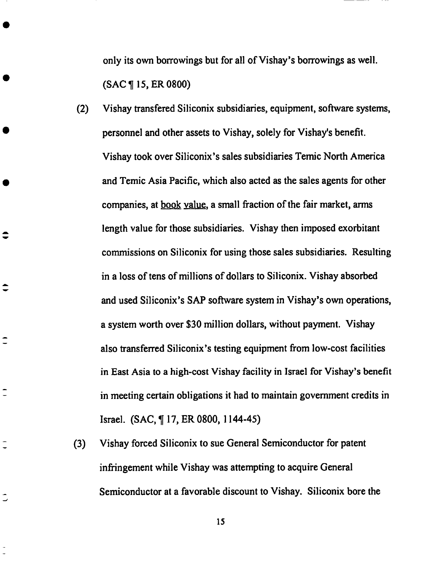only its own borrowings **but for all** of **Vishay's borrowings as well.** (SAC ¶ 15, ER **0800)**

(2) Vishay transfered Siliconix **subsidiaries, equipment,** software systems, personnel and other assets to Vishay, solely for Vishay's benefit. Vishay took over Siliconix's **sales subsidiaries** Temic North America and Temic Asia Pacific, which **also acted as the** sales **agents** for **other** companies, at book value, a small fraction of the fair market, arms length value for those subsidiaries. Vishay then imposed exorbitant commissions on Siliconix for using those **sales** subsidiaries. Resulting in a loss of tens of millions of dollars to Silieonix. Vishay absorbed and used Siliconix's SAP software system in Vishay's own operations, a system worth over \$30 million dollars, without payment. Vishay also transferred Siliconix's testing equipment from low-cost facilities in East *Asia* to a high-cost Vishay facility in Israel for Vishay's benefit in meeting certain obligations it had to maintain government credits in Israel. (SAC, ¶ 17, ER 0800, 1144-45)

 $\hat{ }$ 

 $\overline{\phantom{a}}$ 

 $\overline{C}$ 

(3) Vishay forced Siliconix to sue General Semiconductor for patent infringement while Vishay was attempting to acquire General Semiconductor at a favorable discount to Vishay. Siliconix bore the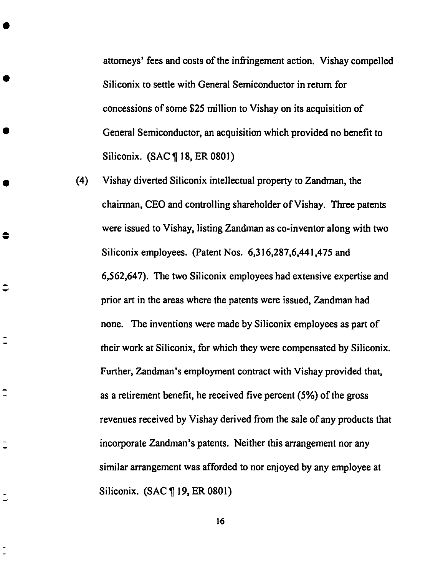attorneys' fees and costs of the infringement action. **Vishay** compelled Siliconix to settle with General Semiconductor in return for concessions of some \$25 million to Vishay on its acquisition of General Semiconductor, an acquisition which provided no benefit to Silieonix. (SAC ¶ 18, ER 0801)

(4) Vishay diverted Siliconix intellectual property to *Zandman,* the chairman, CEO and controlling shareholder of Vishay. *Three* patents were issued to Vishay, listing *Zandman* as co-inventor along with two Siliconix employees. (Patent Nos. 6,316,287,6,441,475 and 6,562,647). The two Silieonix employees had extensive expertise and prior art in the areas where the patents were issued, *Zandman* had none. The inventions were made by Siliconix employees as part of their work at Siliconix, for which they were compensated by Siliconix. Further, *Zandman's* employment contract with Vishay provided that, as a retirement benefit, he received five percent (5%) of the gross revenues received by Vishay derived from the sale of any products that incorporate *Zandman's* patents. Neither this arrangement nor any similar arrangement was afforded to nor enjoyed by any employee at Siliconix. (SAC ¶ 19, ER 0801)

≎

 $\overline{\phantom{a}}$ 

 $\tilde{\mathbf{I}}$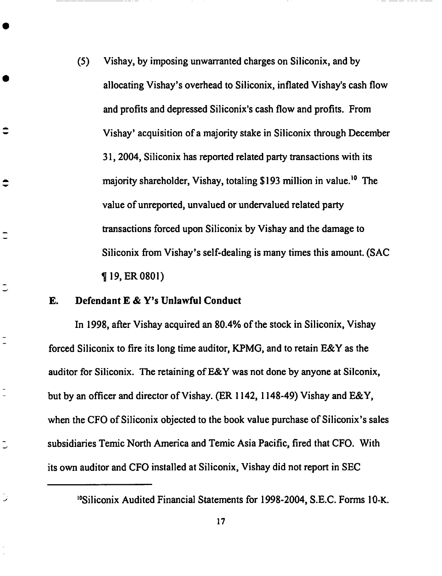(5) **Vishay, by** imposing unwarranted charges **on Siliconix,** and **by** allocating Vishay's overhead to Siliconix, inflated Vishay's cash flow and profits and depressed Siliconix's cash flow and **profits.** From Vishay' acquisition of a majority stake in Siliconix through December 31, 2004, Siliconix has reported related party transactions with its majority shareholder, Vishay, totaling \$193 million in value.<sup>10</sup> The value of unreported, unvalued or undervalued related party transactions forced upon Siliconix by Vishay and the damage to Siliconix from Vishay's self-dealing is many times this amount. (SAC ¶ **19, ER 0801)**

### **E. Defendant E** & **Y's Unlawful Conduct**

 $\hat{\mathbf{v}}$ 

 $\tilde{\phantom{a}}$ 

 $\bar{\mathbb{C}}$ 

 $\overline{\phantom{a}}$ 

**In 1998, after Vishay acquired** an **80.4% of the stock in Siliconix, Vishay forced Siliconix to fire its long time auditor,** KPMG, **and to retain E&Y as the auditor for Siliconix. The retaining of E&Y was not done by** anyone **at Siiconix, but by** an **officer** and **director ofVishay. (ER 1142, 1148-49) Vishay and E&Y,** when the **CFO of Siliconix objected** to the book value purchase of Siliconix's sales subsidiaries *Temic* North *America* and *Temic* Asia Pacific, fired that CFO. With its own auditor and CFO installed at Siliconix, Vishay did not report in SEC

<sup>&#</sup>x27;°Siliconix Audited Financial **Statements** for 1998-2004, S.E.C. Forms 10-K.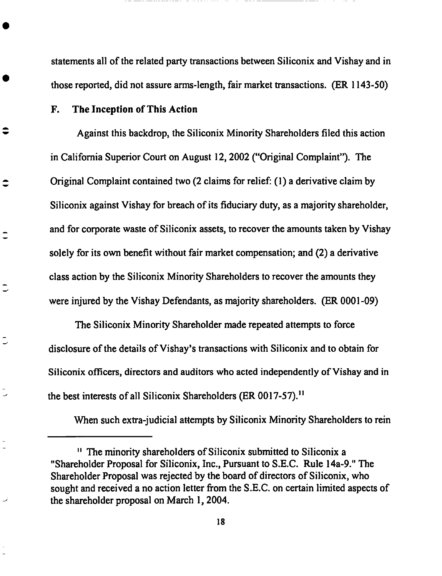statements all **of** the **related** party transactions between Siliconix and Vishay and in **those reported,** did not assure arms-length, fair market transactions. **(ER** 1143-50)

### **F. The** Inception **of This** Action

 $\overline{\phantom{0}}$ 

Against this backdrop, the Siliconix **Minority** Shareholders filed this action in California Superior Court **on** August 12, 2002 **("Original** Complaint"). **The** Original Complaint contained **two (2** claims for **relief: (1)** a derivative claim **by** Siliconix against **Vishay** for breach **of its fiduciary** duty, as a majority shareholder, and for corporate **waste of** Siliconix assets, to **recover** the amounts taken **by Vishay** solely **for** its **own benefit without** fair **market** compensation; and **(2) a derivative** class action **by** the Siliconix **Minority** Shareholders to **recover** the amounts **they** were injured by the Vishay Defendants, as majority shareholders. **(ER 0001-09)**

**The** Siliconix **Minority** Shareholder made **repeated** attempts **to force** disclosure **of** the details **of** Vishay's transactions **with** Siliconix and to **obtain** for Siliconix **officers,** directors and auditors **who** acted independently **of Vishay** and **in** the best interests of all Siliconix Shareholders **(ER 0017-57)**.<sup>11</sup>

**When** such extra-judicial attempts **by** Siliconix **Minority** Shareholders **to rein**

**<sup>&</sup>quot;** The minority shareholders **of Siliconix** submitted **to Siliconix a** "Shareholder **Proposal for** Siliconix, Inc., **Pursuant** to S.E.C. **Rule** 14a-9." **The** Shareholder **Proposal** was **rejected** by **the** board **of** directors **of** Siliconix, who sought and **received** a no action **letter from the S.E.C. on** certain **limited** aspects **of** the shareholder proposal **on March** 1, 2004.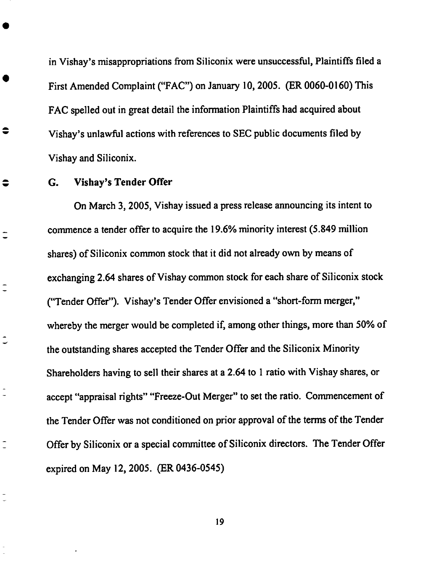in Vishay's **misappropriations from Siliconix** were unsuccessful, **Plaintiffs** filed **a First Amended Complaint ("FAC") on January 10, 2005. (ER 0060-0160) This FAC spelled out in great detail** the **information Plaintiffs** had **acquired about** Vishay's **unlawful actions** with **references to SEC public documents filed by** Vishay **and Siliconix.**

### **G. Vishay's Tender Offer**

€

 $\bullet$ 

 $\ddot{\phantom{a}}$ 

 $\overline{ }$ 

**On March 3, 2005,** Vishay **issued a press release announcing its intent to** commence a **tender offer to** acquire **the** 19.6% minority interest (5.849 million shares) of Siliconix common stock that it did not already own by means of exchanging 2.64 shares of Vishay common stock for each share of Siliconix stock ("Tender Offer"). Vishay's Tender Offer envisioned a "short-form merger," whereby the merger would be completed if, among other things, more than 50% of the outstanding shares accepted the *Tender* Offer and the Silieonix Minority **Shareholders** having to **sell** their **shares at a** 2.64 to 1 ratio **with** Vishay **shares,** or accept "appraisal fights" "Freeze-Out Merger" to set the ratio. Commencement of the Tender Offer was not conditioned on prior approval of the terms of the Tender Offer by Siliconix or a special committee of Silieonix directors. The Tender Offer expired on May 12, *2005.* (ER 0436-0545)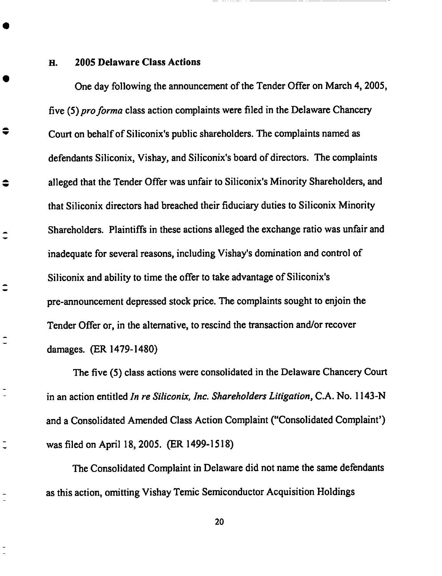**H. 2005 Delaware Class Actions**

♦

 $\overline{\phantom{a}}$ 

One day following the **announcement** of the Tender Offer on March 4, **2005,** five (5) pro forma class action complaints were filed in the Delaware Chancery Court on behalf of Siliconix's **public** shareholders. The complaints named as defendants Siliconix, Vishay, and Siliconix's board of directors. The **complaints** alleged that the Tender Offer was unfair to Silieonix's Minority Shareholders, and that Siliconix directors had breached their fiduciary duties to Siliconix Minority Shareholders. Plaintiffs in these actions alleged the exchange ratio was unfair and inadequate for several reasons, including Vishay's domination and control of Siliconix and ability to time the offer to take advantage of Siliconix's pre-announcement depressed stock price. The complaints sought to enjoin the Tender Offer or, in the alternative, to rescind the transaction and/or recover damages. (ER 1479-1480)

The **five** (5) class actions were consolidated in the Delaware Chancery Court in an action entitled *In re Siliconix, lnc. Shareholders Litigation,* C.A. No. 1143-N and a Consolidated *Amended* Class *Action* Complaint ("Consolidated Complaint') was filed on April 18, 2005. (ER 1499-1518)

The Consolidated Complaint in Delaware did not name the **same** defendants as this action, omitting Vishay Temic Semiconductor *Acquisition* Holdings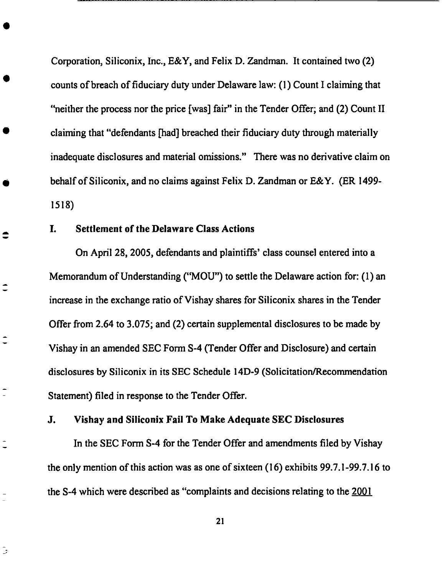**Corporation, Siliconix,** Inc., **E&Y, and** Felix **D. Zandman. It contained** two (2) **counts** of breach of **fiduciary** duty under Delaware law: (l) Count I **claiming** that "neither the process nor the price **[was]** fair" in the Tender Offer; and (2) Count II **claiming** that "defendants **[had]** breached their **fiduciary** duty through materially inadequate disclosures and material omissions." There was no derivative **claim** on behalf of Siliconix, and no **claims** against Felix D. Zandman or E&Y. (ER 1499- 1518)

### I. Settlement of *the* **Delaware** Class Actions

≘

 $\hat{\mathbf{-}}$ 

 $\overline{ }$ 

د

On April 28, 2005, defendants and plaintiffs' **class counsel** entered into a Memorandum of Understanding ("MOU") to settle the Delaware action for: (1) an increase in the **exchange** ratio of Vishay shares for Siliconix shares in the Tender Offer from 2.64 to 3.075; and (2) **certain** supplemental disclosures to be made by Vishay in an amended SEC Form S-4 (Tender Offer and Disclosure) and **certain** disclosures by Siliconix in its SEC Schedule 14D-9 (Solicitation/Recommendation Statement) filed in response to the Tender Offer.

### J. Vishay and Siliconix Fail To Make Adequate SEC Disclosures

In the SEC Form S-4 for the Tender Offer and amendments filed by Vishay the only mention of this action was as one of sixteen (16) exhibits 99.7.1-99.7.16 to the S-4 which were described as "complaints and decisions relating to the 2001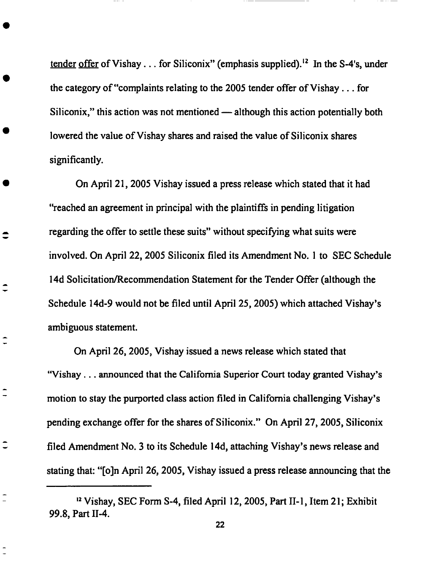tender offer of Vishay... for Siliconix" (emphasis supplied).<sup>12</sup> In the S-4's, under the category of "complaints relating to the 2005 tender offer of Vishay... for Siliconix," this action was not mentioned — although this action potentially both lowered the value of Vishay shares and raised the value of Siliconix shares significantly.

On *April 21, 2005* Vishay issued a press release which stated that it had "reached an agreement in principal with the plaintiffs in pending litigation regarding the offer to settle these suits" without **specifying** what suits were involved. On *April* 22, 2005 Siliconix filed its *Amendment* No. 1 to SEC Schedule 14d Solicitation/Recommendation Statement for the Tender Offer (although the Schedule 14d-9 would not be filed until *April* 25, 2005) which attached Vishay's ambiguous statement.

 $\hat{\mathbf{t}}$ 

 $\hat{\mathbf{I}}$ 

 $\hat{=}$ 

On *April* 26, 2005, Vishay issued a news release which stated that "Vishay... announced that the **California Superior Court** today granted **Vishay's** motion to stay the purported class action filed in California challenging Vishay's pending exchange offer for the shares of Siliconix." On *April* 27, 2005, Siliconix filed *Amendment* No. 3 to its Schedule 14d, attaching Vishay's news release and stating that: "[o]n *April 26, 2005,* Vishay issued a press release announcing that the

\_2Vishay, **SEC** Form **S-4, filed** April 12, 2005, Part II-1, Item **21;** Exhibit 99.8, Part 11-4.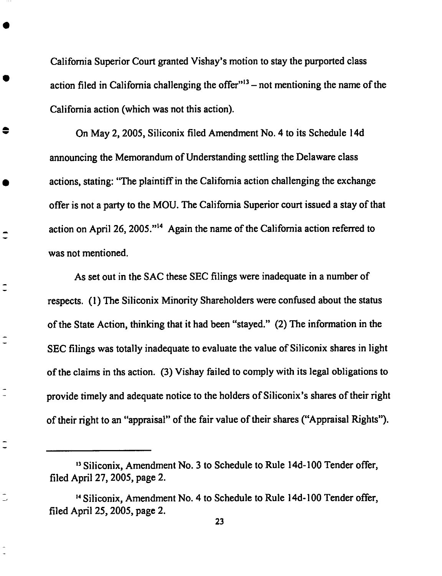California Superior **Court** granted Vishay's motion to **stay** the **purported class** action filed in California challenging the offer<sup>"13</sup> - not mentioning the name of the California action (which was not this action).

On May 2, 2005, Siliconix **filed** Amendment **No.** 4 to its Schedule 14d announcing the Memorandum of **Understanding** settling the Delaware **class** actions, stating: "The plaintiff in the California action challenging the exchange offer is not a party to the MOU. The California Superior court issued a stay of that action on April 26, 2005. **''14** Again the name of the California action referred to **was** not mentioned.

As set out in the SAC these SEC **filings** were inadequate in a number of respects. (1) The Siliconix Minority Shareholders were confused about the status of the State Action, thinking that it had been "stayed." (2) The information in the SEC **filings** was totally inadequate to evaluate the value of Siliconix shares in light of the claims in ths action. (3) Vishay failed to comply with its legal obligations to provide timely and adequate notice to the holders of Siliconix's shares of their right of their right to an "appraisal" of the fair value of their shares ("Appraisal Rights").

 $\overline{\phantom{a}}$ 

 $\overline{\phantom{a}}$ 

<sup>,3</sup>**Siliconix,** Amendment **No. 3** to **Schedule to Rule** 14d-100 Tender offer, filed April **27, 2005,** page **2.**

<sup>&</sup>lt;sup>14</sup> Siliconix, Amendment No. 4 to Schedule to Rule 14d-100 Tender offer, **filed** April 25, 2005, page 2.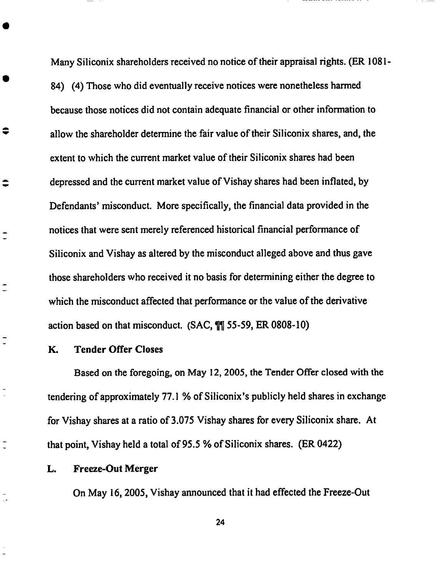Many **Siliconix** shareholders received no notice **of** their appraisal rights. (ER **1081-** 84) (4) Those who did eventually receive notices were nonetheless harmed because those notices did not contain adequate financial or other information to allow the shareholder determine the fair value of their Siliconix shares, and, the extent to which the current market value of their Siliconix shares had been depressed and the current market value of Vishay shares had been inflated, by Defendants' misconduct. More specifically, the financial data provided in the notices that were sent merely referenced historical financial performance of Siliconix and Vishay as altered by the misconduct alleged above and thus gave those shareholders who received it no basis for determining either the degree to which the misconduct affected that performance or the value of the derivative **action** based **on** that misconduct. **(SAC,** ¶¶ 55-59, ER 0808-10)

### *K.* Tender Offer *Closes*

≑

≎

 $\overline{\phantom{a}}$ 

 $\overline{a}$ 

 $\overline{\phantom{a}}$ 

Based on the foregoing, on May 12, *2005,* the Tender Offer closed with the tendering of approximately 77.1% of Siliconix's publicly held shares in exchange for Vishay shares at a ratio of 3.075 Vishay shares for every Siliconix share. *At* that point, Vishay held a total of 95.5 % of Siliconix shares. (ER 0422)

#### *L.* Freeze-Out **Merger**

On May 16, 2005, Vishay armouneed that it had effected the Freeze-Out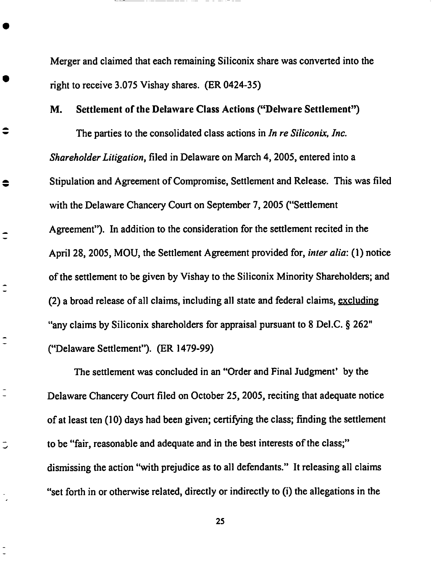Merger and **claimed** that each remaining **Siliconix share** was **converted into** the right to receive 3.075 Vishay shares. (ER 0424-35)

### **M.** Settlement **of** the **Delaware** *Class* **Actions** ("Delware Settlement")

≑

€

 $\hat{\ }$ 

 $\overline{\phantom{a}}$ 

 $\tilde{\mathbb{I}}$ 

こ

The parties to the consolidated class actions in *In re Siliconix, lnc. Shareholder Litigation,* filed in Delaware on March 4, 2005, entered into a Stipulation and *Agreement* of Compromise, Settlement and Release. This was filed with the Delaware Chancery Court on September 7, 2005 ("Settlement *Agreement").* In addition to the consideration for the settlement recited in the April 28, 2005, MOU, the Settlement Agreement provided for, *inter alia:* (1) notice of the settlement to be given by Vishay to the Silieonix Minority Shareholders, and (2) a broad release of all claims, including all **state** and federal claims, excluding "any claims by Siliconix shareholders for appraisal pursuant to 8 DeI.C. § 262" ("Delaware Settlement"). (ER 1479-99)

The **settlement** was concluded in an "Order and Final Judgment' by the Delaware Chancery Court filed on October *25,* 2005, reciting that adequate notice **of** at least ten (10) days had been given; certifying the class; finding the settlement to be "fair, reasonable and adequate and in the best interests of the class;" dismissing the action "with prejudice as to all defendants." It releasing all claims "set forth in or otherwise related, directly or indirectly to (i) the allegations in the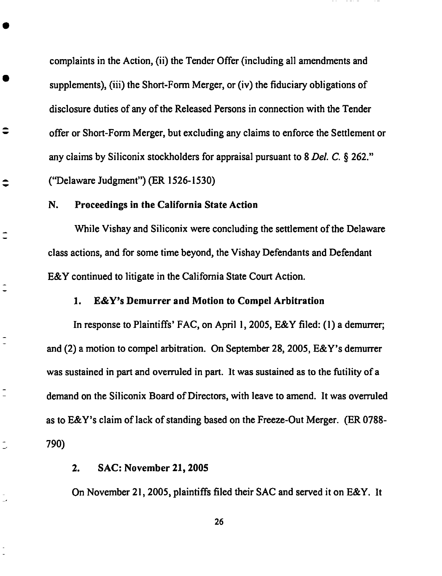complaints in **the** Action, (ii) **the** Tender Offer (including all **amendments and supplements),** (iii) **the Short-Form Merger, or (iv) the fiduciary obligations of disclosure** duties **of any of the Released** Persons **in** connection **with the Tender offer or Short-Form Merger, but excluding any** claims **to** enforce **the Settlement or any claims by Siliconix stockholders for appraisal pursuant to 8** *Del. C* § 262." **("Delaware Judgment") (ER 1526-1530)**

### **N. Proceedings in the California State Action**

≎

 $\overline{\phantom{a}}$ 

 $\overline{\phantom{a}}$ 

 $\rightarrow$ 

**While Vishay and Siliconix** were **concluding the settlement oft** he **Delaware class actions, and for** some **time beyond, the** Vishay **Defendants** and **Defendant E&Y continued to litigate in the California State** Court **Action.**

#### **1. E&Y's Demurrer and Motion to** Compel **Arbitration**

**In response to** Plaintiffs' **FAC, on April 1, 2005, E&Y filed: (1) a demurrer; and (2) a motion to compel arbitration. On September 28, 2005, E&Y's demurrer was sustained in pan and overruled in pan. It was sustained as to the futility of a demand on the Siliconix Board of Directors, with leave to amend. It was overruled as to E&Y's claim of lack of** standing **based on the Freeze-Out** Merger. **(ER 0788- 790)**

### **2. SAC: November 21, 2005**

**On November 21, 2005,** plaintiffs **filed** their **SAC and served it on E&Y. It**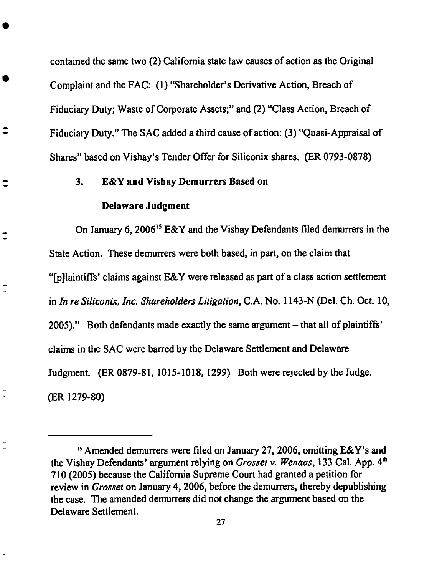contained **the same two (2) California state law** causes **of action as the Original Complaint and the FAC: (1)** "Shareholder's **Derivative Action, Breach of Fiduciary Duty; Waste of Corporate Assets;" and (2)** "Class **Action, Breach of Fiduciary Duty." The SAC added a third cause of action: (3) "Quasi-Appraisal of Shares" based on Vishay's Tender Offer for Sili¢onix shares. (ER 0793-0878)**

### **3. E&Y and Vishay Demurrers Based on**

#### **Delaware Judgment**

 $\overline{\phantom{a}}$ 

**On January** 6, **200615 E&Y and the Vishay Defendants filed demurrers in** the **State** Action. **These** demurrers **were both based,** in pan, on **the claim** that "[p]laintiffs' claims **against E&Y were released as part of a class action settlement in** *In* **re** *Siliconix, Inc. Shareholders Litigation,* **C.A. No. 1143-N (Del. Ch. Oct. 10, 2005)."** *Both* **defendants made exactly the same argument - that all of plaintiffs'** claims **in the SAC were barred by the Delaware Settlement and Delaware Judgment. (ER 0879-81, 1015-1018, 1299) Both were rejected by the Judge. (ER 1279-80)**

\_sAmended demurrers **were filed on January 27, 2006, omitting E&Y's** and the Vishay Defendants' argument relying on *Grosset v. Wenaas,* 133 Cal. App. 4 **th** 710 (2005) because the California Supreme Court had granted a petition for review in *Grosset* on January 4, 2006, before the demurrers, thereby depublishing the case. The amended demurrers did not change the argument based on the Delaware Settlement.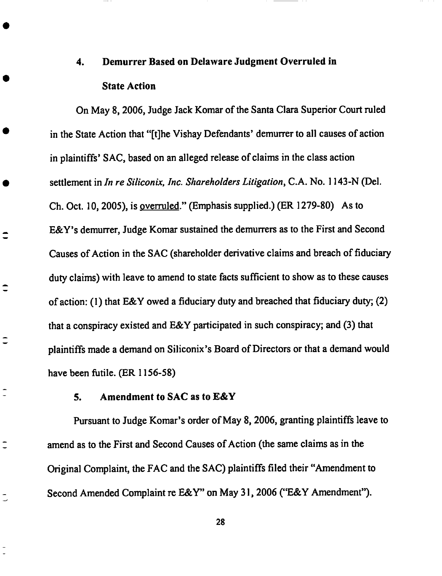## **4. Demurrer Based on Delaware** Judgment Overruled **in State Action**

On **May 8,** 2006, Judge **Jack** Komar **of the Santa Clara Superior Court** ruled in the State Action that "[t]he Vishay Defendants' demurrer to all **causes** of action in plaintiffs' SAC, based on an alleged release of **claims** in the **class** action settlement in *In re Siliconix, Inc. Shareholders Litigation,* C.A. **No.** 1143-N (Del. Ch. Oct. 10, 2005), is overruled." (Emphasis **supplied.)** (ER 1279-80) As to E&Y's demurrer, Judge Komar **sustained** the demurrers as to the First and Second Causes of Action in the SAC (shareholder derivative **claims** and breach of fiduciary duty **claims)** with leave to amend to state facts sufficient to show as to these **causes** of action: (1) that E&Y owed a **fiduciary** duty and breached that **fiduciary** duty; (2) that a **conspiracy** existed and E&Y participated in such **conspiracy;** and (3) that plaintiffs made a demand on Siliconix's Board of Directors or that a demand would have been futile. (ER 1156-58)

### **5.** Amendment **to** SAC as to **E&Y**

 $\hat{\ }$ 

 $\hat{\mathbf{-}}$ 

こ

 $\overline{\phantom{a}}$ 

Pursuant to Judge Komar's order of May 8, 2006, granting plaintiffs leave to amend as to the First and Second Causes of Action (the same **claims** as in the Original Complaint, the FAC and the SAC) plaintiffs filed their "Amendment to Second Amended Complaint re E&Y" on May 3 l, 2006 ("E&Y Amendment").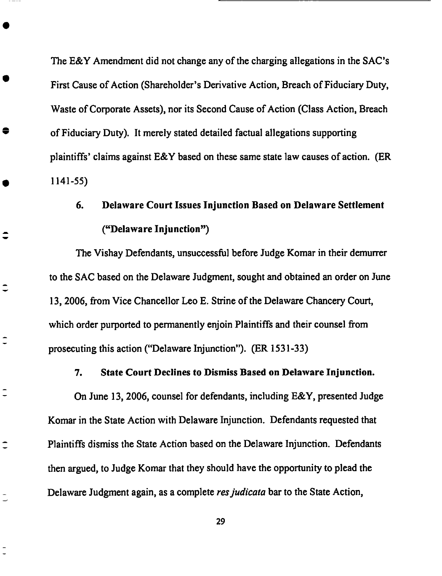The E&Y Amendment **did** not change any **of** the charging allegations in the SAC's First Cause of Action (Shareholder's Derivative Action, Breach of Fiduciary Duty, Waste of Corporate Assets), nor its Second Cause of Action (Class *Action,* Breach of Fiduciary Duty). It merely stated detailed factual allegations supporting plaintiffs' claims against E&Y based on these same state law causes of action. (ER 1141-55)

### 6. **Delaware Court Issues** Injunction **Based on Delaware Settlement ("Delaware Injunction")**

The **Vishay Defendants,** unsuccessful **before Judge Komar** in **their** demurrer to the SAC based on the Delaware Judgment, sought and obtained an order on June 13, 2006, from Vice Chancellor Leo E. Strine of the Delaware Chancery Court, which order purported to permanently enjoin Plaintiffs and their counsel from prosecuting this action ("Delaware Injunction"). **(ER** 1531-33)

€

 $\overline{a}$ 

 $\overline{\phantom{a}}$ 

### **7. State Court Declines to Dismiss Based on Delaware Injunction.**

**On June 13, 2006,** counsel **for defendants, including E&Y,** presented **Judge Komar in the** State **Action** with **Delaware Injunction.** Defendants **requested that Plaintiffs dismiss the** State Action **based** on **the** Delaware **Injunction. Defendants then argued, to Judge Komar that they should** have **the** opportunity **to** plead **the Delaware Judgment again,** as **a** complete *resjudicata* **bar to the State Action,**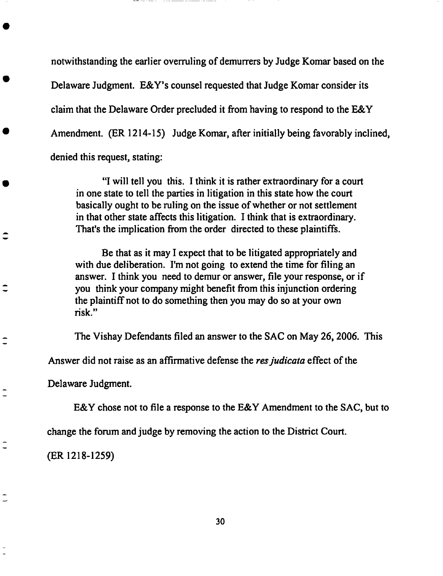notwithstanding the earlier **overruling of** demurrers by Judge Komar based **on** the Delaware Judgment. E&Y's counsel requested that Judge Komar consider its claim that the Delaware Order precluded it from having to respond to the E&Y *Amendment.* (ER 1214-15) Judge Komar, after initially being favorably inclined, denied this request, stating:

"I will tell you this. I think it is rather extraordinary for a court in one state to tell the parties in litigation in this state how the court basically ought to be ruling on the issue of whether or not **settlement** in that other state affects this litigation. I think that is extraordinary. *That's* the implication from the order directed to these plaintiffs.

Be that as it may I expect that to be litigated appropriately and with due deliberation. I'm not going to extend the time for filing an answer. I think you need to demur or answer, file your response, or if you think your company might benefit from this injunction ordering the plaintiffnot to do something then you may do **so** at your own risk."

The Vishay Defendants filed an answer to the SAC on May *26,* 2006. This

*Answer* did not raise as an affirmative defense the *resjudicata* effect of the

Delaware Judgment.

 $\hat{\mathbf{I}}$ 

 $\hat{\mathbf{I}}$ 

 $\overline{\phantom{a}}$ 

E&Y chose not to file a response to the E&Y *Amendment* to the SAC, but to

change the forum and judge by removing the action to the District Court.

(ER 1218-1259)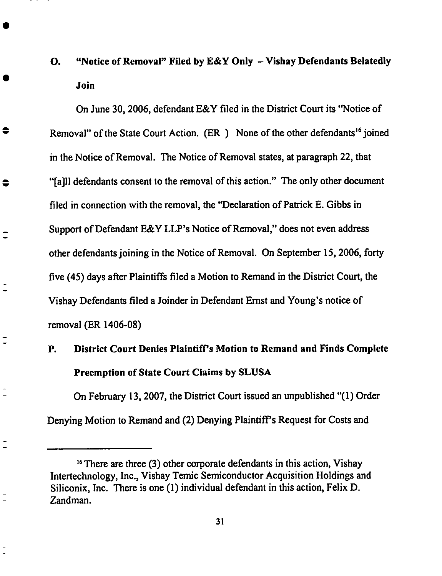## **O.** "Notice **of Removal" Filed by E&Y Only - Vishay Defendants Belatedly Join**

**On June** 30, **2006, defendant E&Y filed in** the **District Court its** "Notice **of Removal"** of the State Court Action. (ER) None of the other defendants<sup>16</sup> joined **in the Notice of Removal.** *The* **Notice of Removal states, at paragraph 22,** that "[a]ll **defendants consent to** the **removal of this action."** The **only other document** filed **in connection with** the **removal, the** "Declaration **of Patrick E. Gibbs in Support of Defendant E&Y LLP's Notice of Removal," does not even address other defendants joining in** the **Notice of Removal. On September 15, 2006, forty five (45) days after Plaintiffs filed a Motion** to **Remand in** the **District Court,** the **Vishay Defendants** filed **a Joinder in Defendant Ernst** and **Young's notice of removal (ER 1406-08)**

 $\bullet$ 

### **P. District Court Denies Plaintiff's Motion to Remand and** *Finds* **Complete Preemption of State Court Claims by SLUSA**

On February **13,** 2007, the **District Court issued an** unpublished "(1) Order *Denying* **Motion** to **Remand and (2) Denying Plaintiffs Request for Costs** and

**<sup>,6</sup>There are three (3)** other **corporate** defendants **in this action,** Vishay **Intertechnology, Inc.,** Vishay **Temie** Semiconductor *Acquisition* **Holdings** and Siliconix, Inc. There is **one (1)** individual defendant **in** this **action, Felix D.** *Zandman.*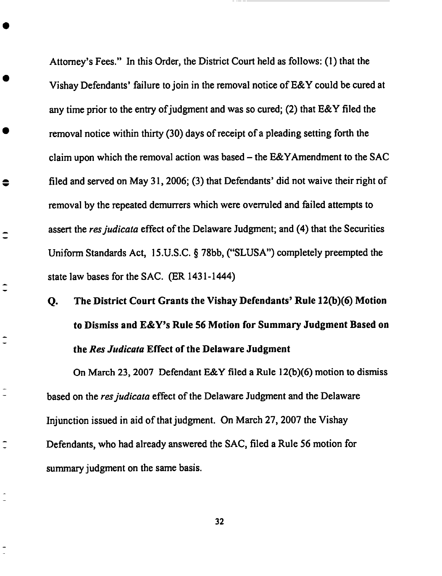Attorney's Fees." **In** this Order, the **District Court** held **as** follows: (1) that the Vishay Defendants' failure to join in the removal notice of E&Y **could** be **cured** at any time prior to the **entry** of judgment and was **so cured;** (2) that E&Y filed the removal notice within thirty (30) days of receipt of a pleading setting forth the claim upon which the removal action was based - the E&YAmendment to the SAC filed and served on May 31, 2006; (3) that Defendants' did not waive their right of removal by the repeated demurrers which were overruled and failed attempts to assert the *resjudicata* **effect** of the Delaware Judgment; and (4) that the Securities Uniform Standards Act, 15.U.S.C. § 78bb, ("SLUSA") **completely** preempted the state law bases for the SAC. (ER 143 l- 1444)

€

≘

Î

## Q. The **District** Court Grants the Vishay **Defendants'** Rule 12(b)(6) Motion *to* **Dismiss** and **E&Y's** Rule **56** Motion for Summary Judgment **Based on** *the Res Judicata* **Effect of** the **Delaware** Judgment

On March 23, 2007 Defendant E&Y filed a Rule 12(b)(6) motion to dismiss based on the *resjudicata* effect of the Delaware Judgment and the Delaware Injunction issued in aid of that judgment. On March 27, 2007 the Vishay Defendants, who had already answered the SAC, **filed** a Rule 56 motion for summary judgment on the same basis.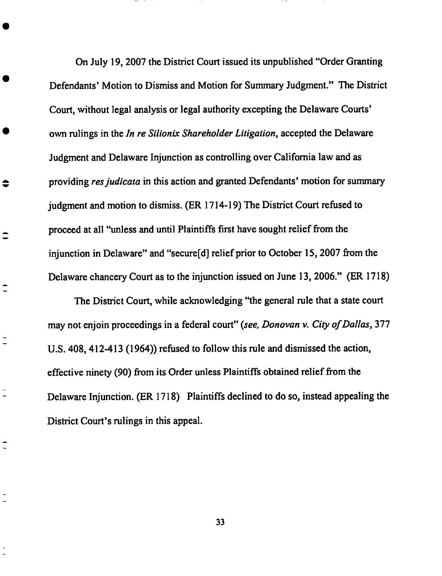On **July 19,** 2007 **the** District **Court** issued its **unpublished** "Order Granting Defendants' Motion to Dismiss and Motion for **Summary Judgment."** The District Court, without legal analysis or legal authority **excepting** the Delaware **Courts'** own rulings in the *In re Silionix Shareholder Litigation,* accepted the **Delaware** Judgment and Delaware Injunction as controlling over California law **and** as providing *resjudicata* in this action **and** granted Defendants' motion for summary judgment and motion to dismiss. (ER 1714-19) The District Court refused to proceed at **all** "unless and until Plaintiffs first have sought relief from the injunction in Delaware" and "secure[all relief prior **to** October 15, 2007 from the Delaware chancery Court as to the injunction issued on June 13, 2006." (ER 1718)

≑

 $\hat{\mathbf{-}}$ 

 $\overline{\phantom{a}}$ 

Ξ

The District Court, while acknowledging "the general rule that a state court may not **enjoin** proceedings in a federal court" (see, *Donovan v. City of Dallas,* 377 U.S. 408, 412-413 (1964)) refused to follow this rule and dismissed the action, **effective** ninety (90) from its Order unless Plaintiffs obtained relief from the Delaware Injunction. (ER 1718) Plaintiffs declined to do **so,** instead appealing the District Court's rulings in this appeal.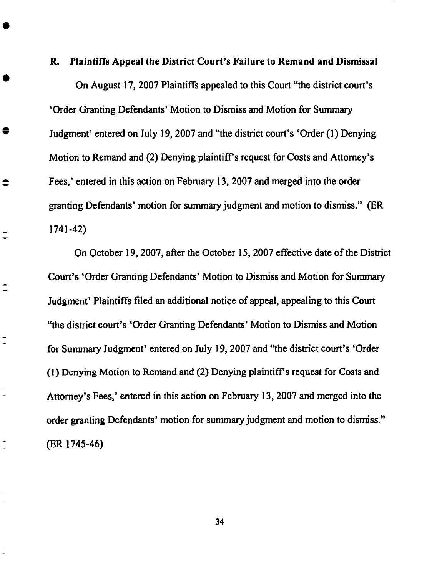#### **R. Plaintiffs Appeal the District Court's Failure to Remand and Dismissal**

**On August 17, 2007 Plaintiffs appealed to this** Court "the **district court's 'Order Granting Defendants' Motion to Dismiss and Motion for Summary Judgment'** entered **on July 19, 2007 and** "the **district** court's **'Order (1) Denying Motion to Remand** and **(2) Denying plaintiffs request for Costs and Attorney's Fees,'** entered **in this action on February 13, 2007 and merged into the order** granting Defendants' motion for summary judgment and motion **to** dismiss." **(ER** 1741-42)

●

 $\bullet$ 

 $\hat{\mathbf{I}}$ 

 $\hat{\mathbf{C}}$ 

On October 19, 2007, after the October 15, 2007 effective date of the District Court's 'Order Granting Defendants' Motion to Dismiss and Motion for Summary Judgment' Plaintiffs filed an additional notice of appeal, appealing to this Court "the district court's 'Order Granting Defendants' Motion to Dismiss and Motion for Summary Judgment' entered on July 19, *2007* and "the dislriet court's 'Order (1) Denying Motion to Remand and (2) Denying plaintiff's request for Costs and *Attorney's* Fees,' entered in this action on February 13, 2007 and merged into the **order** granting **Defendants'** motion for summary judgment and **motion to** dismiss." (ER 1745-46)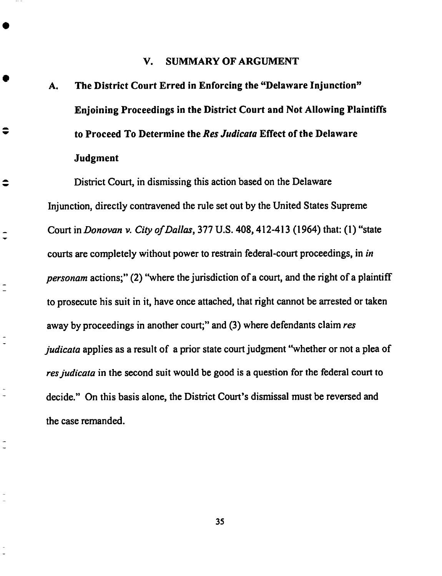### **V. SUMMARY OF ARGUMENT**

**A. The District Court Erred in Enforcing the** "Delaware **Injunction" Enjoining Proceedings in the District** Court **and Not Allowing Plaintiffs to Proceed To Determine the** *Res Judicata* **Effect of the Delaware Judgment**

 $\bullet$ 

 $\hat{\mathbf{v}}$ 

 $\overline{a}$ 

 $\overline{a}$ 

District **Court,** in dismissing **this** action based **on** the Delaware Injunction, directly contravened the rule set out by the United States Supreme Court in *Donovan v. City of Dallas,* 377 U.S. 408, 412-413 (1964) that: (1) "state **courts** are completely without power to restrain federal-court proceedings, in *in personam* actions;" (2) "where the jurisdiction of a court, and the **right** of a plaintiff to prosecute his suit in it, have once attached, that right cannot be arrested or taken away by proceedings in another court;" and (3) where defendants claim *res judicata* applies as a result of a prior state court judgment ''whether or not a **plea** of *res judicata* in the second suit would be good is a question for the federal court to decide." On this basis alone, the District Court's dismissal must be reversed and the ease remanded.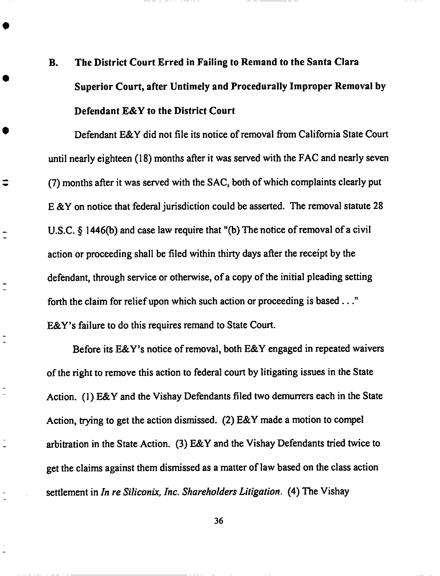# **B. The District Court Erred in Failing to Remand to the Santa Clara Superior** Court, **after Untimely and Procedurally Improper Removal by Defendant E&Y to the District** Court

**Defendant E&Y** did not **file** its **notice of removal from California State Court** until nearly **eighteen (18)** months after it was served with the **FAC** and nearly seven **(7) months** after it was served with the SAC, both **of** which **complaints clearly put E** &Y **on** notice that **federal** jurisdiction could **be** asserted. **The removal** statute **28 U.S.C.** § 1446(b) and case law require that "(b) The notice of removal of a civil action **or** proceeding shall be **filed** within thirty **days** after the **receipt by the defendant,** through service **or otherwise, of** a **copy of** the **initial** pleading setting **forth** the claim for **relief** upon **which** such action **or** proceeding is **based..." E&Y's failure to do** this **requires remand** to State Court.

 $\ddot{•}$ 

 $\overline{\phantom{a}}$ 

Before its **E&Y's** notice **of removal, both E&Y engaged** in **repeated** waivers **of the** fight **to remove** this action **to federal** court **by litigating issues in the** State Action. **(1) E&Y** and the Vishay **Defendants filed** two **demurrers each** in the State Action, trying to **get** the action **dismissed. (2) E&Y** made a **motion to** compel arbitration in **the** State Action. **(3) E&Y** and the **Vishay Defendants** tried twice to **get the** claims against **them dismissed** as **a** matter **of law based on the class** action settlement **in** *In re Siliconix, Inc. Shareholders Litigation.* (4) **The Vishay**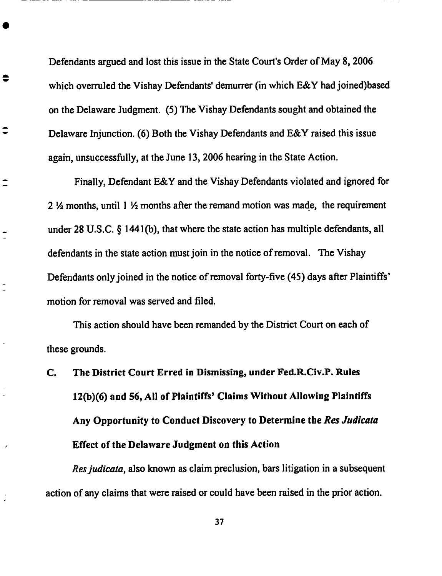Defendants argued and lost this issue in the State Court's Order **of** May **8, 2006 which overruled the Vishay Defendants' demurrer (in which E&Y had** joined)based on **the Delaware Judgment.** (5) **The Vishay Defendants sought and obtained the Delaware Injunction. (6)** Both **the Vishay Defendants and E&Y** raised **this issue again, unsuccessfully, at the June 13,** 2006 hearing **in the State Action.**

€

ر

**Finally, Defendant E&Y and the** Vishay **Defendants violated** and **ignored for** 2 ½ **months, until 1** ½ **months after the remand motion was made, the requirement** under 28 **U.S.C.** § **1441Co), that where the state action has** multiple **defendants, all defendants** in the state action **must** join in **the notice of removal.** The **Vishay Defendants only** joined in the notice **of removal** forty-five (45) **days after Plaintiffs'** motion for **removal was** served and **filed.**

This **action** should have been **remanded** by **the District** Court **on each of these** grounds.

C. The **District** Court **Erred in Dismissing,** under Fed.R.Civ.P. **Rules** 12(b)(6) **and 56, All of Plaintiffs'** Claims **Without** Allowing **Plaintiffs** Any **Opportunity to** Conduct **Discovery to Determine the** *Res Judicata* **Effect of the Delaware Judgment on this** Action

*Resjudicata,* **also** known **as claim preclusion,** bars **litigation** in **a subsequent action of any claims that were raised or could** have been **raised** in **the** prior **action.**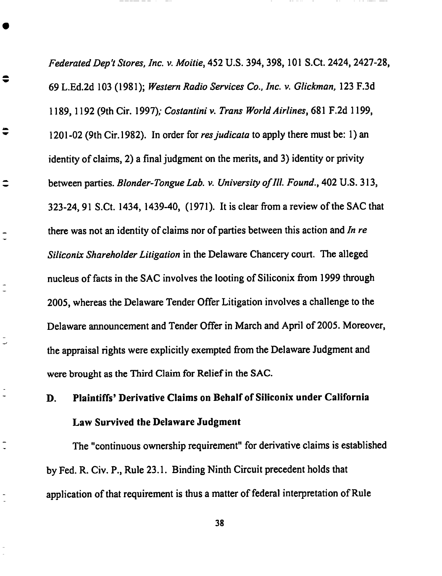*FederatedDep't Stores, Inc. v. Moitie,* **452 U.S.** 394, 398, 101 **S.Ct.** 2424, 2427-28, 69 L.Ed.2d 103 (1981); Western *Radio Services Co., Inc. v. Glickman,* 123 F.3d 1189, 1192 (9th Cir. 1997); *Costantiniv. Trans* World *Airlines,* 681 F.2d 1199, 1201-02 (9th Cir.1982). In order for *resjudicata* to apply there must be: l) an identity of claims, 2) a **final** judgment on the merits, and 3) identity or privity between parties. *Blonder-Tongue Lab. v. University of lll. Found.,* 402 **U.S.** 313, 323-24, 91 S.Ct. 1434, 1439-40, (1971). It is **clear** from a review of the SAC that there was not an identity of **claims** nor of parties between this action and *In re Siliconix Shareholder Litigation* in the Delaware Chancery **court.** The alleged nucleus of facts in the SAC involves the looting of Siliconix from 1999 through 2005, whereas the Delaware Tender Offer Litigation involves a **challenge** to the Delaware announcement and Tender Offer in March and April of 2005. Moreover, the appraisal rights were explicitly exempted from the Delaware Judgment and were brought as the Third Claim for Relief in the SAC.

€

€

 $\overline{\phantom{0}}$ 

## D. **Plaintiffs'** Derivative Claims on Behalf **of** Silieonix under California Law Survived **the** Delaware Judgment

The "continuous ownership requirement" for derivative claims is established by Fed. R. Civ. P., Rule 23. I. Binding **Ninth** Circuit precedent holds that application of that requirement is thus a matter of federal interpretation of Rule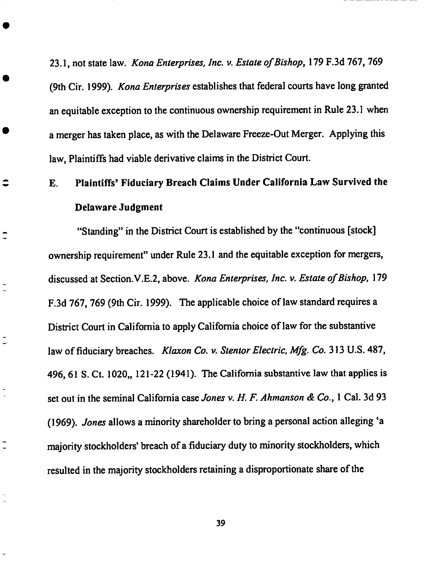23.1, **not** state **law.** *Kona Enterprises, Inc. v. Estate of Bishop,* **179** F.3d 767, 769 (gth Cir. 1999). *Kona Enterprises* **establishes** that federal courts have long granted an **equitable exception** to the **continuous** ownership requirement in Rule 23.1 when a merger has taken place, as with the Delaware Freeze-Out Merger. Applying **this** law, Plaintiffs had viable derivative **claims** in the District Court.

## **E.** Plaintiffs' Fiduciary Breach Claims Under California Law Survived **the Delaware** Judgment

 $\hat{\mathbf{z}}$ 

 $\ddot{\phantom{0}}$ 

 $\rightarrow$ 

"Standing" in the District Court is **established** by the "continuous [stock] ownership requirement" under Rule 23. l and the **equitable exception** for mergers, discussed at Section.V.E.2, above. *Kona Enterprises, Inc. v. Estate of Bishop,* 179 F.3d 767, 769 (gth Cir. 1999). The applicable **choice** of law standard requires a District Court in California to apply California **choice** of law for the **substantive** law of fiduciary breaches. *Klaxon Co. v. Stentor Electric, Mfg. Co.* 313 **U.S.** 487, 496, 61 S. Ct. 1020,, 121-22 (1941). The California substantive law that applies is **set** out in the seminal California **case** *Jones v. H. F. Ahmanson & Co.,* 1 Cal. 3d 93 (1969). *Jones* allows a minority shareholder to bring a personal action alleging **'a** majority **stockholders' breach of** a **fiduciary duty to** minority **stockholders, which** resulted **in the** majority **stockholders** retaining a **disproportionate share of** the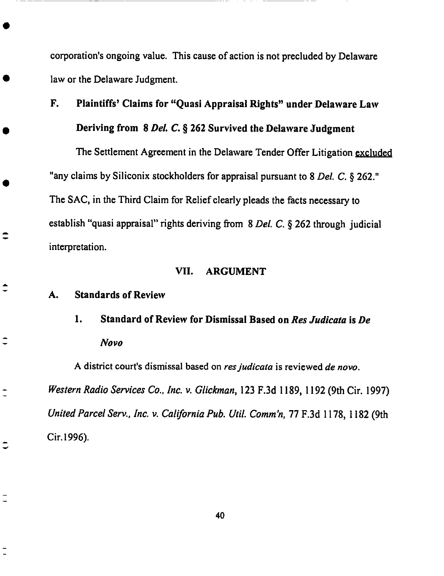corporation's ongoing **value.** This cause of **action is** not **precluded** by Delaware **law or the Delaware** Judgment.

## **F. Plaintiffs'** Claims **for** "Quasi Appraisal **Rights"** under **Delaware** Law **Deriving from 8 Del.** *C.* § **262** Survived **the Delaware Judgment**

The Settlement Agreement in the Delaware Tender Offer Litigation excluded "any claims by Siliconix stockholders for appraisal pursuant to 8 *Del. C.* § 262." The SAC, in the Third Claim for Relief clearly pleads the facts necessary to establish "quasi appraisal" rights deriving from 8 *Del. C. §* 262 through judicial interpretation.

### **VII. ARGUMENT**

#### A. **Standards of Review**

 $\hat{\ }$ 

 $\overline{\phantom{a}}$ 

 $\ddot{ }$ 

 $\overline{\phantom{a}}$ 

## 1. Standard **of Review for Dismissal Based on** *Res Judicata* **is** *De Novo*

**A district** court's **dismissal based on** *resjudicata* **is reviewed** *de novo. Western Radio Services Co., Inc. v. Glickman,* **123 F.3d 1189, 1192 (9th Cir. 1997)** *United Parcel Serv., Inc. v. California Pub. Util. Comm'n,* **77 F.3d 1178, 1182 (9th Cir.1996).**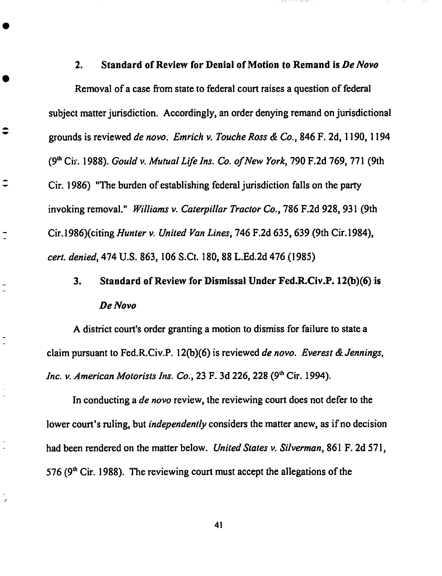### **2. Standard of Review for Denial of Motion to Remand is** *De Novo*

**Removal of a case from state to federal court raises a question of federal subject matter jurisdiction. Accordingly, an order denying remand on jurisdictional grounds is reviewed** *de* novo. *Emrich v. ToucheRoss & Co.,* **846 F. 2d, 1190, 1194 (90`** Cir. **1988).** *Gould v.* Mutual *Life Ins. Co. of New York,* 790 **F.2d 769, 771 (9th** Cir. **1986)** "The **burden of establishing federal jurisdiction falls on the party invoking removal."** Williams *v. Caterpillar Tractor Co.,* **786 F.2d 928, 931 (gth** Cir.1986)(eiting *Hunter v.* United *Van Lines,* **746 F.2d** 635,639 **(9th** Cir.1984), *cert. denied,* 474 U.S. **863, 106 S.Ct. 180, 88 L.Ed.2d** 476 **(1985)**

こ

### 3. **Standard of Review for Dismissal Under** Fed.R.Civ.P. 12(b)(6) **is** *De Novo*

**A district** court's **order** granting **a motion to dismiss for failure to state a** claim **pursuant** to Fed.R.Civ.P. 12Co)(6) is **reviewed** *de novo. Everest & Jennings, lnc. v. American Motorists Ins. Co.,* 23 F. 3d 226, 228 (9<sup>th</sup> Cir. 1994).

In conducting a *de novo* review, the reviewing court does not defer to the lower court's ruling, but *independently* considers the matter anew, as if no decision had been rendered on the matter below. *United States v. Silverman,* 861 F. *2d* 571, 576 **(90` Cir.** 1988). The reviewing **court** must **accept** the allegations **of** the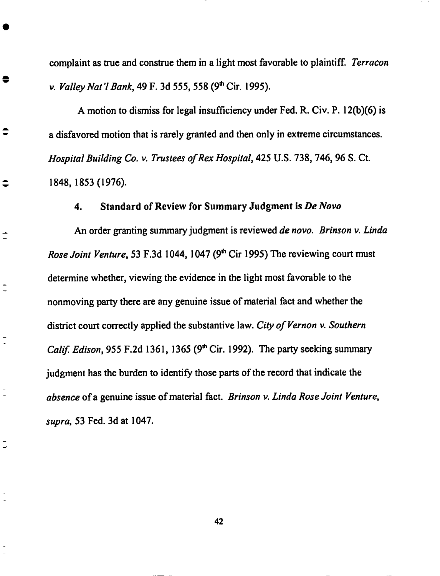**complaint as** true **and** construe **them in a** light most **favorable to plaintiff.** *Terracon* **v.** Valley *Nat* **7** *Bank,* 49 F. 3d **555, 558 (9** th**Cir. 1995).**

A motion **to dismiss for legal insufficiency** under **Fed. R. Cir. P. 12Co)(6) is a disfavored motion that is rarely granted and then only in** extreme **circumstances.** *Hospital Building Co.* v. *Trustees of Rex Hospital,* 425 **U.S.** 738, 746, **96 S. Ct. 1848, 1853 (1976).**

€

 $\overline{\phantom{a}}$ 

 $\overline{ }$ 

J

### **4. Standard of Review for Summary Judgment is** *De Novo*

An order granting **summary** judgment is reviewed *de novo. Brinson v. Linda Rose Joint Venture*, 53 F.3d 1044, 1047 (9<sup>th</sup> Cir 1995) The reviewing court must determine whether, viewing the evidence in the light most favorable to the nonmoving party there are any genuine issue of material fact and whether the district court correctly applied the substantive law. *City of* Vernon *v. Southern Calif. Edison*, 955 F.2d 1361, 1365 (9<sup>th</sup> Cir. 1992). The party seeking summary judgment has the burden to identify those parts of the record that indicate the *absence* of a genuine issue of material fact. Brinson *v. Linda Rose Joint* Venture, *supra,* 53 Fed. 3d at 1047.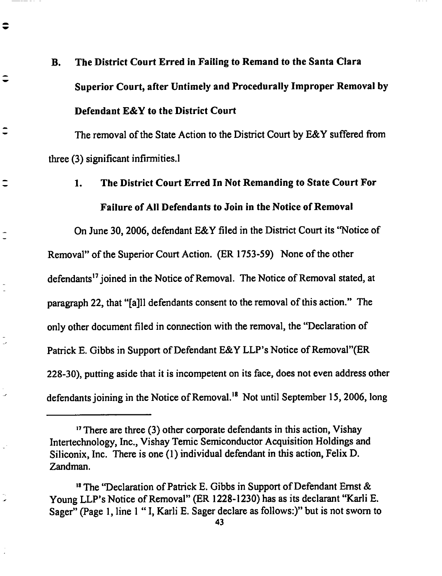# **B. The District Court Erred in Failing to Remand to the Santa** Clara **Superior** Court, **after Untimely and Procedurally Improper Removal by Defendant E&Y to the District** Court

 $\bullet$ 

The removal **of** the **State** Action to the **District Court by** E&Y **suffered** from three (3) significant infirmities.!

### 1. The **District** *Court* **Erred** In **Not** Remanding **to** State *Court* For **Failure of All Defendants to Join in the Notice of Removal**

**On June** 30, **2006, defendant E&Y filed in the District** Court **its** "Notice **of Removal" of the Superior** Court **Action. (ER 1753-59) None of the other** defendants 17**joined in the** Notice **of Removal.** The **Notice of Removal stated, at** paragraph **22,** that "[a]ll defendants consent to the removal of this action." The only other document filed in connection with the removal, the "Declaration of Patrick E. Gibbs in Support of Defendant E&Y LLP's Notice of Removal"(ER 228-30), putting aside that it is incompetent on its face, does not even address other defendants joining in the Notice of Removal.<sup>18</sup> Not until September 15, 2006, long

**<sup>&#</sup>x27;\_**There are three **(3) other** corporate defendants in this **action, Vishay** Intertechnology, Inc., Vishay Temic Semiconductor *Acquisition* Holdings and Siliconix, Inc. There is one (1) individual defendant in this action, **Felix** D. *Zandman.*

<sup>&</sup>lt;sup>18</sup> The "Declaration of Patrick E. Gibbs in Support of Defendant Ernst & Young LLP's Notice of Removal" (ER 1228-1230) has as its declarant "Karli E. Sager" (Page 1, line 1 "I, Karli E. Sager declare as follows:)" but is not sworn to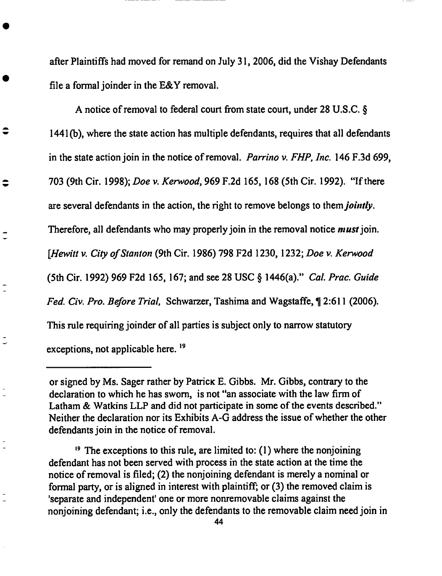after Plaintiffs had moved for remand **on** July 31, 2006, did the **Vishay** Defendants file a formal joinder in the E&Y removal.

*A* notice of removal to federal court from state court, under 28 **U.S.C.** § 1441(b), where the state action has multiple defendants, requires that all defendants in the state action join in the notice of removal. *Parrino v. FHP, lnc.* 146 F.3d 699, 703 (9th Cir. 1998); *Doe v. Kerwood,* 969 F.2d 165, 168 (5th Cir. 1992). "If there are **several** defendants in the action, the right to remove belongs to them *jointly.* Therefore, all defendants who may properly join in the removal notice *must* join. [Hewitt *v. City of Stanton* (9th Cir. 1986) 798 F2d 1230, 1232; *Doe v. Kerwood* (5th Cir. 1992) 969 F2d 165, 167; and see 28 USC § 1446(a)." *Cal. Prac. Guide Fed. Civ. Pro. Before Trial* Schwarzer, Tashima and Wagstaffe, ¶ 2:611 (2006). This rule requiring joinder of all parties is subject only to narrow **statutory** exceptions, not applicable here.  $^{19}$ 

≑

 $\overline{\phantom{0}}$ 

<sup>19</sup> The exceptions to this rule, are limited to: (1) where the nonjoining defendant has not been served with process in the state action at the time the notice of removal is filed; (2) the nonjoining defendant is merely a nominal or formal party, or is aligned in interest with plaintiff; or (3) the removed claim is 'separate and independent' one or more nonremovable claims against the nonjoining defendant; i.e., only the defendants to the removable claim need join in

**or signed** by Ms. Sager rather by Patrick **E.** Gibbs. Mr. Gibbs, contrary to the declaration to which he has sworn, is not "an associate with the law firm of Latham & Watkins LLP and did not participate in some of the events described." Neither the declaration nor its Exhibits *A-G* address the issue of whether the other defendants join in the notice of removal.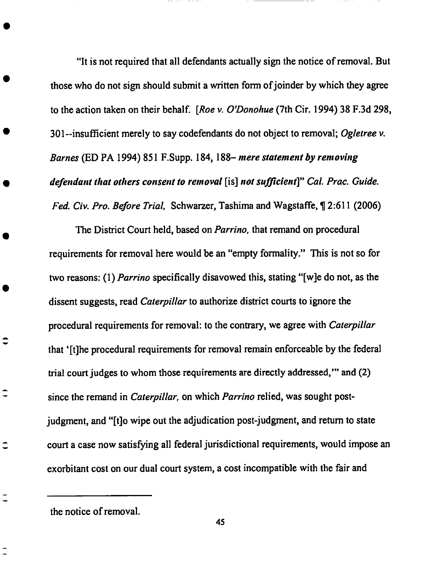"It **is not required that all defendants actually sign the notice of removal. But those who do not sign should submit a written form ofjoinder by which they agree to the action taken on their behalf. [Roe** *v. O\_Donohue* **(7th Cir. 1994) 38 F.3d 298, 301--insufficient** merely **to say** codefendants **do not object to removal;** *Ogletree* **v.** *Barnes* (ED PA **1994)** 851 F.Supp. **184, 188-** *mere statement by removing defendant that others consent to removal* **[is]** *not sufficient]" Cal. Prac. Guide. Fed. Cir. Pro. Before Trial,* **Schwarzer, Tashima and** Wagstaffe, ¶ **2:611 (2006)**

**The District Court** held, based **on** *Parrino,* **that remand on procedural requirements for removal** here would **be an** "empty **formality."** This **is not so for two reasons: (1)** *Parrino* **specifically disavowed this, stating** "[w]e **do not, as the dissent suggests, read** *Caterpillar* **to authorize district** courts **to ignore the procedural requirements for removal: to the** conlyary, **we agree with** *Caterpillar* **that '[t]he procedural requirements for removal remain** enforceable **by the federal trial court judges to whom those requirements are directly addressed,'" and** (2) **since the remand in** *Caterpillar,* **on which** *Parrino* **relied, was sought postjudgment, and** "[t]o wipe **out the adjudication post-judgment,** and **return to state court a case now satisfying all federal jurisdictional requirements,** would **impose** an **exorbitant cost on our dual court system, a cost incompatible with the fair and**

**the notice of removal.**

 $\hat{\mathbf{v}}$ 

 $\hat{\mathbf{-}}$ 

 $\hat{\mathbf{I}}$ 

 $\overline{\phantom{0}}$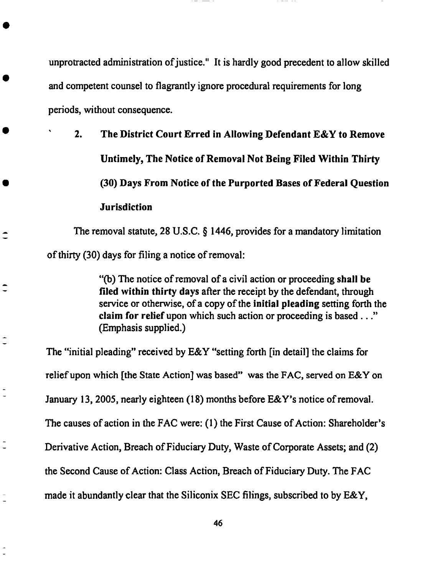unprotracted administration **of** justice." It **is** hardly good **precedent to allow skilled and competent counsel to flagrantly ignore procedural requirements for long** periods, without **consequence.**

**• 2. The District Court Erred in Allowing Defendant E&Y to Remove Untimely, The Notice of Removal Not Being Filed Within Thirty (30) Days From Notice of the Purported Bases of** Federal Question **Jurisdiction**

**The removal statute, 28 U.S.C.** § **1446, provides for a mandatory limitation of thirty (30) days for filing a notice of removal:**

 $\hat{\mathbf{I}}$ 

"Co) The **notice of removal of a civil action or proceeding shall be filed within thirty days after the receipt by** the **defendant,** through **service** or **otherwise, of a copy** of **the initial pleading setting forth the claim for relief** upon **which such action or proceeding is based..."** (Emphasis **supplied.)**

The "initial **pleading" received by E&Y** "setting **forth** [in **detail] the** claims **for relief upon which [the State Action] was based" was the FAC, served on E&Y on January 13, 2005, nearly eighteen (18) months before E&Y's notice of removal.** The **causes of action in** the FAC **were: (1)** the First **Cause** of **Action: Shareholder's** Derivative Action, Breach of Fiduciary Duty, Waste of Corporate *Assets;* and (2) the Second Cause of *Action:* Class *Action,* Breach of Fiduciary Duty. The FAC made it abundantly **clear** that the Siliconix SEC filings, **subscribed** to by E&Y,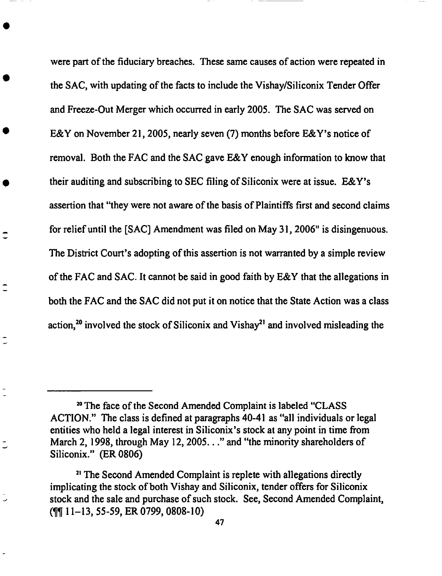were part **of** the **fiduciary** breaches. **These same causes of action** were repeated in the **SAC,** with **updating of** the **facts** to **include** the **Vishay/Siliconix Tender** Offer **and Freeze-Out** Merger **which occurred in early 2005. The SAC was served on E&Y on November 21, 2005, nearly seven (7) months before E&Y's** notice **of removal. Both the FAC and the SAC gave E&Y enough information** to **know** that their **auditing and subscribing to SEC** filing **of Siliconix were at issue. E&Y's assertion** that "they **were not aware of** the basis **of Plaintiffs** first and **second claims for relief until** the **[SAC]** Amendment **was** filed **on May 31, 2006" is disingenuous. The District Court's adopting of** this **assertion is** not **warranted by a** simple **review of** the **FAC and SAC. It cannot be** said **in good faith by E&Y** that the **allegations in both** the **FAC and** the **SAC did not put it on notice** that the **State** Action **was a class action,** 2° **involved** the **stock of Siliconix** and **Vishay** 21 **and involved misleading the**

 $\tilde{\mathbb{C}}$ 

s0The **face of the Second** Amended **Complaint** is **labeled** "CLASS ACTION." **The class** is **defined** at **paragraphs** 40-41 as "all **individuals or legal entities** who **held a legal interest in Siliconix's stock** at any **point** in time **from March 2, 1998,** through **May 12, 2005..."** and "the minority shareholders **of Siliconix." (ER 0806)**

<sup>&</sup>quot;The Second Amended Complaint is **replete with allegations** directly **implicating** the **stock of both Vishay and Siliconix,** tender **offers for Siliconix** stock and the **sale** and **purchase of such** stock. **See, Second** Amended **Complaint, (¶¶ 11-13, 55-59, ER 0799, 0808-10)**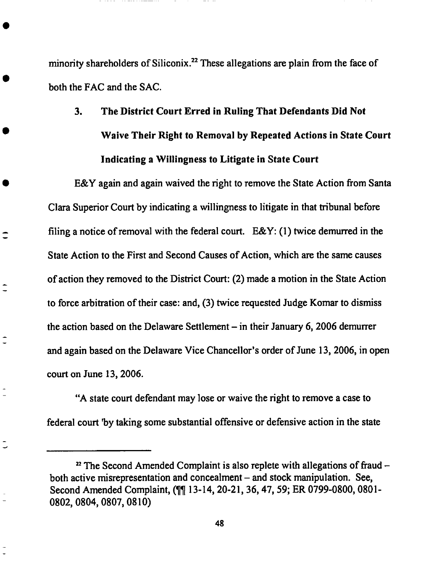**minority shareholders of Siliconix.** 22**These** allegations **are plain from** the **face of both the** FAC **and the SAC.**

## 3. **The District Court Erred in Ruling That Defendants Did Not Waive Their Right to Removal by Repeated Actions in State Court Indicating a Willingness to Litigate in State Court**

**E&Y again and** again **waived** the right to remove **the** State *Action* from Santa Clara Superior Court by indicating a willingness to litigate in that tribunal before filing a notice of removal with the federal court.  $E\&Y$ : (1) twice demurred in the State *Action* to the First and Second Causes of *Action,* which are the same causes of action they removed to the District Court: (2) made a motion in the State *Action* to force arbitration of their case: and, (3) twice requested Judge Komar to dismiss the action based on the Delaware Settlement  $-$  in their January 6, 2006 demurrer and again based on the Delaware Vice Chancellor's order of June 13, 2006, in open court on June 13, 2006.

€

 $\overline{\phantom{a}}$ 

Ū

"A state court defendant may lose or waive the right to remove a ease to federal court *'by* taking some substantial offensive or defensive action in the **state**

<sup>&</sup>lt;sup>22</sup> The Second Amended Complaint is also replete with allegations of fraud – both active misrepresentation and concealment - and **stock** manipulation. See, Second Amended Complaint, (¶¶ 13-14, 20-21, 36, 47, 59; ER 0799-0800, 0801- 0802, 0804, 0807, 0810)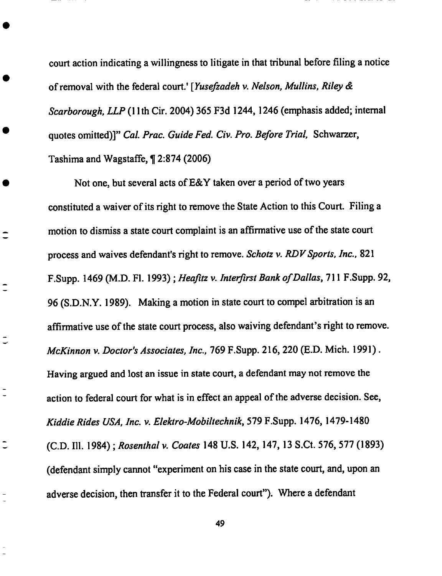court **action** indicating **a** willingness to litigate in that tribunal before filing **a** notice of removal with the federal court.' [Yusefiadeh *v. Nelson, Mullins, Riley & Scarborough, LLP* (1 lth Cir. 2004) 365 F3d 1244, 1246 (emphasis added; internal quotes omitted)]" *Cal. Prac. Guide Fed. Civ. Pro. Before Trial,* Sehwarzer, Tashima and Wagstaffe, ¶ 2:874 (2006)

Not one, but several acts of E&Y taken over **a** period of two years constituted a waiver of its right to remove the State Action to this Court. Filing a motion to dismiss a state court complaint is an affirmative use of the state court process and waives defendant's right to remove. *Schotz v. RDV Sports, Inc.*, 821 F.Supp. 1469 (M.D. FI. 1993) ; *Heafitz v. Interfirst Bank of Dallas,* 711 F.Supp. 92, 96 (S.D.N.Y. 1989). Making **a** motion in state court to compel arbitration is **an** affirmative use of the state court process, also waiving defendant's right to remove. *McKinnon v. Doctor's Associates, Inc.,* 769 F.Supp. 216, 220 (E.D. Mich. 1991). Having argued and lost an issue in state court, a defendant may not remove the action to federal court for what is in effect an appeal of the **adverse** decision. See, *Kiddie Rides USA, Inc. v. Elektro-Mobiltechnik,* 579 F.Supp. 1476, 1479-1480 (C.D. Ill. 1984) ; *Rosenthalv. Coates* 148 U.S. 142, 147, 13 S.Ct. 576, 577 (1893) (defendant simply cannot "experiment on his ease in the state court, and, upon an **adverse** decision, then transfer it to the Federal court"). Where a defendant

 $\overline{\phantom{a}}$ 

 $\overline{a}$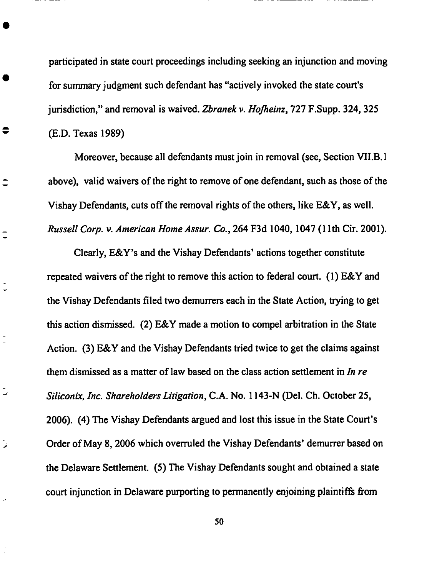participated in **state** court proceedings including **seeking** an injunction and moving for summary judgment such defendant has "actively invoked the state court's jurisdiction," and removal is waived. *Zbranek v. Hofheinz*, 727 F.Supp. 324, 325 (E.D. Texas 1989)

 $\bullet$ 

 $\overline{\phantom{a}}$ 

 $\overline{a}$ 

تر

Moreover, because all defendants must join in removal (see, Section VI1.B. 1 above), valid waivers of the fight to remove of one defendant, such as those of the Vishay Defendants, cuts off the removal rights of the others, like E&Y, as well. *Russell Corp. v. American HomeAssur. Co.,* 264 F3d 1040, 1047 (1 lth Cir. 2001).

Clearly, E&Y's and the Vishay Defendants' actions together constitute repeated waivers of the right to remove this action to federal court. (1) E&Y and the *Vishay* Defendants filed two demurrers each in the State *Action,* trying to get this action dismissed. (2) E&Y made a motion to compel arbitration in the State *Action.* (3) E&Y and the Vishay Defendants tried twice to get the claims against them dismissed as a matter of law based on the class action settlement in *In re Siliconix, Inc. Shareholders Litigation,* C.A. No. 1143-N (Del. Ch. October 25, 2006). (4) The Vishay Defendants argued and lost this issue in the State Court's Order of May 8, 2006 which overruled the Vishay Defendants' demurrer based on the Delaware Settlement. (5) The Vishay Defendants sought and obtained a state court injunction in Delaware purporting to permanently enjoining plaintiffs from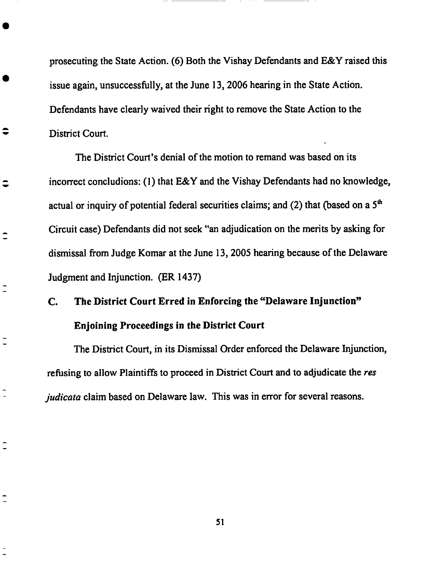**prosecuting** the State Action. (6) **Both** the Vishay Defendants and **E&Y** raised this issue again, unsuccessfully, at the June 13, 2006 hearing in the State *Action.* Defendants have clearly waived their right to remove the State *Action* to the *District* Court.

 $\hat{\mathbf{v}}$ 

 $\hat{\mathbf{v}}$ 

 $\hat{\ }$ 

*The* District Court's denial of the motion to remand was based on its incorrect concludions: (1) that E&Y and the Vishay Defendants had no knowledge, actual or inquiry of potential federal securities claims; and (2) that (based on a  $5<sup>th</sup>$ Circuit case) Defendants did not seek "an adjudication on the merits by asking for dismissal from Judge Komar at the June 13, 2005 hearing because of the Delaware Judgment and Injunction. (ER 1437)

# **C. The District Court** Erred **in Enforcing the** "Delaware Injunction" **Enjoining Proceedings in the District Court**

The **District Court,** in its **Dismissal** Order enforced **the Delaware** Injunction, refusing to allow Plaintiffs to proceed in District Court and to adjudicate the *res judicata* claim based on Delaware law. This was in error for several reasons.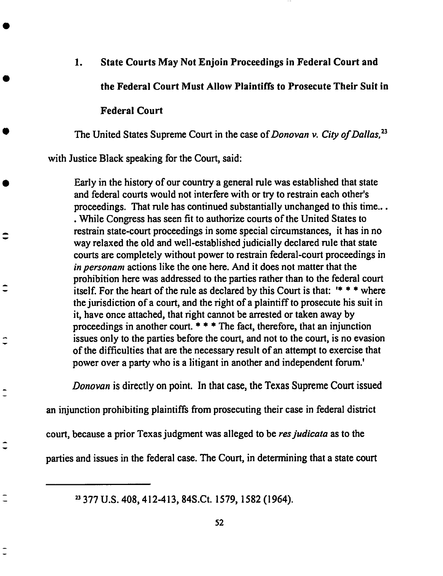#### **1. State Courts May Not Enjoin Proceedings in Federal Court and**

**the Federal Court Must Allow Plaintiffs to Prosecute Their Suit in**

#### **Federal Court**

 $\hat{\cdot}$ 

*The* United States Supreme Court in the case of *Donovan v. City of Dallas*,<sup>23</sup>

with **Justice** Black speaking for **the Court, said:**

Early **in the** history **of our** country **a** general rule was established that **state** and federal courts would not interfere with or try to restrain each other's proceedings. That rule has continued substantially unchanged to this time... • While Congress has seen fit to authorize courts of the United States to restrain state-court proceedings in some **special** circumstances, it has in no way relaxed the old and well-established judicially declared rule that **state** courts are completely without power to restrain federal-court proceedings in *in personam* actions like the one here. *And* it does not matter that the prohibition here was addressed to the parties rather than to the federal **court** itself. For the heart of the *rule* as declared by this Court is that: '\* \* \* where the jurisdiction of a court, and the right of a plaintiff to prosecute his suit in it, have once attached, that right cannot be arrested or taken away by proceedings in another court.  $***$  The fact, therefore, that an injunction issues only to the parties before the court, and not to the court, is no evasion of the difficulties that are the necessary result of an attempt to exercise that **power** over a party who is a litigant in another and independent forum.'

*Donovan* is **directly on point.** In that case, the Texas Supreme **Court** issued

an **injunction prohibiting plaintiffs** from **prosecuting** their **case** in federal **district**

court, because **a prior** Texas judgment **was alleged** to be *resjudicata* as to the

**parties** and issues in the federal case. The Court, in **determining** that **a state** court

23377 U.S. **408,** 412-413, 84S.Ct. 1579, 1582 (1964).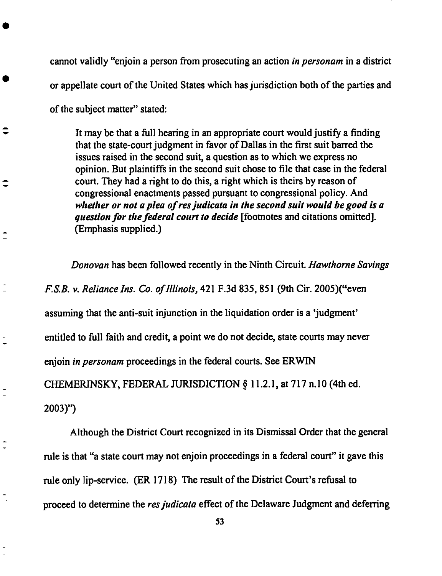**cannot validly** "enjoin **a person** from prosecuting an **action** *in personam* **in a district or** appellate court **of** the **United States which** has jurisdiction **both of** the **parties** and

**of** the subject matter" stated:

It may **be** that **a** full hearing in an **appropriate** court **would** justify **a** finding that the state-court judgment in favor of Dallas in the first suit barred the issues raised in the second suit, a question as to which we express no opinion. But plaintiffs in the second **suit** chose to file that ease in the federal court. They had a right to do this, a right which is theirs by reason of congressional enactments passed pursuant to congressional policy. *And whether or not a plea of res judicata in the second suit would be good is a question for the federal court to decide* [footnotes and citations omitted]. **(Emphasis supplied.)**

*Donovan* has been followed recently in the Ninth Circuit. *Hawthorne Savings F.S.B.v. Reliancelns. Co. of Illinois,* 421 F.3d 835, 851 (9th **Cir.** *2005)("even* assuming that the anti-suit injunction in the liquidation order is a 'judgment' entitled to full faith and credit, a point we do not decide, state courts may never enjoin *in personam* proceedings in the federal courts. See ERWIN CHEMERINSKY, FEDERAL JUR/SDICTION § 11.2.1, at 717 n. 10 (4th ed. 2003)")

Although the District Court recognized in its Dismissal Order that the general rule is that "a state court may not enjoin proceedings in a federal court" it gave this *rule* only lip-service. **(ER** 1718) The result of the District Court's refusal to proceed to determine the *resjudicata* effect of the Delaware Judgment and deferring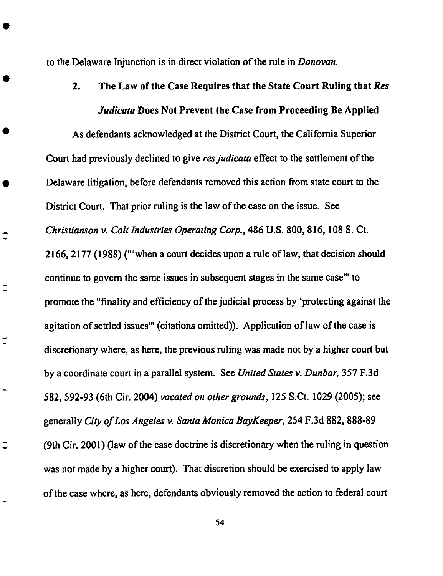to the Delaware Injunction is in direct **violation of** the rule in *Donovan.*

 $\hat{\mathbf{-}}$ 

₿

 $\overline{\phantom{a}}$ 

 $\ddot{\phantom{1}}$ 

2. The Law **of** the *Case* Requires that the State **Court** Ruling that *Res Judicata* **Does Not Prevent the Case from Proceeding Be Applied**

**As defendants acknowledged at the District Court, the California Superior Court** had **previously declined to give** *resjudicata* **effect to the settlement of the Delaware litigation,** before **defendants removed this action from state court to the District Court. That prior** ruling **is the law of the case on the issue. See** *Christianson v. Colt Industries Operating Corp.,* **486 U.S. 800, 816, 108 S. Ct. 2166,** *2177* **(1988) ("'when a** court **decides upon a** rule **of law, that decision should continue to govern the same issues in subsequent stages in the same case'" to promote the** "finality and efficiency **of the judicial process by 'protecting against the agitation of settled issues'" (citations omitted)). Application of law of the case is discretionary where, as** here, **the previous** ruling **was made not** by **a** higher **court** but **by a coordinate** court **in a parallel system. See** *United* States v. *Dunbar,* **357 F.3d 582,** 592-93 **(6th Cir. 2004)** *vacated on other grounds,* **125 S.Ct. 1029** (2005); **see generally** *City of Los Angeles v. Santa Monica BayKeeper,* **254 F.3d 882, 888-89 (9th Cir.** *2001)* **(law of** the **ease doctrine is discretionary** when **the** ruling **in question** was **not made** by **a** higher **court). That discretion should be** exercised **to apply law of the case** where, **as** here, **defendants obviously removed the action to federal** court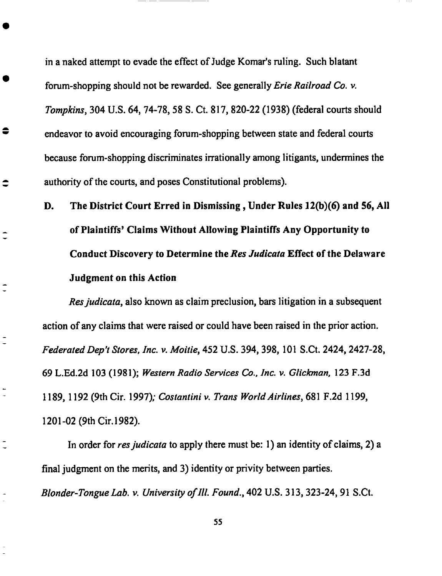in a naked attempt to evade the effect **of** Judge Komar's ruling. Such blatant forum-shopping should not be rewarded. See generally *Erie Railroad Co. v. Tompkins,* 304 U.S. 64, 74-78, 58 S. Ct. 817, 820-22 (1938) (federal courts should endeavor to avoid encouraging forum-shopping between state and federal courts because forum-shopping discriminates irrationally among litigants, undermines the authority of the courts, and poses Constitutional problems).

 $\hat{\mathbf{z}}$ 

 $\hat{\mathbf{z}}$ 

 $\overline{a}$ 

**D. The District** Court **Erred in Dismissing, Under Rules 12(b)(6) and** 56, **All of Plaintiffs'** Claims **Without Allowing Plaintiffs Any Opportunity to** Conduct **Discovery to Determine the** *Res Judicata* **Effect of the Delaware Judgment on this Action**

*Resjudicata,* also known as claim **preclusion,** bars litigation in a subsequent action of any claims that were raised or could have been raised in the prior action. *FederatedDep't Stores, lnc. v. Moitie,* 452 U.S. 394, 398, 101 S.Ct. 2424, 2427-28, 69 L.Ed.2d 103 (1981); *Western Radio Services Co., lnc. v. Gliclonan,* 123 F.3d 1189, 1192 (9th Cir. 1997); *Costantini v. Trans World Airlines,* 681 F.2d 1199, 1201-02 (9th Cir. 1982).

In order for *resjudicata* to apply there must be: 1) an identity of claims, *2)* a **final** judgment on **the** merits, and 3) identity or privity **between** parties. *Blonder-TongueLab. v. University oflll. Found.,* 402 U.S. 313, 323-24, 91 S.Ct.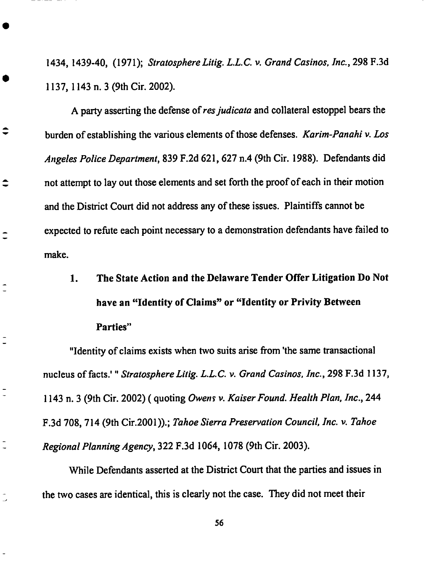1434, **1439-40,** (1971); StratosphereLitig. L.L.C.v.*Grand Casinos, Inc.,* 298 F.3d **1137, 1143 n. 3** (9th **Cir. 2002).**

**A party asserting the defense ofresjudicata and** collateral estoppel **bears** the burden **of** establishing **the various** elements **of those defenses.** *Karim-Panahi v. Los Angeles Police Department,* **839** F.2d 621,627 **n.4 (9th Cir. 1988). Defendants did not attempt to lay out those** elements **and set forth** the **proof of** each **in their motion** and **the District Court did not address** any **of these issues. Plaintiffs cannot be** expected **to refute** each **point necessary to a demonstration defendants** have **failed** to **make.**

 $\hat{\ }$ 

 $\overline{\phantom{a}}$ 

 $\overline{\phantom{a}}$ 

**1. The State Action and the Delaware Tender Offer Litigation Do Not have an** "Identity **of Claims" or** "Identity **or Privity Between Parties"**

"Identity **of claims** exists when **two suits arise from 'the same transactional nucleus of facts.'** "StratosphereLitig. *L.L.C.v. Grand Casinos, Inc.,* **298 F.3d 1137, 1143 n. 3 (9th Cir. 2002) ( quoting** *Owen\_ v. Kaiser Found. Health Plan, Inc.,* **244 F.3d 708, 714 (9th Cir.2001)).;** *Tahoe Sierra Preservation Council, Inc. v. Tahoe Regional Planning dgency,* **322 F.3d 1064, 1078 (9th** Cir. **2003).**

While **Defendants asserted at the District Court that the parties** and **issues in the two** cases are **identical, this is** clearly **not the case. They did not meet their**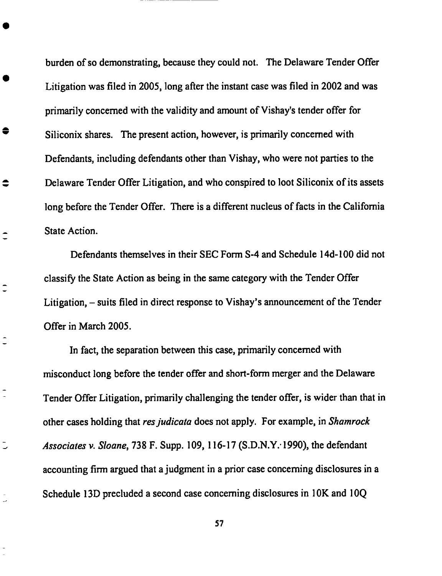burden of so demonstrating, because they could not. **The** Delaware Tender Offer **Litigation** was **filed in 2005, long** after **the instant** case was **filed in 2002 and** was primarily concerned with **the** validity **and amount** of Vishay's **tender** offer **for Siliconix** shares. **The** present **action,** however, **is** primarily **concerned** with Defendants, including defendants **other than Vishay, who** were not **parties** to **the** Delaware *Tender* Offer Litigation, and who conspired to loot Siliconix of its assets long before the Tender Offer. *There* is a different nucleus of facts in the California State *Action.*

 $\bullet$ 

 $\overline{\phantom{a}}$ 

 $\overline{\phantom{a}}$ 

Defendants themselves in their SEC Form S-4 and Schedule 14d-100 did not classify the State *Action* as being in the same category with the Tender Offer Litigation, – suits filed in direct response to Vishay's announcement of the Tender Offer in March 2005.

In fact, the separation between this case, primarily concerned with misconduct long before the tender offer and short-form merger and the Delaware Tender Offer Litigation, primarily challenging the tender offer, is wider than that in other cases holding that *resjudicata* does not apply. **For** example, in *Shamrock Associates v. Sloane,* 738 F. Supp. 109, 116-17 (S.D.N.Y." 1990), the defendant accounting firm argued that a judgment in a prior ease concerning disclosures in a Schedule 13D precluded a second ease concerning disclosures in 1OK and 10Q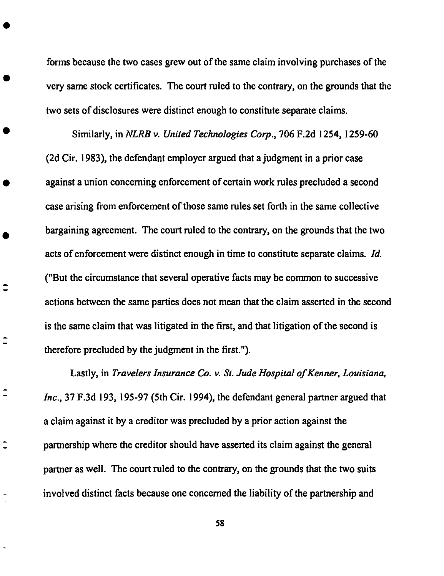forms **because** the two cases grew out of the same claim involving purchases **of** the very **same** stock certificates. The court ruled to the contrary, on the grounds that the two sets of disclosures were distinct enough to constitute separate claims.

Similarly, in *NLRB v. United Technologies Corp.,* 706 F.2d 1254, 1259-60 (2d Cir. 1983), the defendant employer **argued** that a judgment in **a** prior case against a union concerning **enforcement** of certain work rules precluded **a** second case arising from enforcement of those same rules set forth in the same collective bargaining **agreement.** The court ruled to the contrary, on the grounds that the two **acts** of enforcement were distinct **enough** in time to constitute separate claims. *Id.* ("But the circumstance that several operative facts may be common to successive **actions** between the same parties does not mean that the claim **asserted** in the **second** is the **same** claim that was litigated in the first, and that litigation of the **second** is therefore precluded by the judgment in the first.").

Lastly, in *Travelers Insurance Co. v. St. Jude Hospital of Kenner, Louisiana, Inc.,* **37** F.3d **193, 195-97 (5th Cir. 1994), the defendant general panner** argued **that a claim against it** by **a creditor** was **precluded by a prior action against the partnership where the creditor should** have **asserted its claim against the general partner as well.** The **court** ruled **to the contrary, on the grounds** that **the** two **suits involved distinct facts because one** concerned **the liability of** the **partnership** and

Ξ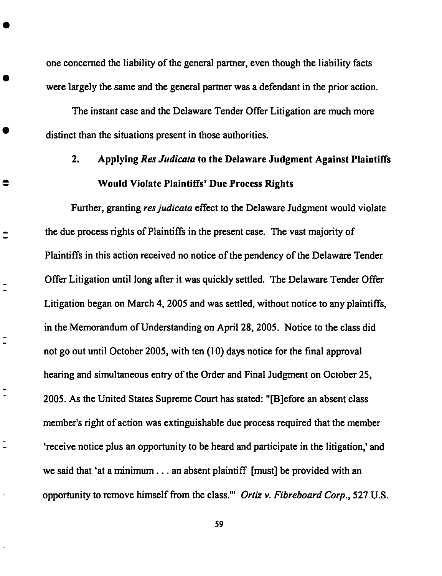one concerned the liability **of** the general partner, even though **the** liability facts were largely the same and the general partner was a defendant in the prior action.

The instant case and the Delaware Tender Offer Litigation are much more distinct than the situations present in those authorities.

 $\bullet$ 

 $\hat{\mathbf{z}}$ 

 $\overline{a}$ 

# 2. *Applying Res Judicata* to the **Delaware** Judgment *Against* **Plaintiffs** Would **Violate Plaintiffs' Due Process Rights**

**Further, granting** *resjudicata* effect **to the Delaware Judgment would violate** the due process rights of Plaintiffs in the present case. The vast majority of Plaintiffs in this action received no notice of the pendency of the Delaware *Tender* Offer Litigation until long after it was quickly settled. The Delaware Tender Offer Litigation began on March 4, 2005 and was settled, without notice to any plaintiffs, in the Memorandum of Understanding on *April* 28, 2005. Notice to the class did not go out until October *2005,* with ten (10) days notice for the final approval hearing and simultaneous entry of the Order and Final Judgment on October 25, 2005. *As* the United States Supreme Court has stated: "[B]efore an absent class member's right of action was extinguishable due process required that the member 'receive notice plus an opportunity to be heard and participate in the litigation,' and we said that 'at a minimum.., an absent plaintiff [must] be provided with an opportunity to remove himself from the class.'" *Ortiz v. Fibreboard Corp.,* 527 U.S.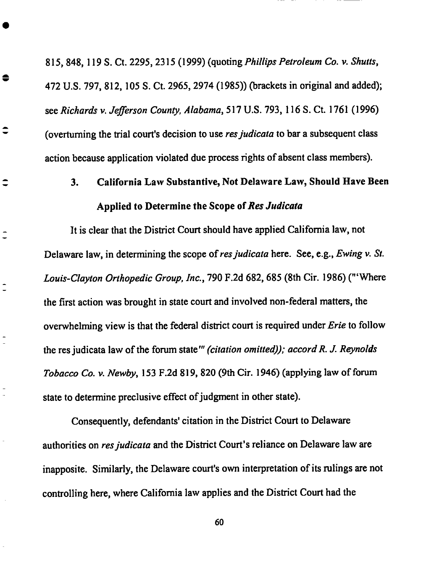**815, 848, 119 S. Ct. 2295, 2315 (1999) (quoting** *Phillips Petroleum Co. v. Shutts,* **472 U.S. 797, 812, 105 S. Ct. 2965, 2974 (1985)) (brackets in original and added); see** *Richards* v. *Jefferson County, Alabama,* **517 U.S. 793, 116 S. Ct. 1761 (1996) (overturning the trial court's decision to use** *resjudicata* **to bar a subsequent class action** because **application violated due process** rights **of absent class members).**

€

 $\hat{\phantom{a}}$ 

**3. California Law Substantive, Not Delaware Law, Should Have Been** Applied to Determine the Scope of Res Judicata

**It is clear that the District Court should** have **applied California law, not Delaware law, in determining the scope ofresjudicata** here. **See, e.g.,** *Ewing v. St. Louis-Clayton Orthopedic Group, Inc.,* **790 F.2d 682,** 685 **(Sth Cir. 1986) ("'Where the first action was** brought **in state court and involved non-federal matters, the overwhelming view is** that **the federal district court is required under** *Erie* **to follow the res judicata law of the forum state** *'" (citation omitted)); accord R. J. Reynolds Tobacco Co. v. Newby,* **153 F.2d 819, 820 (9th Cir. 1946)** (applying **law of forum state to determine preclusive effect of judgment in other state).**

**Consequently, defendants' citation in the District Court to Delaware authorities on** *resjudicata* **and the District Court's reliance on Delaware law are inapposite. Similarly, the Delaware court's own interpretation of its rulings are not controlling** here, where **California law applies** and **the District Court** had the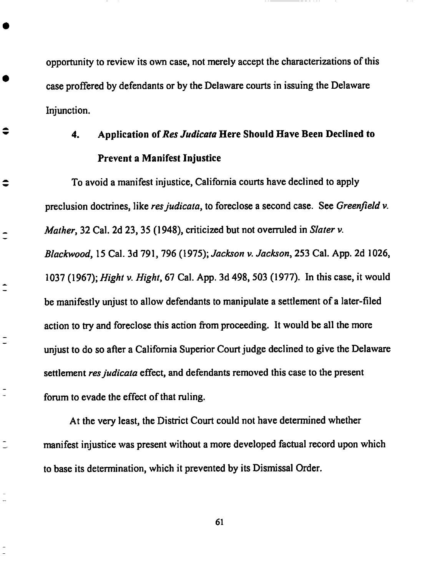opportunity to review **its** own case, not merely **accept** the characterizations **of** this case proffered by defendants or by the Delaware courts in issuing the Delaware Injunction.

≑

≑

 $\overline{\phantom{a}}$ 

 $\hat{\mathbf{I}}$ 

 $\overline{\phantom{a}}$ 

 $\overline{a}$ 

### 4. **Application** ofRes *Judicata* **Here Should Have Been Declined to Prevent a Manifest Injustice**

To avoid a manifest injustice, **California** courts have declined to apply preclusion doctrines, like *res judicata*, to foreclose a second case. See *Greenfield v. Mather,* 32 Cal. *2d 23,* 35 (1948), criticized but not overruled in *Slater v. Blackwood,* 15 Cal. 3d 791,796 (1975); *Jackson v. Jackson,* 253 Cal. App. 2d 1026, 1037 (1967); *Hight v. Hight,* 67 Cal. *App.* 3d 498, 503 (1977). In this ease, it would be manifestly unjust to allow defendants to manipulate a settlement of a later-filed action to try and foreclose this action from proceeding. It would be all the more unjust to do so after a California Superior Court judge declined to give the Delaware settlement *resjudicata* effect, and defendants removed this ease to the present forum to evade the effect of that ruling.

*At* the very least, the District Court could not have determined whether manifest injustice was present without a more developed factual record upon which to base its determination, which it prevented by its Dismissal Order.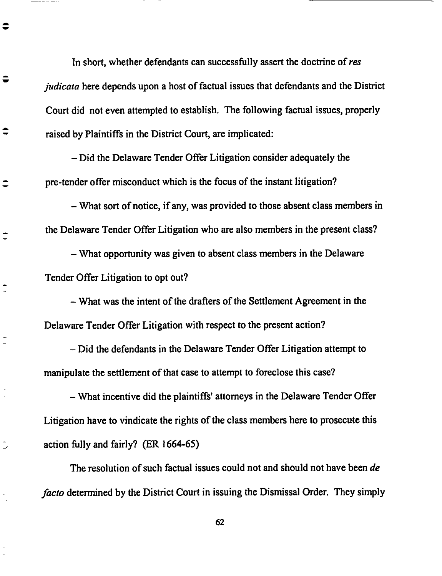In short, whether defendants can successfully assert the doctrine of res *judicata* here **depends upon a** host **of factual issues that defendants and the District Court did not even attempted to establish. The following factual issues, properly raised by Plaintiffs in the District Court, are implicated:**

*-* **Did the Delaware Tender Offer Litigation consider adequately the pre-tender offer misconduct** which **is the focus of the instant litigation?**

 $\bullet$ 

ӛ

इ

 $\mathbf{\hat{-}}$ 

 $\overline{\phantom{a}}$ 

Ū

*-* What **sort of notice, if** any, was **provided to those absent class members in the Delaware Tender Offer Litigation who** are **also members in the present class?**

*-* What **opportunity was given to absent class members in the Delaware Tender Offer Litigation to opt out?**

*-* What **was the intent of the drafters of the Settlement Agreement in the Delaware Tender Offer Litigation with respect to the present action?**

*-* **Did** the **defendants in the Delaware Tender Offer Litigation attempt to manipulate the settlement of** that **case to attempt to foreclose this case?**

*-* What **incentive did the plaintiffs' attorneys in the Delaware Tender Offer Litigation** have **to vindicate** the **rights of** the **class members** here **to prosecute this action** fully **and fairly? (ER 1664-6:5)**

**The resolution of such factual issues could not and should not** have **been** *de facto* **determined by the District Court in issuing** the **Dismissal Order.** They **simply**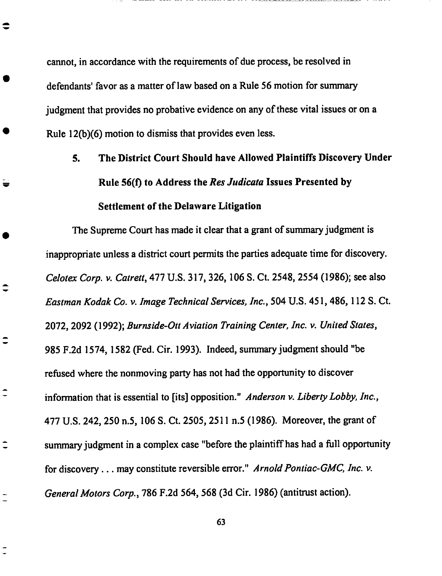cannot, in accordance **with** the requirements **of** due **process,** be **resolved** in defendants' favor as a matter of law based on a **Rule** 56 motion for summary judgment that provides no probative evidence on any of these vital issues or on a Rule  $12(b)(6)$  motion to dismiss that provides even less.

 $\Rightarrow$ 

 $\ddot{}$ 

Ξ

# **5. The District Court Should have Allowed Plaintiffs Discovery Under Rule** 56(0 **to Address the** *Res Judicata* **Issues Presented by Settlement of the Delaware Litigation**

The **Supreme Court** has made it **clear** that **a** grant **of summary** judgment is inappropriate unless a district court permits the parties adequate time for discovery. *Celotex Corp. v. Catrett,* 477 U.S. 317, 326, 106 S. Ct. 2548, 2554 (1986); see also *Eastman Kodak Co. v. lmage Technical Services, lnc.,* 504 U.S. 451,486, 112 S. Ct. 2072, 2092 (1992); *Burnside-Ott Aviation Training Center, lnc. v. United States,* 985 F.2d 1574, 1582 **(Ted.** Cir. 1993). Indeed, summary judgment should "be refused where the nonmoving party has not had the opportunity to discover information that is essential to [its] opposition." *Anderson v. Liberty Lobby, lnc.,* 477 U.S. 242, 250 n.5, 106 S. Ct. *2505, 2511* n.5 **(1986).** Moreover, the grant of summary judgment in a complex case "before the plaintiff has had a full opportunity for discovery.., may **constitute** reversible error." *Arnold Pontiac-GMC, lnc. v. GeneralMotors Corp.,* 786 F.2d 564, 568 (3d Cir. 1986) (antitrust action).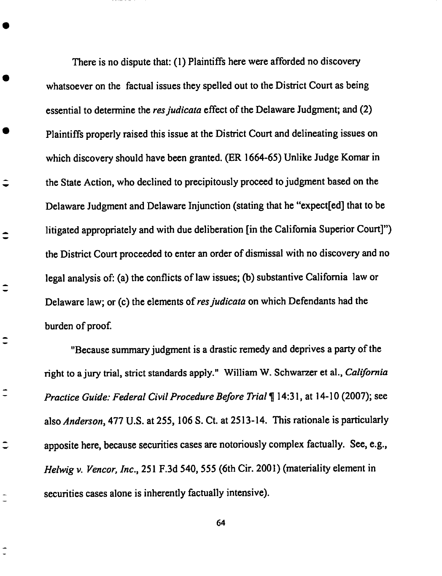*There* is no dispute **that:** (1) **Plaintiffs** here **were afforded** no **discovery** whatsoever **on** the factual **issues** they **spelled out** to the **District Court** as **being essential** to determine the *resjudicata* **effect of the Delaware** Judgment; **and (2)** Plaintiffs **properly raised** this issue **at** the **District Court and** delineating issues **on** which discovery should have been granted. (ER 1664-65) Unlike Judge Komar in the State *Action,* who declined to precipitously proceed to judgment based on the Delaware Judgment and Delaware Injunction (stating that he "expeet[ed] that to be litigated appropriately and with due deliberation [in the California Superior Court]") the District Court proceeded to enter an order of dismissal with no discovery and no legal analysis of: (a) the conflicts of law issues; (b) substantive California law or Delaware law; or (c) the elements of res judicata on which Defendants had the burden of proof.

 $\hat{\mathbf{I}}$ 

 $\hat{\phantom{a}}$ 

 $\hat{\mathbf{z}}$ 

Ξ

 $\hat{\mathbf{z}}$ 

"Because summary judgment is a drastic remedy and deprives a party of the fight to a jury trial, strict **standards** apply." William W. Schwarzer et al., *California Practice Guide: Federal Civil Procedure Before Trial* ¶ 14:31, at 14-10 (2007); see also *Anderson,* 477 U.S. at 255, 106 S. Ct. at 2513-14. *This* rationale is particularly apposite here, because securities cases are notoriously complex factually. See, e.g., *Helwig v. Vencor, Inc.,* 251 F.3d 540, 555 (6th Cir. 2001) (materiality element in securities cases alone is inherently factually intensive).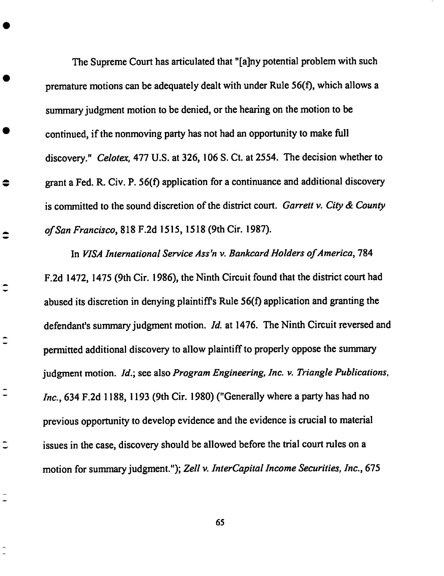**The** Supreme **Court** has articulated that "[a]ny **potential problem with such** premature motions can be adequately dealt with under Rule 56(f), which allows a summary judgment motion **to be** denied, **or the** hearing **on** the motion to **be** continued, **if** the nonmoving party has not had an **opportunity** to **make full discovery."** *Celotex,* 477 **U.S.** at **326,** 106 S. Ct. at 2554. **The decision whether** to grant a **Fed.** R. Cir. **P. 56(f)** application for a **continuance** and additional discovery **is** committed **to the** sound discretion **of** the district court. *Garrett v. City & County of San Francisco,* 818 **F.2d 1515,** 1518 *(9th* Cir. **1987).**

 $\Rightarrow$ 

Ξ

 $\overline{\phantom{a}}$ 

In *VISA International Service* Ass'n *v. Bankcard Holders of America,* **784 F.2d 1472, 1475 (9th** Cir. 1986), the Ninth Circuit found that the **district** court had abused its discretion in denying plaintiff's Rule 56(f) application and granting the defendant's summary judgment **motion.** *Id.* at 1476. **The** Ninth Circuit **reversed** and permitted additional discovery **to** allow plaintiff **to** properly **oppose the** summary judgment **motion.** *Id.;* see also *Program Engineering, Inc. v. Triangle Publications, Inc.,* 634 **F.2d** 1188, **1193 (9th** Cir. 1980) **("Generally** where a party has had no previous **opportunity** to **develop evidence** and the **evidence is crucial to material issues** in the **case,** discovery should **be** allowed before the trial **court** rules **on** a motion **for** summary judgment."); *Zell v. InterCapital Income Securities, Inc.,* 675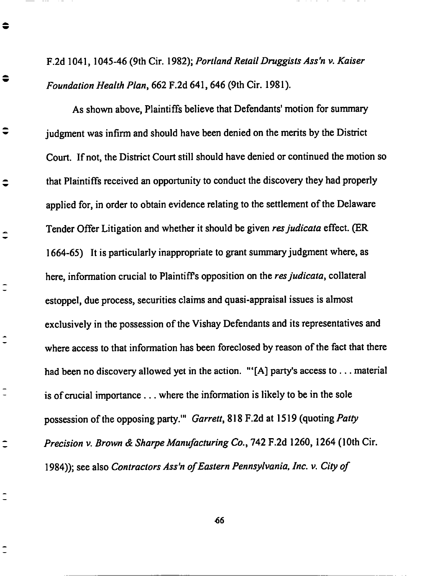F.2d **1041, 1045-46** (9th Cir. **1982);** *PortlandRetailDruggistsAss'n v. Kaiser Foundation Health Plan,* 662 **F.2d** 641,646 **(9th Cir. 1981).**

 $\bullet$ 

 $\bullet$ 

╤

 $\hat{\mathbf{v}}$ 

 $\overline{\phantom{a}}$ 

 $\hat{\mathbb{I}}$ 

 $\overline{\phantom{a}}$ 

**As shown above, Plaintiffs** believe **that Defendants' motion for summary judgment** was **infirm and should** have **been denied on the merits by the District Court. If not, the District Court still should** have **denied or** continued the **motion so that Plaintiffs received an opportunity to** conduct **the discovery they** had **properly applied for, in order to obtain evidence relating to the settlement of the Delaware Tender Offer Litigation and** whether **it should be given** *resjudicata* effect. (ER **1664-65) It is particularly inappropriate to grant summary judgment** where, **as** here, **information crucial to Plaintiffs opposition on the** *resjudicata,* collateral **estoppel, due process, securities** claims **and quasi-appraisal issues is almost exclusively in the possession of the Vishay Defendants and its representatives and where access to that information** has been **foreclosed** by **reason of the fact that there** had **been no discovery allowed yet in the action.** "'[A] **party's access to... material is of** crucial **importance.., where the information is likely to** be **in the sole possession of the opposing party.'"** *Garrett,* 818 F.2d **at 1519 (quoting** *Patty Precision v. Brown & Sharpe Manufacturing Co.,* **742 F.2d 1260, 1264 (10th Cir. 1984)); see also** *Contractors Ass'n of Eastern Pennsylvania, Inc. v. City of*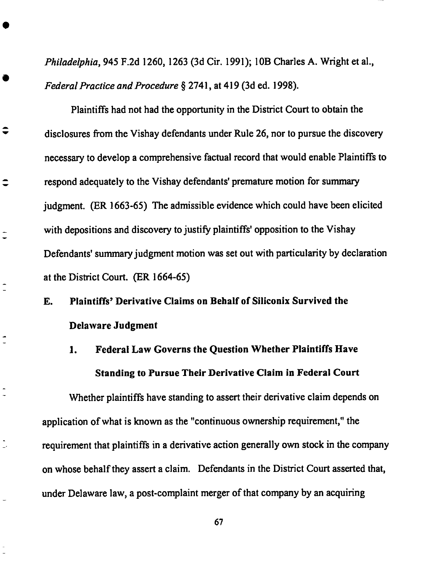*Philadelphia, 945* F.2d 1260, 1263 (3d Cir. 1991); 10B Charles A. Wright **et** al., *Federal Practice and Procedure* § 2741, at 419 (3d **ed.** 1998).

Plaintiffs had not had the opportunity in the District Court to obtain the disclosures from the Vishay defendants under Rule 26, nor to pursue the discovery necessary to develop a **comprehensive** factual record that would **enable** Plaintiffs to respond adequately to the Vishay defendants' premature motion for summary judgment. (ER 1663-65) The admissible **evidence** which **could** have been **elicited** with depositions and discovery to justify plaintiffs' opposition to the Vishay Defendants' summary judgment motion was set out with particularity by declaration at the District Court. (ER 1664-65)

 $\hat{\mathbf{v}}$ 

 $\overline{a}$ 

**E.** Plaintiffs' Derivative Claims on Behalf **of** Silieonix Survived the Delaware Judgment

1. Federal Law Gaverns the Question Whether Plaintiffs **Have** Standing to Pursue Their *Derivative* Claim in Federal Court

Whether plaintiffs have standing to assert their derivative claim depends on application of what is known as the "continuous ownership requirement," the requirement that plaintiffs in a derivative action generally own stock in the **company** on whose behalf they assert a **claim.** Defendants in the District Court asserted that, under Delaware law, a post-complaint merger of that **company** by an acquiring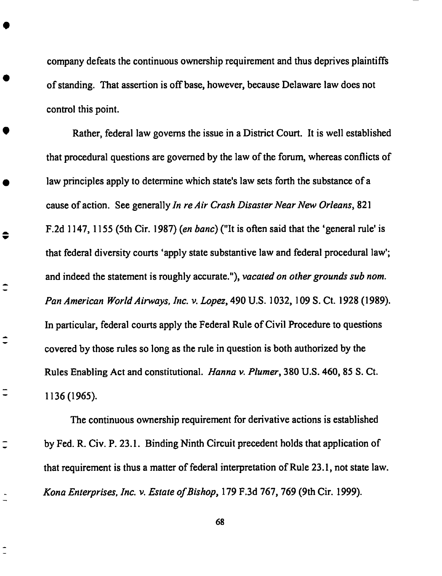company defeats the continuous **ownership** requirement and thus deprives plaintiffs of standing. That assertion is offbase, however, because Delaware law does not control this point.

Rather, federal law governs the issue in a District Court. It is well established that procedural questions are governed by the law of the forum, whereas conflicts of law principles apply to determine which state's law sets forth the substance of a cause of action. See generally *In re Air Crash Disaster Near New Orleans,* 821 F.2d 1147, 1155 (5th Cir. 1987) (en *banc)* ("It is often said that the 'general rule' is that federal diversity courts 'apply state substantive law and federal procedural law'; and indeed the statement is roughly accurate."), *vacated on other grounds sub nora. Pan American World Airways, h\_c. v. Lopez,* 490 U.S. 1032, 109 S. Ct. 1928 (1989). In particular, federal courts apply the Federal Rule of Civil Procedure to questions covered by those rules so long as the rule in question is both authorized by the Rules Enabling *Act* and constitutional. *Hanna v. Plumer,* 380 U.S. 460, 85 S. Ct. 1136 (1965).

≑

 $\overline{ }$ 

*The* continuous ownership requirement for derivative actions is established by Fed. R. Civ. P. 23.1. Binding Ninth Circuit precedent holds that application of that requirement is thus a matter of federal interpretation of Rule 23.1, not state law. *Kona Enterprises, lnc. v. Estate of Bishop,* 179 F.3d 767, 769 (9th Cir. 1999).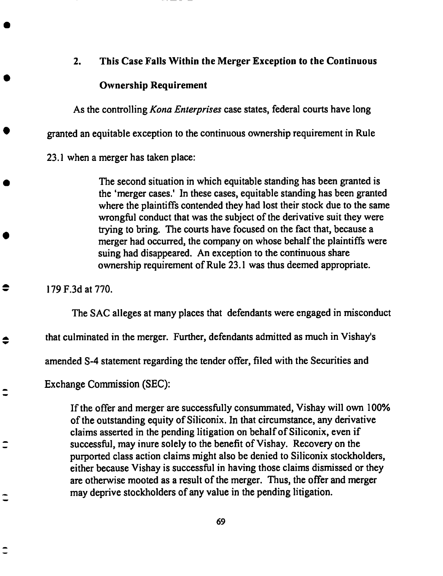### **2. This Case Falls Within the Merger Exception to the** Continuous

### **Ownership Requirement**

As **the controlling** *Kona Enterprises* **case states, federal courts have long** granted an equitable exception **to** the **continuous ownership** requirement in Rule 23.1 when a merger has taken place:

> *The* second situation in which equitable standing **has** been granted is the 'merger cases.' In these eases, equitable standing has been granted where the plaintiffs contended they had lost their stock due to the same wrongful conduct that was the subject of the derivative suit they were trying to bring. The courts have focused on the fact that, because a merger had occurred, the company on whose behalf the plaintiffs were suing had disappeared. *An* exception to the continuous share ownership requirement of Rule 23.1 was thus deemed appropriate.

179 F.3d at 770.

 $\bullet$ 

♦

The **SAC alleges at** many **places** that defendants were engaged in misconduct

that **culminated** in the merger. **Further, defendants** admitted **as** much in Vishay's

**amended S-4 statement** regarding the **tender offer,** filed with the Securities and

**Exchange Commission** (SEC):

If the **offer and** merger are **successfully consummated, Vishay will own** 100% of the outstanding equity of Silieonix. In that circumstance, any derivative claims asserted in the **pending** litigation on behalf of Silieonix, even if successful, may inure solely to the benefit of Vishay. Recovery on the **purported** class action claims might also be denied to Siliconix stockholders, either because Vishay is successful in having those claims dismissed or they are otherwise mooted as a result of the merger. Thus, the offer and merger may deprive stockholders of any value in the pending litigation.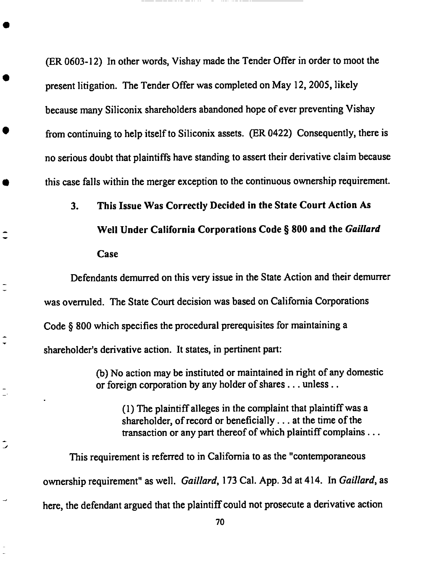(ER **0603-12)** In **other words,** Vishay made the **Tender** Offer in order to moot the present litigation. The Tender Offer was completed on May 12, 2005, likely because many Siliconix shareholders abandoned hope of ever preventing Vishay from continuing to help itself to Silieonix assets. (ER 0422) Consequently, there is no serious doubt that plaintiffs have standing to assert their derivative claim because this case falls within the merger exception to the continuous ownership requirement.

3. **This Issue** Was **Correctly Decided in the State** Court **Action As Well Under** California Corporations Code § **800 and the** *Galliard* Case

Defendants demurred on this **very** issue in the State *Action* and their demurrer was overruled. The State Court decision was based on California Corporations Code § 800 which specifies the procedural prerequisites for maintaining a shareholder's derivative action. It states, in pertinent part:

 $\ddot{\phantom{0}}$ 

(b) No action may be instituted or maintained in fight of any domestic or foreign corporation by any holder of shares... unless..

(1) The plaintiffalleges in the complaint that plaintiff was a shareholder, of record or beneficially.., at the time of the transaction or any part thereof of which plaintiff complains...

This requirement is referred to in California to as the "contemporaneous ownership requirement" as well. *Galliard,* 173 Cal. *App.* 3d at 414. In *Gaillard,* as here, the defendant argued that the plaintiff could not prosecute a derivative action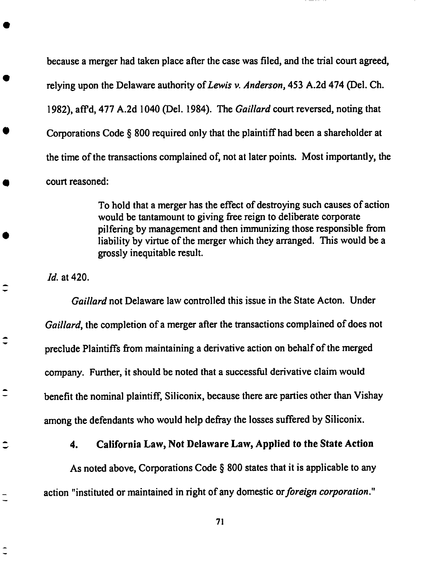because a merger had taken place after the casewas filed, and the trial court agreed, relying upon the Delaware authority of *Lewis v. Anderson,* 453 *A.2d* 474 (Del. Ch. 1982), aft'd, 477 A.2d 1040 (Del. 1984). The *Galliard* court reversed, noting that Corporations Code § 800 required only that the plaintiff had been a shareholder at the time of the transactions complained of, not at later points. Most importantly, the court reasoned:

> To hold that a merger has the effect of destroying such causes of action would be tantamount to giving free reign to deliberate corporate pilfering by management and then immunizing those responsible from liability by virtue of the merger which they arranged. This would be a grossly inequitable result.

*ld.* at 420.

こ

Ξ

*Gaillard* not Delaware law controlled this issue in the State *Acton.* Under *Gaillard,* the completion of a merger after the transactions complained of does not preclude Plaintiffs from maintaining a derivative action on behalf of the merged company. Further, it should be noted that a successful derivative claim would benefit the nominal plaintiff, Siliconix, because there are parties other than Vishay among the defendants who would help defray the losses suffered by Siliconix.

4. California **Law, Not Delaware Law, Applied to the State Action**

As noted **above, Corporations Code** § 800 states that it is applicable to any action "instituted or maintained in right of any domestic or *foreign corporation."*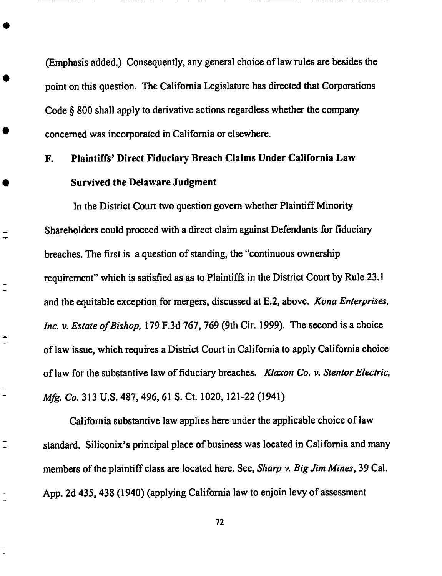(Emphasis **added.) Consequently, any** general *choice* **of law rules are besides the point on this question. The California Legislature has directed that Corporations Code** § 800 **shall apply to derivative actions regardless whether the** company **concerned was incorporated in California or** elsewhere.

## **F. Plaintiffs'** Direct **Fiduciary Breach Claims Under California Law Survived the** Delaware Judgment

 $\hat{\mathbf{z}}$ 

 $\bar{a}$ 

**In the District Court two question** govern **whether PlaintiffMinority Shareholders** could **proceed with a direct** claim **against Defendants for fiduciary breaches.** The **first is a question of standing, the** "continuous **ownership requirement" which is satisfied as as to Plaintiffs in the District Court by Rule 23.1 and the** equitable exception **for** mergers, **discussed at E.2, above.** *Kona Enterprises, Inc. v. Estate of Bishop,* **179 F.3d** 767, 769 **(9th Cir. 1999).** The **second is a** choice **of law issue, which requires a District Court in California to apply California** choice **of law for the substantive law of fiduciary breaches.** *Klaxon Co.* 1,. *Stentor Electric, Mfg. Co.* **313 U.S. 487, 496, 61 S. Ct. 1020, 121-22 (1941)**

**California substantive law applies here under the applicable** choice **of law standard. Siliconix's principal place of business was located in California** and many **members of** the **plaintiff** class **are** located here. **See,** *Sharp v. Big Jim Mines,* **39** Cal. **App. 2d** 435,438 **(1940)** (applying **California law to enjoin levy of assessment**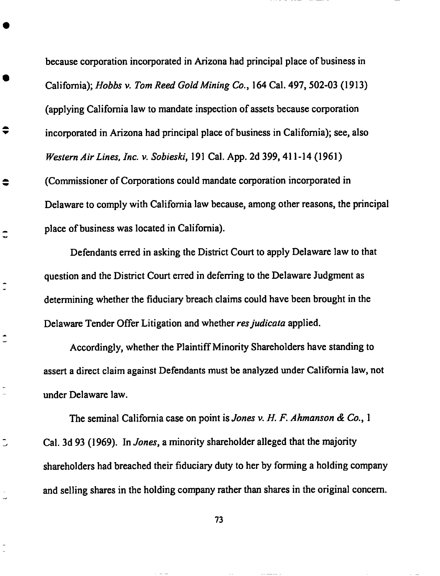because corporation incorporated in *Arizona* had **principal place of business** in California); *Hobbs v. Tom Reed GoM Mining Co.,* 164 Cal. 497, 502-03 (1913) (applying California law to mandate inspection of assets because corporation incorporated in *Arizona* had principal place of business in California); see, also *Western AirLines, lnc. v. Sobieski,* 191 Cal. App. 2d 399, 411-14 (1961) (Commissioner of Corporations could mandate corporation incorporated in Delaware to comply with California law because, among other reasons, the **principal** place of business was located in California).

≑

 $\bullet$ 

 $\frac{1}{\sqrt{2}}$ 

Defendants erred in asking the District Court to apply Delaware law to that question and the District Court erred in deferring to the Delaware Judgment as determining whether the fiduciary breach claims could have been brought in the Delaware Tender Offer Litigation and whether *resjudicata* applied.

Accordingly, whether the Plaintiff Minority Shareholders have **standing** to assert a direct claim against Defendants must be analyzed under California law, not under Delaware law.

The seminal California ease on point is *Jones v. H. F. Ahmanson & Co.,* 1 Cal. 3d 93 (1969). In *Jones,* a minority shareholder alleged that the majority shareholders had breached their fiduciary duty to her by forming a holding company and selling shares in the holding **company** rather than shares in the original concern.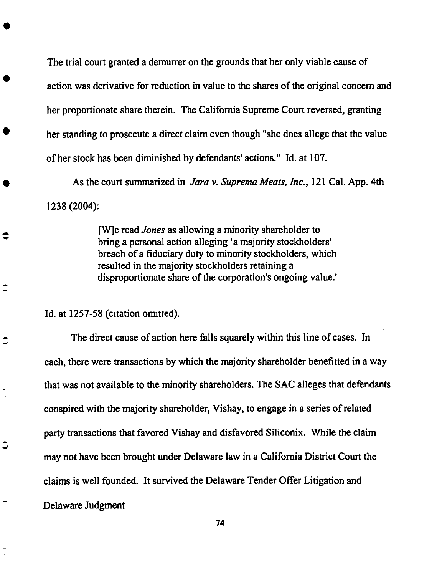The trial court granted **a** demurrer on the grounds that her only **viable** cause **of** action was derivative for reduction in value to the shares of the original concern and her proportionate share therein. The California Supreme Court reversed, granting her standing to prosecute a direct claim even though "she does allege that the value of her stock has been diminished by defendants' actions." Id. at 107.

*As* the court summarized in *Jara v. Suprema Meats, lnc.,* 121 Cal. *App.* 4th 1238 (2004):

> [W]e read *Jones* as allowing a minority shareholder to bring a personal action alleging 'a majority **stockholders'** breach of a fiduciary duty to minority **stockholders,** which resulted in the majority stockholders retaining a disproportionate **share** of the corporation's ongoing value.'

Id. at 1257-58 (citation **omitted).**

 $\bullet$ 

 $\overline{\phantom{a}}$ 

The direct **cause of** action here falls squarely within this line of cases. In each, there were transactions by which the majority shareholder benefitted in a way that was not available to the minority shareholders. The SAC alleges that defendants **conspired** with the majority shareholder, Vishay, to engage in a series of related party transactions that favored Vishay and disfavored Siliconix. While the claim may not have been brought under Delaware law in a California District Court the claims is well founded. It survived the Delaware Tender Offer Litigation and **Delaware** Judgment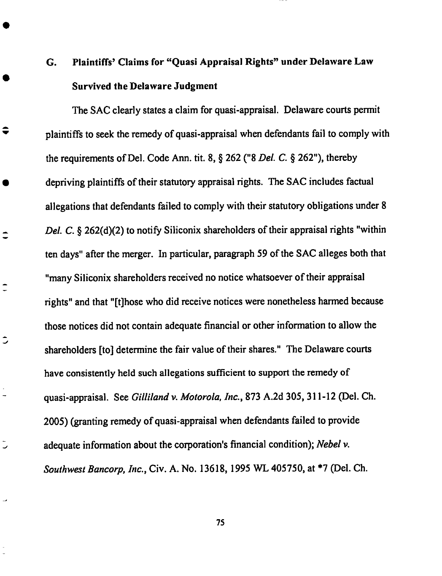# **G. Plaintiffs' Claims for** "Quasi **Appraisal Rights" under Delaware Law Survived the Delaware Judgment**

 $\hat{\mathbf{v}}$ 

 $\tilde{\mathcal{L}}$ 

 $\overline{a}$ 

 $\overline{a}$ 

w

The SAC clearly states a claim for quasi-appraisal. Delaware courts permit plaintiffs to seek the remedy of quasi-appraisal when defendants fail to comply with the requirements of Del. Code Ann. tit. 8, § 262 ("8 *Del. C.* § 262"), thereby depriving plaintiffs of their statutory appraisal rights. The SAC includes factual allegations that defendants failed to comply with their statutory obligations under 8 *Del. C.* § 262(d)(2) to notify Siliconix shareholders of their appraisal rights "within ten days" after the merger. In particular, paragraph 59 of the SAC alleges both that "many Siliconix shareholders received no notice whatsoever of their appraisal rights" and that "[t]hose who did receive notices were nonetheless harmed because those notices did not contain adequate financial or other information to allow the shareholders [to] determine the fair value of their shares." The Delaware courts have consistently held such allegations sufficient to **support** the remedy of quasi-appraisal. See *Gilliland v. Motorola, lnc.,* **873** *A.2d* 305, 311-12 (Del. Ch. 2005) (granting remedy of quasi-appraisal when defendants failed to provide adequate information about the corporation's financial condition); *Nebel v. Southwest Bancorp, lnc.,* Cir. A. No. 13618, 1995 *WL* 405750, at \*7 (Del. Ch.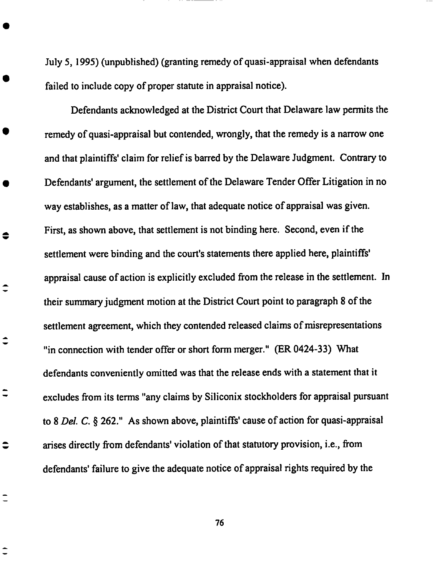July 5, 1995) (unpublished) (granting remedy of **quasi-appraisal** when **defendants** failed to include copy of proper statute in appraisal notice).

Defendants acknowledged at the District Court that Delaware law permits the remedy of quasi-appraisal but contended, wrongly, that the remedy is a narrow one and that plaintiffs' claim for relief is barred by the Delaware Judgment. Contrary to Defendants' argument, the settlement of the Delaware Tender Offer Litigation in no way establishes, as a matter of law, that adequate notice of appraisal was given. First, as shown above, that settlement is not binding here. Second, even if the settlement were binding and the court's statements there applied here, plaintiffs' appraisal cause of action is explicitly excluded from the release in the settlement. In their summary judgment motion at the District Court point to paragraph 8 of the settlement agreement, which they contended released claims of misrepresentations "in connection with tender offer or **short** form merger." (ER 0424-33) What defendants conveniently omitted was that the release ends with a statement that it excludes from its terms "any claims by Siliconix stockholders for appraisal pursuant to 8 *Del. C.* § 262." *As* shown above, plaintiffs' cause of action for quasi-appraisal arises **directly** from defendants' violation **of** that statutory **provision,** i.e., from defendants' failure to give the adequate notice of appraisal rights required by the

 $\bullet$ 

 $\hat{\phantom{a}}$ 

≎

 $\overline{\phantom{a}}$ 

 $\bullet$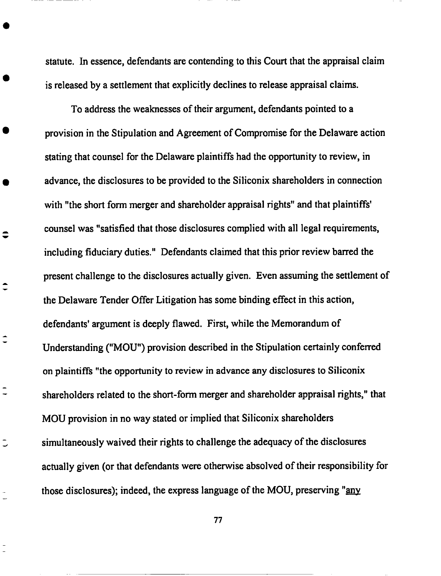**statute.** In essence, **defendants** are contending **to this Court** that the appraisal claim is released by a settlement that explicitly declines to release appraisal claims.

To address the weaknesses of their argument, defendants pointed to a provision in the Stipulation and *Agreement* of Compromise for the Delaware action stating that counsel for the Delaware plaintiffs had the opportunity to review, in advance, the disclosures to be provided to the Siliconix shareholders in connection **with** "the **short form** merger **and shareholder appraisal** rights" and that plaintiffs' counsel was "satisfied that those disclosures complied with all legal requirements, including fiduciary duties." Defendants claimed that this prior review barred the present challenge to the disclosures actually given. Even assuming the settlement of the Delaware *Tender* Offer Litigation has some binding effect in this action, defendants' argument is deeply flawed. First, while the Memorandum of Understanding ("MOU") **provision** described in the Stipulation certainly conferred on plaintiffs "the opportunity to review in advance any disclosures to Silieonix shareholders related to the short-form merger and shareholder appraisal rights," that MOU provision in no way stated or implied that Siliconix shareholders simultaneously waived their rights to challenge the adequacy of the disclosures actually given (or that defendants were otherwise absolved of their responsibility for those disclosures); indeed, the express language of the MOU, preserving "any

 $\ddot{•}$ 

÷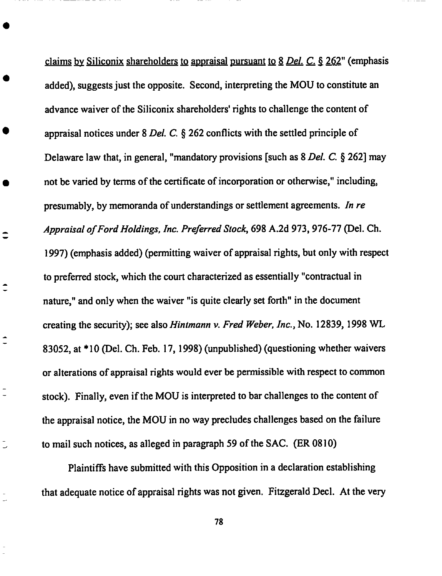claims \_bySiliconix **shareholders** to appraisal **pursuant** to 8 *Del. C...\_.* § 262" (emphasis added), suggests just the opposite. Second, interpreting the MOU to constitute an advance waiver of the Siliconix shareholders' rights to challenge the content of appraisal notices under 8 *Del. C.* § 262 conflicts with the settled principle of Delaware law that, in general, "mandatory provisions [such as 8 *Del. C. §* 262] may not be **varied** by **terms of the** certificate **of** incorporation or otherwise," including, presumably, by memoranda of understandings or **settlement** agreements. *In re Appraisal of Ford Holdings, lnc. Preferred Stock,* 698 A.2d 973,976-77 (Del. Ch. 1997) (emphasis added) (permitting waiver of appraisal rights, but only with respect to preferred stock, which the court characterized as essentially "contractual in nature," and only when the waiver "is quite clearly **set** forth" in the document creating the *security);* see also *Hintmann v. Fred Weber, lnc.,* No. 12839, 1998 WL 83052, at \* 10 (Del. Ch. Feb. 17, 1998) (unpublished) (questioning whether waivers or alterations of appraisal rights would ever be permissible with respect to common stock). Finally, even if the MOU is interpreted to bar challenges to the content of the appraisal notice, the MOU in no way **precludes** challenges based on the failure to mail such notices, as alleged in paragraph 59 of the SAC. (ER 0810)

 $\hat{\mathbf{I}}$ 

 $\hat{\mathbf{I}}$ 

 $\bar{a}$ 

Plaintiffs have submitted with this Opposition in a declaration establishing that adequate notice of appraisal rights was not given. Fitzgerald Decl. *At* the very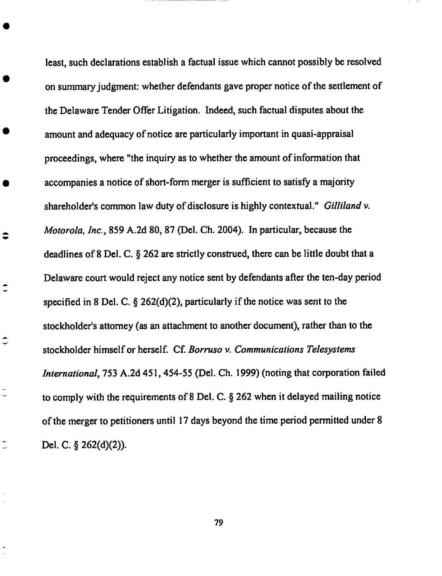**least, such declarations establish a factual issue which cannot possibly be resolved on summary judgment: whether defendants gave proper notice of the settlement of** the **Delaware Tender Offer Litigation. Indeed, such factual disputes about** the **amount and adequacy of notice are particularly important in quasi-appraisal proceedings, where** "the **inquiry as** to **whether** the **amount of information** that accompanies a notice **of short-form** merger is **sufficient** to **satisfy** a majority shareholder's common law duty of disclosure is highly contextual." *Gilliland v. Motorola, lnc.,* 859 A.2d 80, 87 (Del. Ch. 2004). In particular, because the deadlines of 8 Del. C. § 262 are strictly construed, there can be little doubt that a Delaware court would reject any notice sent by defendants after the ten-day period specified in 8 Del. C. § 262(d)(2), particularly if the notice was *sent* to the stockholder's attorney (as an attachment to another document), rather than to the stockholder himself or herself. Cf. *Borruso v. Communications Telesystems International*, 753 A.2d 451, 454-55 (Del. Ch. 1999) (noting that corporation failed to comply with the requirements of **8** Del. C. § 262 when it delayed mailing notice of the merger to petitioners until 17 days beyond the time period permitted under **8** Del. C. § 262(d)(2)).

 $\hat{\bullet}$ 

 $\hat{\mathbf{z}}$ 

 $\overline{a}$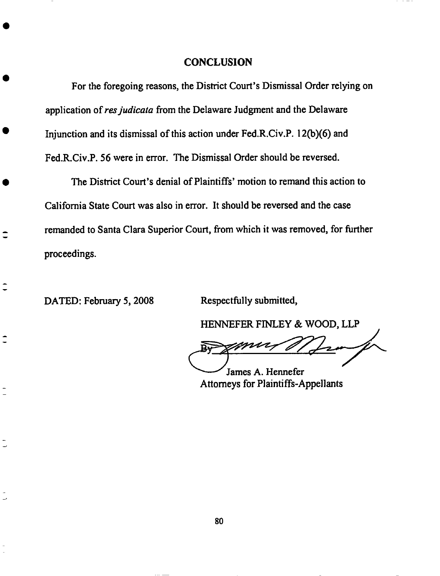#### **CONCLUSION**

For **the foregoing reasons, the** District **Court's Dismissal Order** relying **on application of** *resjudicata* **from the Delaware Judgment and the Delaware Injunction and its dismissal of this action under Fed.R.Civ.P. 12(b)(6) and Fed.R.Civ.P. 56 were in** error. **The Dismissal Order should be reversed.**

The **District Court's denial of Plaintiffs' motion to remand this action to California State Court was also in** error. **It should be reversed** and **the** case **remanded to Santa Clara Superior Court, from which it was removed, for further proceedings.**

**DATED: February 5, 2008 Respectfully submitted,**

 $\overline{\phantom{a}}$ 

 $\overline{\phantom{a}}$ 

**HENNEFER** FINLEY & WOOD, LLP

James A. Hennefer

*Attorneys* for Plaintiffs-Appellants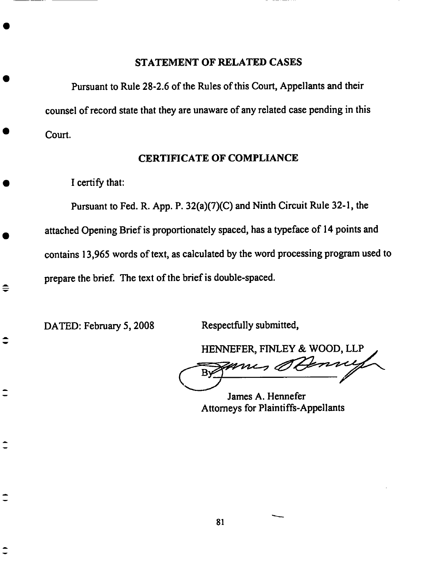#### **STATEMENT OF RELATED CASES**

**Pursuant to** Rule 28-2.6 **of the** Rules of **this Court, Appellants and their** counsel **of record state** that they are unaware **of** any related case **pending in** this Court.

### **CERTIFICATE OF COMPLIANCE**

I **certify** that:

Pursuant to **Fed.** R. **App.** P. 32(a)(7)(C) and Ninth **Circuit** Rule 32-1, the attached Opening Brief is proportionately spaced, has a typeface of 14 **points** and contains 13,965 words of text, as calculated by the word processing program used to prepare the brief. *The* text of the brief is double-spaced.

DATED: February 5, 2008 Respectfully submitted,

≑

**HENNEFER,** FINLEY & WOOD, **LLP** Denny zanes a

**James** A. **Hennefer** Attomeys for Plaintiffs-Appellants